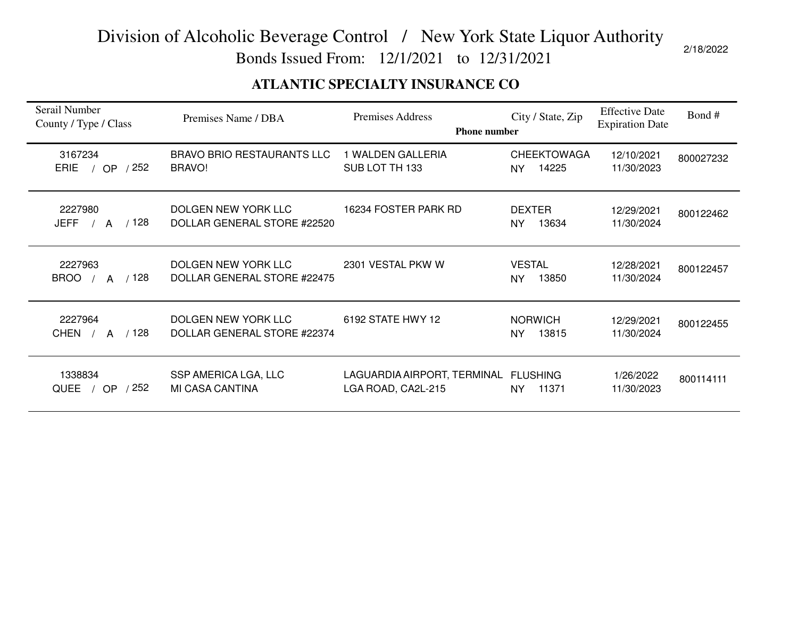Bonds Issued From: 12/1/2021 to 12/31/2021

### **ATLANTIC SPECIALTY INSURANCE CO**

| Serail Number<br>County / Type / Class       | Premises Name / DBA                                | Premises Address<br><b>Phone number</b>           | City / State, Zip                     | <b>Effective Date</b><br><b>Expiration Date</b> | Bond#     |
|----------------------------------------------|----------------------------------------------------|---------------------------------------------------|---------------------------------------|-------------------------------------------------|-----------|
| 3167234<br>/252<br>ERIE<br>/ OP              | <b>BRAVO BRIO RESTAURANTS LLC</b><br>BRAVO!        | <b>WALDEN GALLERIA</b><br>SUB LOT TH 133          | <b>CHEEKTOWAGA</b><br>14225<br>NY.    | 12/10/2021<br>11/30/2023                        | 800027232 |
| 2227980<br>/128<br>JEFF<br>/ A               | DOLGEN NEW YORK LLC<br>DOLLAR GENERAL STORE #22520 | 16234 FOSTER PARK RD                              | <b>DEXTER</b><br>13634<br>NY.         | 12/29/2021<br>11/30/2024                        | 800122462 |
| 2227963<br>A / 128<br><b>BROO</b>            | DOLGEN NEW YORK LLC<br>DOLLAR GENERAL STORE #22475 | 2301 VESTAL PKW W                                 | <b>VESTAL</b><br>13850<br><b>NY</b>   | 12/28/2021<br>11/30/2024                        | 800122457 |
| 2227964<br>A / 128<br><b>CHEN</b>            | DOLGEN NEW YORK LLC<br>DOLLAR GENERAL STORE #22374 | 6192 STATE HWY 12                                 | <b>NORWICH</b><br>13815<br>NY.        | 12/29/2021<br>11/30/2024                        | 800122455 |
| 1338834<br>/ 252<br><b>QUEE</b><br><b>OP</b> | SSP AMERICA LGA, LLC<br>MI CASA CANTINA            | LAGUARDIA AIRPORT, TERMINAL<br>LGA ROAD, CA2L-215 | <b>FLUSHING</b><br>11371<br><b>NY</b> | 1/26/2022<br>11/30/2023                         | 800114111 |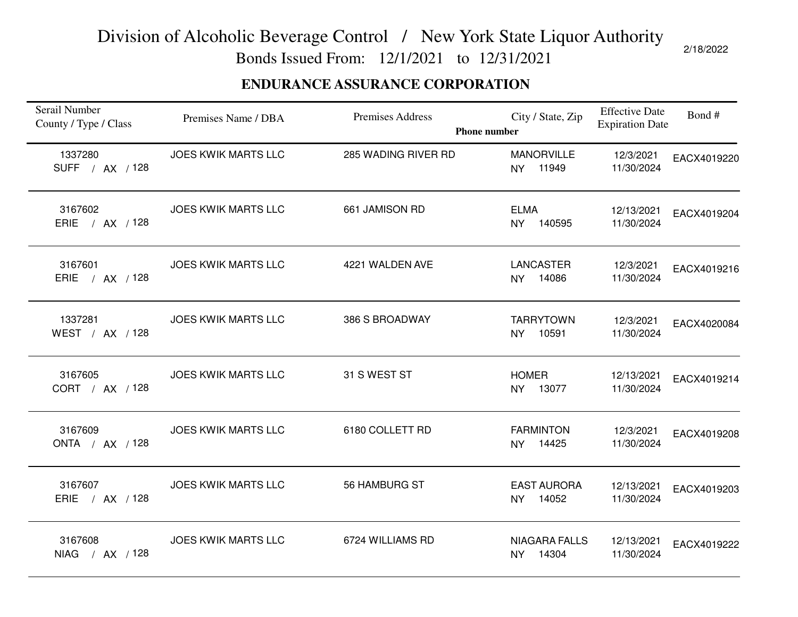Bonds Issued From: 12/1/2021 to 12/31/2021

2/18/2022

### **ENDURANCE ASSURANCE CORPORATION**

| Serail Number<br>County / Type / Class | Premises Name / DBA        | Premises Address<br><b>Phone number</b> | City / State, Zip                        | <b>Effective Date</b><br><b>Expiration Date</b> | Bond#       |
|----------------------------------------|----------------------------|-----------------------------------------|------------------------------------------|-------------------------------------------------|-------------|
| 1337280<br>SUFF / AX / 128             | <b>JOES KWIK MARTS LLC</b> | 285 WADING RIVER RD                     | <b>MANORVILLE</b><br>11949<br><b>NY</b>  | 12/3/2021<br>11/30/2024                         | EACX4019220 |
| 3167602<br>ERIE / AX / 128             | <b>JOES KWIK MARTS LLC</b> | 661 JAMISON RD                          | <b>ELMA</b><br>NY 140595                 | 12/13/2021<br>11/30/2024                        | EACX4019204 |
| 3167601<br>ERIE<br>/ AX / 128          | <b>JOES KWIK MARTS LLC</b> | 4221 WALDEN AVE                         | <b>LANCASTER</b><br>14086<br>NY ·        | 12/3/2021<br>11/30/2024                         | EACX4019216 |
| 1337281<br>WEST / AX / 128             | <b>JOES KWIK MARTS LLC</b> | 386 S BROADWAY                          | <b>TARRYTOWN</b><br>NY 10591             | 12/3/2021<br>11/30/2024                         | EACX4020084 |
| 3167605<br>CORT / AX / 128             | <b>JOES KWIK MARTS LLC</b> | 31 S WEST ST                            | <b>HOMER</b><br>13077<br><b>NY</b>       | 12/13/2021<br>11/30/2024                        | EACX4019214 |
| 3167609<br>ONTA / AX / 128             | <b>JOES KWIK MARTS LLC</b> | 6180 COLLETT RD                         | <b>FARMINTON</b><br>NY 14425             | 12/3/2021<br>11/30/2024                         | EACX4019208 |
| 3167607<br>ERIE / AX / 128             | <b>JOES KWIK MARTS LLC</b> | 56 HAMBURG ST                           | <b>EAST AURORA</b><br>14052<br><b>NY</b> | 12/13/2021<br>11/30/2024                        | EACX4019203 |
| 3167608<br>NIAG / AX / 128             | <b>JOES KWIK MARTS LLC</b> | 6724 WILLIAMS RD                        | <b>NIAGARA FALLS</b><br>NY 14304         | 12/13/2021<br>11/30/2024                        | EACX4019222 |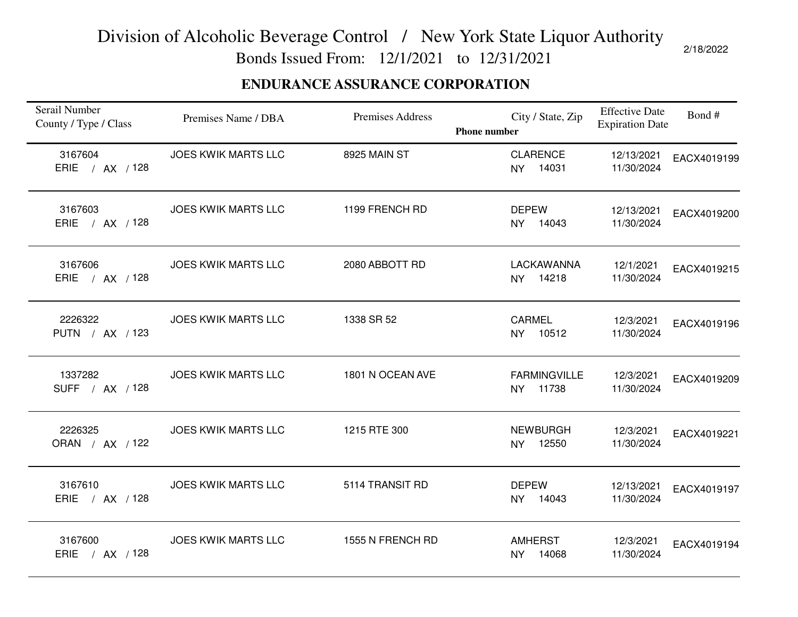Bonds Issued From: 12/1/2021 to 12/31/2021

2/18/2022

### **ENDURANCE ASSURANCE CORPORATION**

| Serail Number<br>County / Type / Class | Premises Name / DBA        | Premises Address | City / State, Zip<br><b>Phone number</b>  | <b>Effective Date</b><br><b>Expiration Date</b> | Bond#       |
|----------------------------------------|----------------------------|------------------|-------------------------------------------|-------------------------------------------------|-------------|
| 3167604<br>ERIE<br>/ AX / 128          | <b>JOES KWIK MARTS LLC</b> | 8925 MAIN ST     | <b>CLARENCE</b><br>NY 14031               | 12/13/2021<br>11/30/2024                        | EACX4019199 |
| 3167603<br>ERIE / AX / 128             | <b>JOES KWIK MARTS LLC</b> | 1199 FRENCH RD   | <b>DEPEW</b><br>NY 14043                  | 12/13/2021<br>11/30/2024                        | EACX4019200 |
| 3167606<br>ERIE / AX / 128             | <b>JOES KWIK MARTS LLC</b> | 2080 ABBOTT RD   | <b>LACKAWANNA</b><br>NY 14218             | 12/1/2021<br>11/30/2024                         | EACX4019215 |
| 2226322<br>PUTN / AX / 123             | <b>JOES KWIK MARTS LLC</b> | 1338 SR 52       | <b>CARMEL</b><br>NY 10512                 | 12/3/2021<br>11/30/2024                         | EACX4019196 |
| 1337282<br>SUFF / AX / 128             | <b>JOES KWIK MARTS LLC</b> | 1801 N OCEAN AVE | <b>FARMINGVILLE</b><br>11738<br><b>NY</b> | 12/3/2021<br>11/30/2024                         | EACX4019209 |
| 2226325<br>ORAN / AX / 122             | <b>JOES KWIK MARTS LLC</b> | 1215 RTE 300     | <b>NEWBURGH</b><br>NY 12550               | 12/3/2021<br>11/30/2024                         | EACX4019221 |
| 3167610<br>ERIE / AX / 128             | <b>JOES KWIK MARTS LLC</b> | 5114 TRANSIT RD  | <b>DEPEW</b><br>NY 14043                  | 12/13/2021<br>11/30/2024                        | EACX4019197 |
| 3167600<br>ERIE / AX / 128             | <b>JOES KWIK MARTS LLC</b> | 1555 N FRENCH RD | <b>AMHERST</b><br>NY 14068                | 12/3/2021<br>11/30/2024                         | EACX4019194 |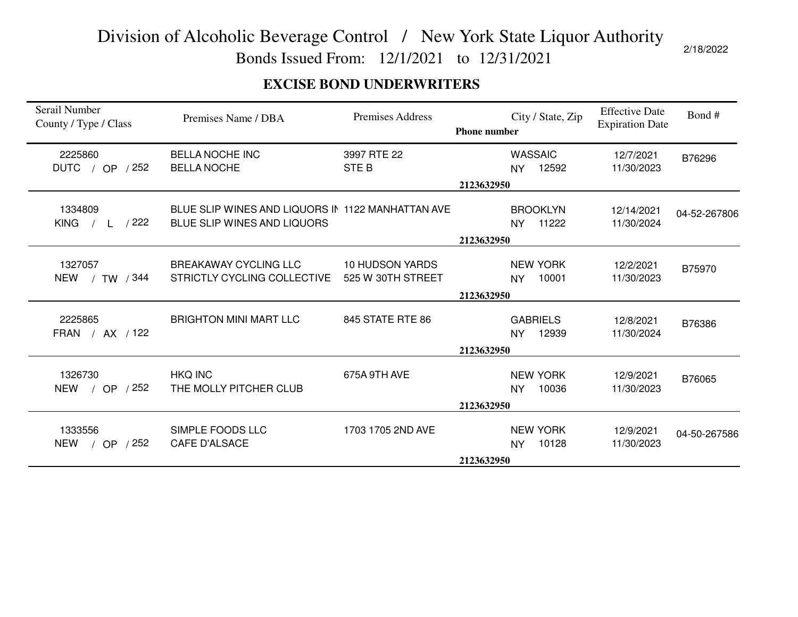Bonds Issued From: 12/1/2021 to 12/31/2021

### **EXCISE BOND UNDERWRITERS**

| Serail Number<br>County / Type / Class | Premises Name / DBA                                                                     | Premises Address                            | <b>Phone number</b> |                       | City / State, Zip        | <b>Effective Date</b><br><b>Expiration Date</b> | Bond#        |
|----------------------------------------|-----------------------------------------------------------------------------------------|---------------------------------------------|---------------------|-----------------------|--------------------------|-------------------------------------------------|--------------|
| 2225860<br>/ OP $/252$<br><b>DUTC</b>  | <b>BELLA NOCHE INC</b><br><b>BELLA NOCHE</b>                                            | 3997 RTE 22<br><b>STEB</b>                  |                     | <b>WASSAIC</b><br>NY. | 12592                    | 12/7/2021<br>11/30/2023                         | B76296       |
|                                        |                                                                                         |                                             | 2123632950          |                       |                          |                                                 |              |
| 1334809<br>/222<br><b>KING</b>         | BLUE SLIP WINES AND LIQUORS IN 1122 MANHATTAN AVE<br><b>BLUE SLIP WINES AND LIQUORS</b> |                                             |                     | NY.                   | <b>BROOKLYN</b><br>11222 | 12/14/2021<br>11/30/2024                        | 04-52-267806 |
|                                        |                                                                                         |                                             | 2123632950          |                       |                          |                                                 |              |
| 1327057<br><b>NEW</b><br>/ TW / 344    | <b>BREAKAWAY CYCLING LLC</b><br>STRICTLY CYCLING COLLECTIVE                             | <b>10 HUDSON YARDS</b><br>525 W 30TH STREET |                     | <b>NY</b>             | <b>NEW YORK</b><br>10001 | 12/2/2021<br>11/30/2023                         | B75970       |
|                                        |                                                                                         |                                             | 2123632950          |                       |                          |                                                 |              |
| 2225865<br>/ $AX$ / 122<br><b>FRAN</b> | <b>BRIGHTON MINI MART LLC</b>                                                           | 845 STATE RTE 86                            | 2123632950          | NY                    | <b>GABRIELS</b><br>12939 | 12/8/2021<br>11/30/2024                         | B76386       |
|                                        |                                                                                         |                                             |                     |                       |                          |                                                 |              |
| 1326730<br>/ OP $/252$<br><b>NEW</b>   | <b>HKQ INC</b><br>THE MOLLY PITCHER CLUB                                                | 675A 9TH AVE                                |                     | NY.                   | <b>NEW YORK</b><br>10036 | 12/9/2021<br>11/30/2023                         | B76065       |
|                                        |                                                                                         |                                             | 2123632950          |                       |                          |                                                 |              |
| 1333556<br>/252<br><b>NEW</b><br>OP    | SIMPLE FOODS LLC<br><b>CAFE D'ALSACE</b>                                                | 1703 1705 2ND AVE                           |                     | NY.                   | <b>NEW YORK</b><br>10128 | 12/9/2021<br>11/30/2023                         | 04-50-267586 |
|                                        |                                                                                         |                                             | 2123632950          |                       |                          |                                                 |              |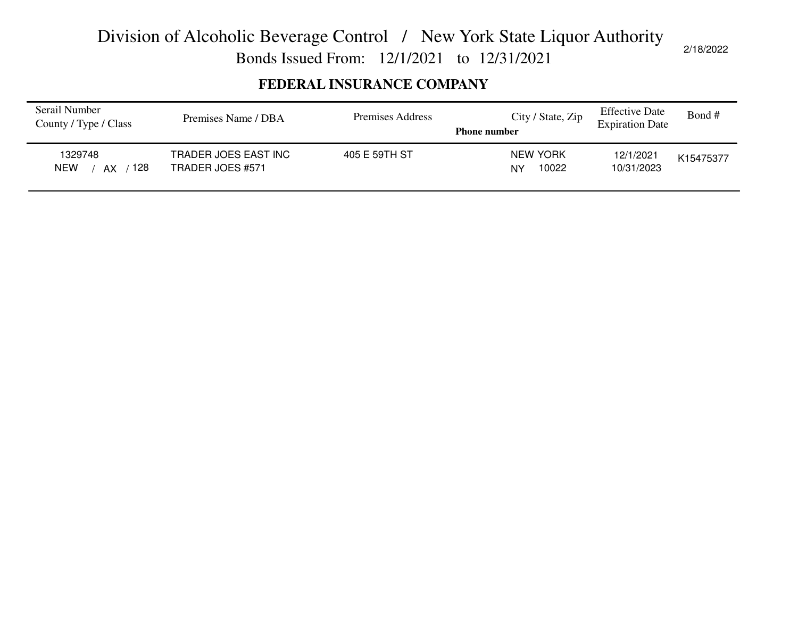Bonds Issued From: 12/1/2021 to 12/31/2021

### **FEDERAL INSURANCE COMPANY**

| Serail Number<br>County / Type / Class | Premises Name / DBA                      | Premises Address | City / State, Zip<br><b>Phone number</b> | <b>Effective Date</b><br><b>Expiration Date</b> | Bond #    |
|----------------------------------------|------------------------------------------|------------------|------------------------------------------|-------------------------------------------------|-----------|
| 1329748<br>128<br><b>NEW</b><br>AX     | TRADER JOES EAST INC<br>TRADER JOES #571 | 405 E 59TH ST    | <b>NEW YORK</b><br>10022<br>NY           | 12/1/2021<br>10/31/2023                         | K15475377 |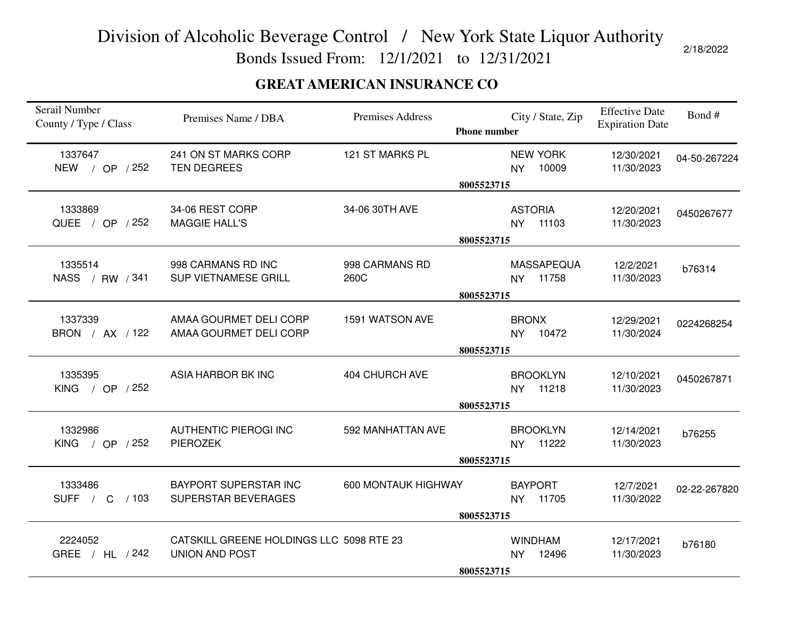Bonds Issued From: 12/1/2021 to 12/31/2021

2/18/2022

### **GREAT AMERICAN INSURANCE CO**

| Serail Number<br>County / Type / Class | Premises Name / DBA                                               | Premises Address       | <b>Phone number</b> |                           | City / State, Zip           | <b>Effective Date</b><br><b>Expiration Date</b> | Bond#        |  |  |
|----------------------------------------|-------------------------------------------------------------------|------------------------|---------------------|---------------------------|-----------------------------|-------------------------------------------------|--------------|--|--|
| 1337647<br>NEW / OP / 252              | 241 ON ST MARKS CORP<br><b>TEN DEGREES</b>                        | 121 ST MARKS PL        |                     | <b>NY</b>                 | <b>NEW YORK</b><br>10009    | 12/30/2021<br>11/30/2023                        | 04-50-267224 |  |  |
|                                        |                                                                   |                        | 8005523715          |                           |                             |                                                 |              |  |  |
| 1333869<br>QUEE / OP / 252             | 34-06 REST CORP<br><b>MAGGIE HALL'S</b>                           | 34-06 30TH AVE         |                     | <b>NY</b>                 | <b>ASTORIA</b><br>11103     | 12/20/2021<br>11/30/2023                        | 0450267677   |  |  |
|                                        |                                                                   |                        | 8005523715          |                           |                             |                                                 |              |  |  |
| 1335514<br>NASS / RW / 341             | 998 CARMANS RD INC<br>SUP VIETNAMESE GRILL                        | 998 CARMANS RD<br>260C |                     |                           | MASSAPEQUA<br>NY 11758      | 12/2/2021<br>11/30/2023                         | b76314       |  |  |
|                                        |                                                                   | 8005523715             |                     |                           |                             |                                                 |              |  |  |
| 1337339<br>BRON / AX / 122             | AMAA GOURMET DELI CORP<br>AMAA GOURMET DELI CORP                  | 1591 WATSON AVE        |                     | <b>BRONX</b><br><b>NY</b> | 10472                       | 12/29/2021<br>11/30/2024                        | 0224268254   |  |  |
|                                        |                                                                   |                        | 8005523715          |                           |                             |                                                 |              |  |  |
| 1335395<br>KING / OP $/252$            | ASIA HARBOR BK INC                                                | 404 CHURCH AVE         | 8005523715          |                           | <b>BROOKLYN</b><br>NY 11218 | 12/10/2021<br>11/30/2023                        | 0450267871   |  |  |
| 1332986<br>KING / OP $/252$            | <b>AUTHENTIC PIEROGI INC</b><br><b>PIEROZEK</b>                   | 592 MANHATTAN AVE      |                     | <b>NY</b>                 | <b>BROOKLYN</b><br>11222    | 12/14/2021<br>11/30/2023                        | b76255       |  |  |
|                                        |                                                                   |                        | 8005523715          |                           |                             |                                                 |              |  |  |
| 1333486<br>/103<br>SUFF / C            | <b>BAYPORT SUPERSTAR INC</b><br>SUPERSTAR BEVERAGES               | 600 MONTAUK HIGHWAY    |                     |                           | <b>BAYPORT</b><br>NY 11705  | 12/7/2021<br>11/30/2022                         | 02-22-267820 |  |  |
|                                        |                                                                   |                        | 8005523715          |                           |                             |                                                 |              |  |  |
| 2224052<br>GREE / HL / 242             | CATSKILL GREENE HOLDINGS LLC 5098 RTE 23<br><b>UNION AND POST</b> |                        | 8005523715          | <b>NY</b>                 | <b>WINDHAM</b><br>12496     | 12/17/2021<br>11/30/2023                        | b76180       |  |  |
|                                        |                                                                   |                        |                     |                           |                             |                                                 |              |  |  |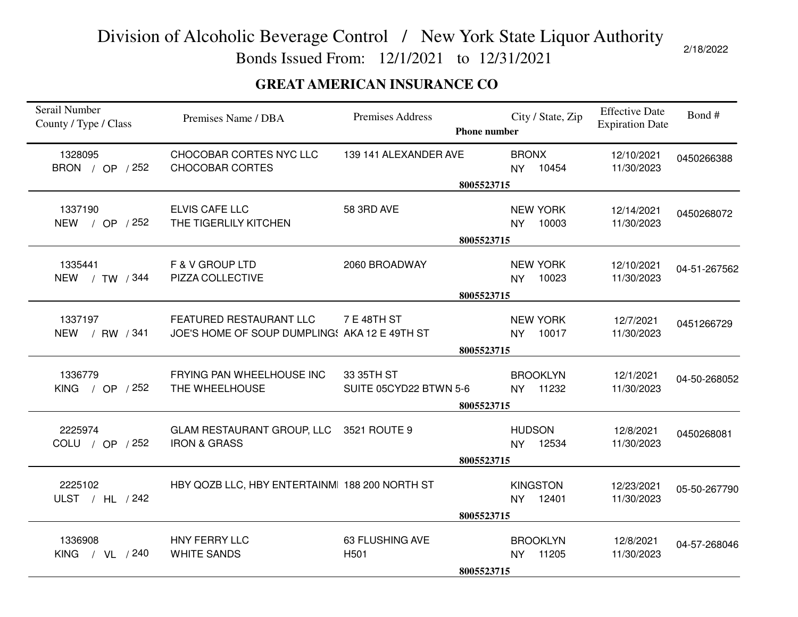Bonds Issued From: 12/1/2021 to 12/31/2021

### **GREAT AMERICAN INSURANCE CO**

| Serail Number<br>County / Type / Class | Premises Name / DBA                                                      | Premises Address                     | <b>Phone number</b> |                           | City / State, Zip           | <b>Effective Date</b><br><b>Expiration Date</b> | Bond#        |  |  |
|----------------------------------------|--------------------------------------------------------------------------|--------------------------------------|---------------------|---------------------------|-----------------------------|-------------------------------------------------|--------------|--|--|
| 1328095<br>BRON / OP / 252             | CHOCOBAR CORTES NYC LLC<br><b>CHOCOBAR CORTES</b>                        | 139 141 ALEXANDER AVE                |                     | <b>BRONX</b><br><b>NY</b> | 10454                       | 12/10/2021<br>11/30/2023                        | 0450266388   |  |  |
|                                        |                                                                          |                                      | 8005523715          |                           |                             |                                                 |              |  |  |
| 1337190<br>NEW / OP / 252              | <b>ELVIS CAFE LLC</b><br>THE TIGERLILY KITCHEN                           | 58 3RD AVE                           |                     | <b>NY</b>                 | <b>NEW YORK</b><br>10003    | 12/14/2021<br>11/30/2023                        | 0450268072   |  |  |
|                                        |                                                                          | 8005523715                           |                     |                           |                             |                                                 |              |  |  |
| 1335441<br>NEW / TW / 344              | F & V GROUP LTD<br>PIZZA COLLECTIVE                                      | 2060 BROADWAY                        |                     | <b>NY</b>                 | <b>NEW YORK</b><br>10023    | 12/10/2021<br>11/30/2023                        | 04-51-267562 |  |  |
|                                        | 8005523715                                                               |                                      |                     |                           |                             |                                                 |              |  |  |
| 1337197<br>NEW / RW / 341              | FEATURED RESTAURANT LLC<br>JOE'S HOME OF SOUP DUMPLING! AKA 12 E 49TH ST | 7 E 48TH ST                          |                     | <b>NY</b>                 | <b>NEW YORK</b><br>10017    | 12/7/2021<br>11/30/2023                         | 0451266729   |  |  |
|                                        |                                                                          |                                      | 8005523715          |                           |                             |                                                 |              |  |  |
| 1336779<br>KING / OP $/252$            | FRYING PAN WHEELHOUSE INC<br>THE WHEELHOUSE                              | 33 35TH ST<br>SUITE 05CYD22 BTWN 5-6 | 8005523715          |                           | <b>BROOKLYN</b><br>NY 11232 | 12/1/2021<br>11/30/2023                         | 04-50-268052 |  |  |
| 2225974<br>COLU / OP / 252             | <b>GLAM RESTAURANT GROUP, LLC</b><br><b>IRON &amp; GRASS</b>             | 3521 ROUTE 9                         |                     | <b>HUDSON</b>             | NY 12534                    | 12/8/2021<br>11/30/2023                         | 0450268081   |  |  |
|                                        |                                                                          |                                      | 8005523715          |                           |                             |                                                 |              |  |  |
| 2225102<br>ULST / HL / 242             | HBY QOZB LLC, HBY ENTERTAINM 188 200 NORTH ST                            |                                      |                     | <b>NY</b>                 | <b>KINGSTON</b><br>12401    | 12/23/2021<br>11/30/2023                        | 05-50-267790 |  |  |
|                                        |                                                                          |                                      | 8005523715          |                           |                             |                                                 |              |  |  |
| 1336908<br>KING / VL / 240             | HNY FERRY LLC<br><b>WHITE SANDS</b>                                      | 63 FLUSHING AVE<br>H501              |                     | <b>NY</b>                 | <b>BROOKLYN</b><br>11205    | 12/8/2021<br>11/30/2023                         | 04-57-268046 |  |  |
|                                        |                                                                          |                                      | 8005523715          |                           |                             |                                                 |              |  |  |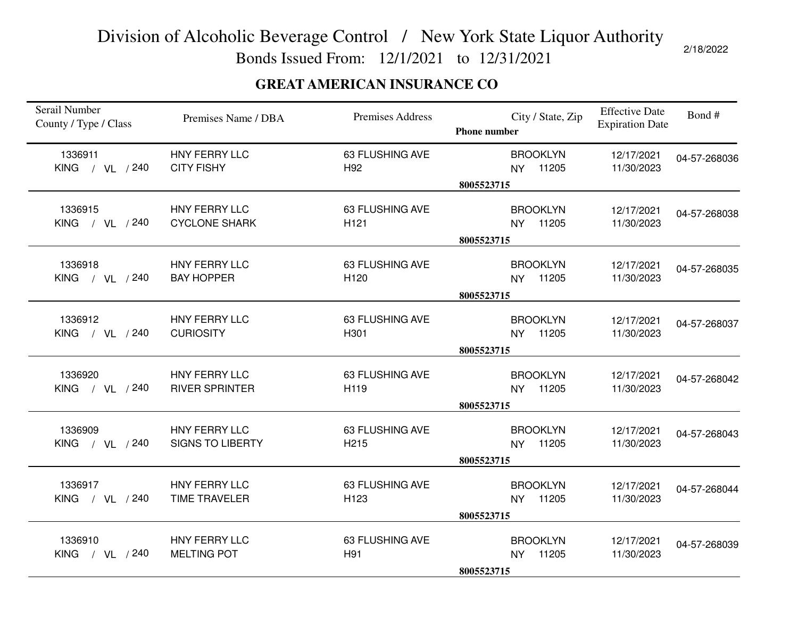Bonds Issued From: 12/1/2021 to 12/31/2021

### **GREAT AMERICAN INSURANCE CO**

| Serail Number<br>County / Type / Class | Premises Name / DBA                           | <b>Premises Address</b>             | City / State, Zip<br><b>Phone number</b>            | <b>Effective Date</b><br><b>Expiration Date</b> | Bond#        |  |  |  |  |
|----------------------------------------|-----------------------------------------------|-------------------------------------|-----------------------------------------------------|-------------------------------------------------|--------------|--|--|--|--|
| 1336911<br>KING / VL / 240             | <b>HNY FERRY LLC</b><br><b>CITY FISHY</b>     | 63 FLUSHING AVE<br>H92              | <b>BROOKLYN</b><br>NY 11205                         | 12/17/2021<br>11/30/2023                        | 04-57-268036 |  |  |  |  |
|                                        |                                               |                                     | 8005523715                                          |                                                 |              |  |  |  |  |
| 1336915<br>KING / VL / 240             | <b>HNY FERRY LLC</b><br><b>CYCLONE SHARK</b>  | 63 FLUSHING AVE<br>H121             | <b>BROOKLYN</b><br>NY 11205                         | 12/17/2021<br>11/30/2023                        | 04-57-268038 |  |  |  |  |
|                                        |                                               | 8005523715                          |                                                     |                                                 |              |  |  |  |  |
| 1336918<br>KING / VL / 240             | <b>HNY FERRY LLC</b><br><b>BAY HOPPER</b>     | 63 FLUSHING AVE<br>H120             | <b>BROOKLYN</b><br>NY 11205                         | 12/17/2021<br>11/30/2023                        | 04-57-268035 |  |  |  |  |
|                                        |                                               |                                     | 8005523715                                          |                                                 |              |  |  |  |  |
| 1336912<br>KING / VL / 240             | <b>HNY FERRY LLC</b><br><b>CURIOSITY</b>      | 63 FLUSHING AVE<br>H301             | <b>BROOKLYN</b><br>NY 11205                         | 12/17/2021<br>11/30/2023                        | 04-57-268037 |  |  |  |  |
|                                        |                                               |                                     | 8005523715                                          |                                                 |              |  |  |  |  |
| 1336920<br>KING / VL / 240             | <b>HNY FERRY LLC</b><br><b>RIVER SPRINTER</b> | 63 FLUSHING AVE<br>H119             | <b>BROOKLYN</b><br>NY 11205<br>8005523715           | 12/17/2021<br>11/30/2023                        | 04-57-268042 |  |  |  |  |
| 1336909<br>KING / VL / 240             | HNY FERRY LLC<br><b>SIGNS TO LIBERTY</b>      | 63 FLUSHING AVE<br>H <sub>215</sub> | <b>BROOKLYN</b><br>NY 11205<br>8005523715           | 12/17/2021<br>11/30/2023                        | 04-57-268043 |  |  |  |  |
| 1336917<br>KING / VL / 240             | <b>HNY FERRY LLC</b><br><b>TIME TRAVELER</b>  | 63 FLUSHING AVE<br>H <sub>123</sub> | <b>BROOKLYN</b><br>NY 11205<br>8005523715           | 12/17/2021<br>11/30/2023                        | 04-57-268044 |  |  |  |  |
| 1336910<br>KING / VL / 240             | <b>HNY FERRY LLC</b><br><b>MELTING POT</b>    | 63 FLUSHING AVE<br>H91              | <b>BROOKLYN</b><br>11205<br><b>NY</b><br>8005523715 | 12/17/2021<br>11/30/2023                        | 04-57-268039 |  |  |  |  |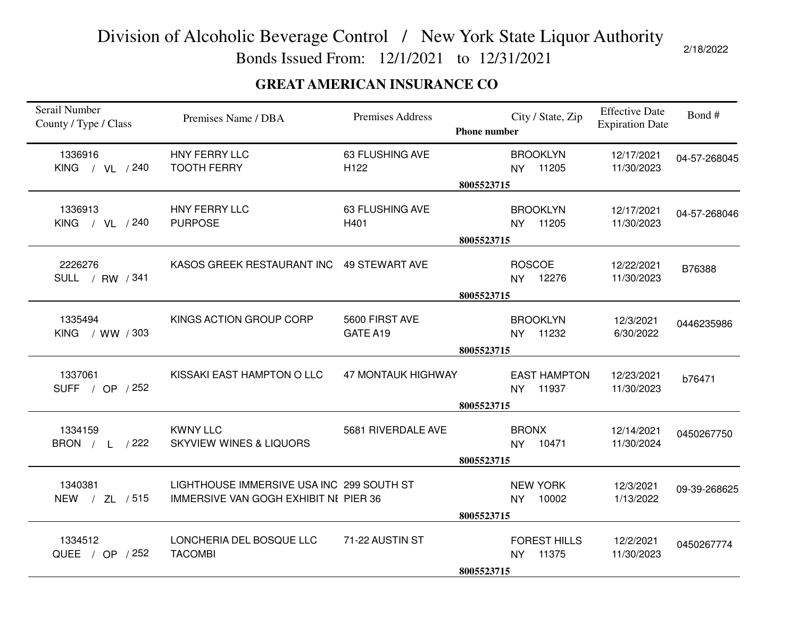Bonds Issued From: 12/1/2021 to 12/31/2021

### **GREAT AMERICAN INSURANCE CO**

| Serail Number<br>County / Type / Class | Premises Name / DBA                                                                | Premises Address                    | <b>Phone number</b> |              | City / State, Zip            | <b>Effective Date</b><br><b>Expiration Date</b> | Bond#        |
|----------------------------------------|------------------------------------------------------------------------------------|-------------------------------------|---------------------|--------------|------------------------------|-------------------------------------------------|--------------|
| 1336916<br>KING / VL / 240             | HNY FERRY LLC<br><b>TOOTH FERRY</b>                                                | 63 FLUSHING AVE<br>H <sub>122</sub> |                     |              | <b>BROOKLYN</b><br>NY 11205  | 12/17/2021<br>11/30/2023                        | 04-57-268045 |
|                                        |                                                                                    |                                     | 8005523715          |              |                              |                                                 |              |
| 1336913<br>KING / VL / 240             | HNY FERRY LLC<br><b>PURPOSE</b>                                                    | 63 FLUSHING AVE<br>H401             |                     |              | <b>BROOKLYN</b><br>NY 11205  | 12/17/2021<br>11/30/2023                        | 04-57-268046 |
|                                        |                                                                                    |                                     | 8005523715          |              |                              |                                                 |              |
| 2226276<br>SULL / RW / 341             | KASOS GREEK RESTAURANT INC 49 STEWART AVE                                          |                                     |                     |              | <b>ROSCOE</b><br>NY 12276    | 12/22/2021<br>11/30/2023                        | B76388       |
|                                        |                                                                                    |                                     | 8005523715          |              |                              |                                                 |              |
| 1335494<br>KING / WW / 303             | KINGS ACTION GROUP CORP                                                            | 5600 FIRST AVE<br>GATE A19          |                     |              | <b>BROOKLYN</b><br>NY 11232  | 12/3/2021<br>6/30/2022                          | 0446235986   |
|                                        |                                                                                    |                                     | 8005523715          |              |                              |                                                 |              |
| 1337061<br>SUFF / OP / 252             | KISSAKI EAST HAMPTON O LLC                                                         | <b>47 MONTAUK HIGHWAY</b>           | 8005523715          | <b>NY</b>    | <b>EAST HAMPTON</b><br>11937 | 12/23/2021<br>11/30/2023                        | b76471       |
| 1334159<br>BRON / L /222               | <b>KWNY LLC</b><br><b>SKYVIEW WINES &amp; LIQUORS</b>                              | 5681 RIVERDALE AVE                  |                     | <b>BRONX</b> | NY 10471                     | 12/14/2021<br>11/30/2024                        | 0450267750   |
|                                        |                                                                                    |                                     | 8005523715          |              |                              |                                                 |              |
| 1340381<br>NEW / ZL / 515              | LIGHTHOUSE IMMERSIVE USA INC 299 SOUTH ST<br>IMMERSIVE VAN GOGH EXHIBIT NE PIER 36 |                                     |                     | <b>NY</b>    | <b>NEW YORK</b><br>10002     | 12/3/2021<br>1/13/2022                          | 09-39-268625 |
|                                        |                                                                                    |                                     | 8005523715          |              |                              |                                                 |              |
| 1334512<br>QUEE / OP / 252             | LONCHERIA DEL BOSQUE LLC<br><b>TACOMBI</b>                                         | 71-22 AUSTIN ST                     |                     | <b>NY</b>    | <b>FOREST HILLS</b><br>11375 | 12/2/2021<br>11/30/2023                         | 0450267774   |
|                                        |                                                                                    |                                     | 8005523715          |              |                              |                                                 |              |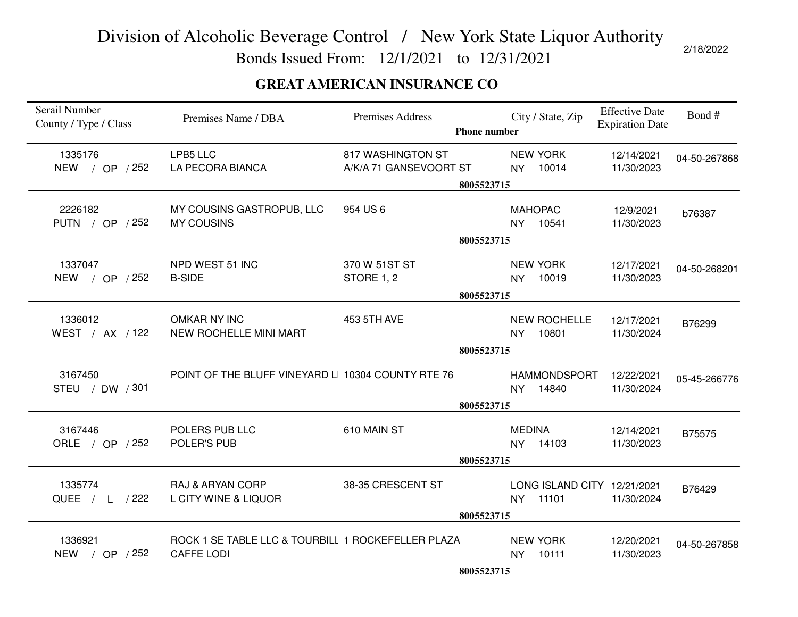Bonds Issued From: 12/1/2021 to 12/31/2021

### **GREAT AMERICAN INSURANCE CO**

| Serail Number<br>County / Type / Class | Premises Name / DBA                                                     | Premises Address                            | <b>Phone number</b> |               | City / State, Zip                    | <b>Effective Date</b><br><b>Expiration Date</b> | Bond#        |
|----------------------------------------|-------------------------------------------------------------------------|---------------------------------------------|---------------------|---------------|--------------------------------------|-------------------------------------------------|--------------|
| 1335176<br>NEW / OP / 252              | LPB5 LLC<br>LA PECORA BIANCA                                            | 817 WASHINGTON ST<br>A/K/A 71 GANSEVOORT ST |                     | <b>NY</b>     | <b>NEW YORK</b><br>10014             | 12/14/2021<br>11/30/2023                        | 04-50-267868 |
|                                        |                                                                         |                                             | 8005523715          |               |                                      |                                                 |              |
| 2226182<br>PUTN / OP / 252             | MY COUSINS GASTROPUB, LLC<br><b>MY COUSINS</b>                          | 954 US 6                                    |                     |               | <b>MAHOPAC</b><br>NY 10541           | 12/9/2021<br>11/30/2023                         | b76387       |
|                                        |                                                                         |                                             | 8005523715          |               |                                      |                                                 |              |
| 1337047<br>NEW / OP / 252              | NPD WEST 51 INC<br><b>B-SIDE</b>                                        | 370 W 51ST ST<br>STORE 1, 2                 |                     | <b>NY</b>     | <b>NEW YORK</b><br>10019             | 12/17/2021<br>11/30/2023                        | 04-50-268201 |
|                                        |                                                                         |                                             | 8005523715          |               |                                      |                                                 |              |
| 1336012<br>WEST / AX / 122             | <b>OMKAR NY INC</b><br>NEW ROCHELLE MINI MART                           | 453 5TH AVE                                 |                     | <b>NY</b>     | <b>NEW ROCHELLE</b><br>10801         | 12/17/2021<br>11/30/2024                        | B76299       |
|                                        |                                                                         |                                             | 8005523715          |               |                                      |                                                 |              |
| 3167450<br>STEU / DW / 301             | POINT OF THE BLUFF VINEYARD L 10304 COUNTY RTE 76                       |                                             |                     | <b>NY</b>     | HAMMONDSPORT<br>14840                | 12/22/2021<br>11/30/2024                        | 05-45-266776 |
|                                        |                                                                         |                                             | 8005523715          |               |                                      |                                                 |              |
| 3167446<br>ORLE / OP / 252             | POLERS PUB LLC<br>POLER'S PUB                                           | 610 MAIN ST                                 |                     | <b>MEDINA</b> | NY 14103                             | 12/14/2021<br>11/30/2023                        | B75575       |
|                                        |                                                                         |                                             | 8005523715          |               |                                      |                                                 |              |
| 1335774<br>QUEE / L / 222              | RAJ & ARYAN CORP<br>L CITY WINE & LIQUOR                                | 38-35 CRESCENT ST                           |                     | <b>NY</b>     | LONG ISLAND CITY 12/21/2021<br>11101 | 11/30/2024                                      | B76429       |
|                                        |                                                                         |                                             | 8005523715          |               |                                      |                                                 |              |
| 1336921<br>NEW / OP / 252              | ROCK 1 SE TABLE LLC & TOURBILL 1 ROCKEFELLER PLAZA<br><b>CAFFE LODI</b> |                                             |                     | <b>NY</b>     | <b>NEW YORK</b><br>10111             | 12/20/2021<br>11/30/2023                        | 04-50-267858 |
|                                        |                                                                         |                                             | 8005523715          |               |                                      |                                                 |              |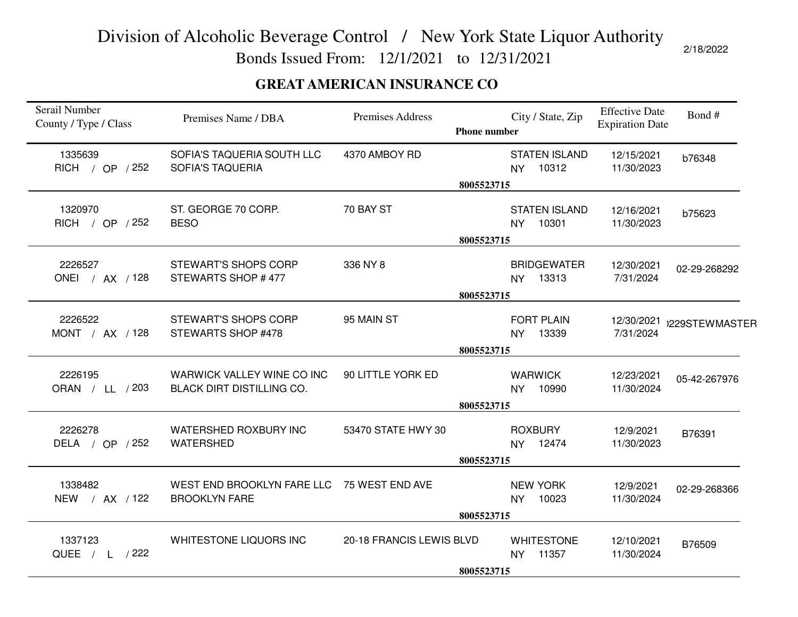Bonds Issued From: 12/1/2021 to 12/31/2021

### **GREAT AMERICAN INSURANCE CO**

| Serail Number<br>County / Type / Class | Premises Name / DBA                                            | Premises Address         | <b>Phone number</b> |           | City / State, Zip                | <b>Effective Date</b><br><b>Expiration Date</b> | Bond#          |  |  |
|----------------------------------------|----------------------------------------------------------------|--------------------------|---------------------|-----------|----------------------------------|-------------------------------------------------|----------------|--|--|
| 1335639<br>RICH / OP / 252             | SOFIA'S TAQUERIA SOUTH LLC<br><b>SOFIA'S TAQUERIA</b>          | 4370 AMBOY RD            |                     |           | <b>STATEN ISLAND</b><br>NY 10312 | 12/15/2021<br>11/30/2023                        | b76348         |  |  |
|                                        |                                                                |                          | 8005523715          |           |                                  |                                                 |                |  |  |
| 1320970<br>RICH / OP / 252             | ST. GEORGE 70 CORP.<br><b>BESO</b>                             | 70 BAY ST                |                     | <b>NY</b> | <b>STATEN ISLAND</b><br>10301    | 12/16/2021<br>11/30/2023                        | b75623         |  |  |
|                                        |                                                                |                          | 8005523715          |           |                                  |                                                 |                |  |  |
| 2226527<br>ONEI / AX / 128             | <b>STEWART'S SHOPS CORP</b><br>STEWARTS SHOP #477              | 336 NY 8                 |                     |           | <b>BRIDGEWATER</b><br>NY 13313   | 12/30/2021<br>7/31/2024                         | 02-29-268292   |  |  |
|                                        |                                                                | 8005523715               |                     |           |                                  |                                                 |                |  |  |
| 2226522<br>MONT / AX / 128             | <b>STEWART'S SHOPS CORP</b><br>STEWARTS SHOP #478              | 95 MAIN ST               |                     |           | <b>FORT PLAIN</b><br>NY 13339    | 12/30/2021<br>7/31/2024                         | )229STEWMASTER |  |  |
|                                        |                                                                |                          | 8005523715          |           |                                  |                                                 |                |  |  |
| 2226195<br>ORAN / LL / 203             | WARWICK VALLEY WINE CO INC<br><b>BLACK DIRT DISTILLING CO.</b> | 90 LITTLE YORK ED        | 8005523715          |           | <b>WARWICK</b><br>NY 10990       | 12/23/2021<br>11/30/2024                        | 05-42-267976   |  |  |
| 2226278<br>DELA / OP / 252             | WATERSHED ROXBURY INC<br><b>WATERSHED</b>                      | 53470 STATE HWY 30       |                     |           | <b>ROXBURY</b><br>NY 12474       | 12/9/2021<br>11/30/2023                         | B76391         |  |  |
|                                        |                                                                |                          | 8005523715          |           |                                  |                                                 |                |  |  |
| 1338482<br>NEW / AX / 122              | WEST END BROOKLYN FARE LLC<br><b>BROOKLYN FARE</b>             | 75 WEST END AVE          |                     |           | <b>NEW YORK</b><br>NY 10023      | 12/9/2021<br>11/30/2024                         | 02-29-268366   |  |  |
|                                        |                                                                |                          | 8005523715          |           |                                  |                                                 |                |  |  |
| 1337123<br>QUEE / L / 222              | WHITESTONE LIQUORS INC                                         | 20-18 FRANCIS LEWIS BLVD |                     | <b>NY</b> | <b>WHITESTONE</b><br>11357       | 12/10/2021<br>11/30/2024                        | B76509         |  |  |
|                                        |                                                                |                          | 8005523715          |           |                                  |                                                 |                |  |  |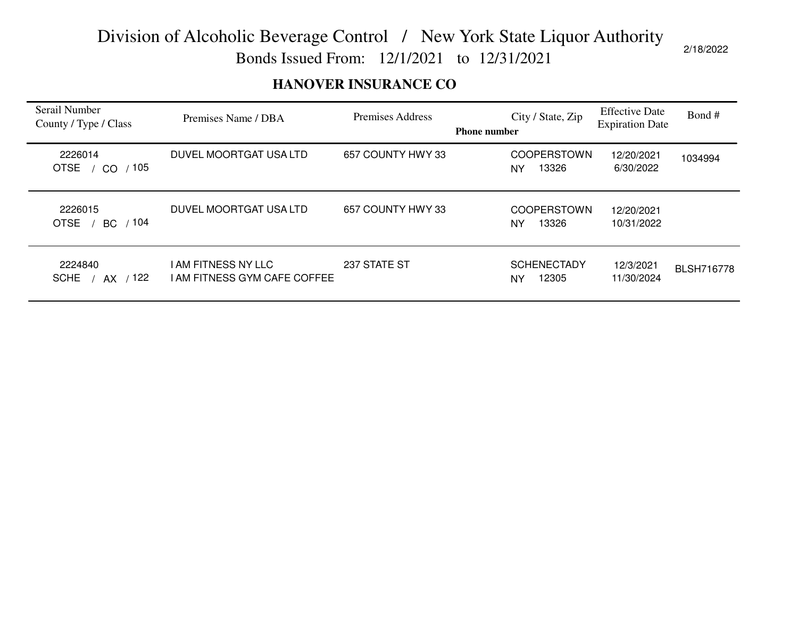Bonds Issued From: 12/1/2021 to 12/31/2021

### **HANOVER INSURANCE CO**

| Serail Number<br>County / Type / Class | Premises Name / DBA                                        | <b>Premises Address</b> | City / State, Zip<br><b>Phone number</b> | <b>Effective Date</b><br><b>Expiration Date</b> | Bond #            |
|----------------------------------------|------------------------------------------------------------|-------------------------|------------------------------------------|-------------------------------------------------|-------------------|
| 2226014<br>/105<br><b>OTSE</b><br>CO   | DUVEL MOORTGAT USA LTD                                     | 657 COUNTY HWY 33       | <b>COOPERSTOWN</b><br>13326<br>NY        | 12/20/2021<br>6/30/2022                         | 1034994           |
| 2226015<br>/ 104<br><b>OTSE</b><br>BC. | DUVEL MOORTGAT USA LTD                                     | 657 COUNTY HWY 33       | <b>COOPERSTOWN</b><br>13326<br>NY        | 12/20/2021<br>10/31/2022                        |                   |
| 2224840<br>/122<br><b>SCHE</b><br>AX.  | I AM FITNESS NY LLC<br><b>I AM FITNESS GYM CAFE COFFEE</b> | 237 STATE ST            | <b>SCHENECTADY</b><br>12305<br>NY        | 12/3/2021<br>11/30/2024                         | <b>BLSH716778</b> |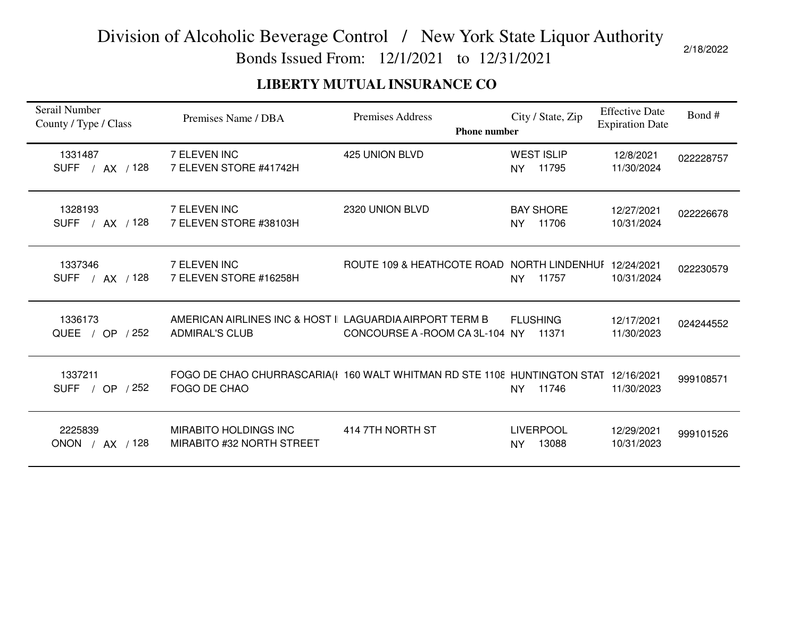Bonds Issued From: 12/1/2021 to 12/31/2021

### **LIBERTY MUTUAL INSURANCE CO**

| Serail Number<br>County / Type / Class | Premises Name / DBA                                                                                 | <b>Premises Address</b><br><b>Phone number</b> | City / State, Zip                          | <b>Effective Date</b><br><b>Expiration Date</b> | Bond #    |
|----------------------------------------|-----------------------------------------------------------------------------------------------------|------------------------------------------------|--------------------------------------------|-------------------------------------------------|-----------|
| 1331487<br>SUFF / AX / 128             | 7 ELEVEN INC<br>7 ELEVEN STORE #41742H                                                              | 425 UNION BLVD                                 | <b>WEST ISLIP</b><br>11795<br>NY I         | 12/8/2021<br>11/30/2024                         | 022228757 |
| 1328193<br>SUFF / AX / 128             | 7 ELEVEN INC<br>7 ELEVEN STORE #38103H                                                              | 2320 UNION BLVD                                | <b>BAY SHORE</b><br>11706<br><b>NY</b>     | 12/27/2021<br>10/31/2024                        | 022226678 |
| 1337346<br>SUFF / AX / 128             | 7 ELEVEN INC<br>7 ELEVEN STORE #16258H                                                              | ROUTE 109 & HEATHCOTE ROAD                     | NORTH LINDENHUF 12/24/2021<br>11757<br>NY. | 10/31/2024                                      | 022230579 |
| 1336173<br>QUEE / OP / 252             | AMERICAN AIRLINES INC & HOST II LAGUARDIA AIRPORT TERM B<br><b>ADMIRAL'S CLUB</b>                   | CONCOURSE A-ROOM CA 3L-104 NY 11371            | <b>FLUSHING</b>                            | 12/17/2021<br>11/30/2023                        | 024244552 |
| 1337211<br>SUFF / OP / 252             | FOGO DE CHAO CHURRASCARIA(I 160 WALT WHITMAN RD STE 1108 HUNTINGTON STAT 12/16/2021<br>FOGO DE CHAO |                                                | 11746<br>NY                                | 11/30/2023                                      | 999108571 |
| 2225839<br>ONON / AX / 128             | <b>MIRABITO HOLDINGS INC</b><br>MIRABITO #32 NORTH STREET                                           | 414 7TH NORTH ST                               | <b>LIVERPOOL</b><br>13088<br>NY.           | 12/29/2021<br>10/31/2023                        | 999101526 |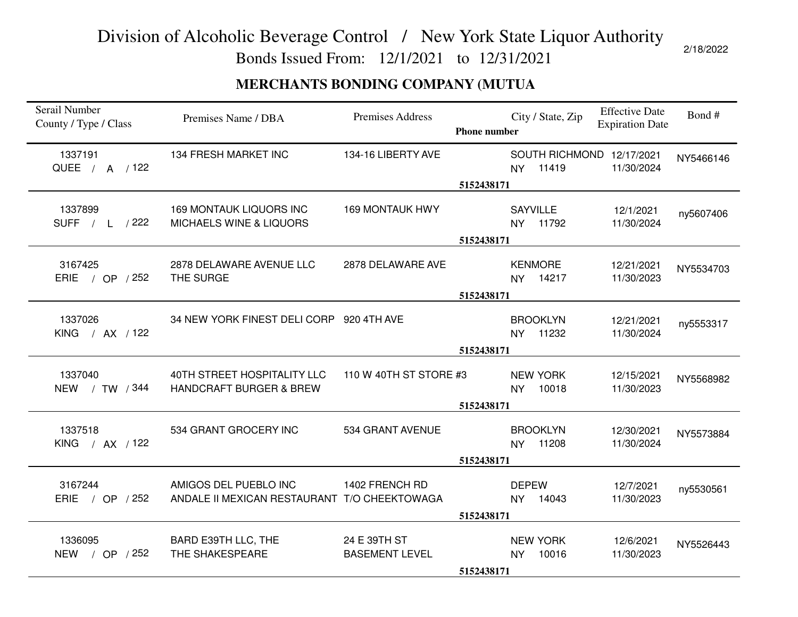Bonds Issued From: 12/1/2021 to 12/31/2021

#### **MERCHANTS BONDING COMPANY (MUTUA**

| Serail Number<br>County / Type / Class | Premises Name / DBA                                                   | <b>Premises Address</b>               | <b>Phone number</b> |              | City / State, Zip           | <b>Effective Date</b><br><b>Expiration Date</b> | Bond#     |
|----------------------------------------|-----------------------------------------------------------------------|---------------------------------------|---------------------|--------------|-----------------------------|-------------------------------------------------|-----------|
| 1337191<br>QUEE / A / 122              | 134 FRESH MARKET INC                                                  | 134-16 LIBERTY AVE                    | 5152438171          |              | NY 11419                    | SOUTH RICHMOND 12/17/2021<br>11/30/2024         | NY5466146 |
| 1337899<br>SUFF / L / 222              | <b>169 MONTAUK LIQUORS INC</b><br>MICHAELS WINE & LIQUORS             | <b>169 MONTAUK HWY</b>                | 5152438171          |              | <b>SAYVILLE</b><br>NY 11792 | 12/1/2021<br>11/30/2024                         | ny5607406 |
| 3167425<br>ERIE / OP / 252             | 2878 DELAWARE AVENUE LLC<br>THE SURGE                                 | 2878 DELAWARE AVE                     | 5152438171          |              | <b>KENMORE</b><br>NY 14217  | 12/21/2021<br>11/30/2023                        | NY5534703 |
| 1337026<br>KING / AX / 122             | 34 NEW YORK FINEST DELI CORP 920 4TH AVE                              |                                       | 5152438171          | <b>NY</b>    | <b>BROOKLYN</b><br>11232    | 12/21/2021<br>11/30/2024                        | ny5553317 |
| 1337040<br>NEW / TW / 344              | 40TH STREET HOSPITALITY LLC<br><b>HANDCRAFT BURGER &amp; BREW</b>     | 110 W 40TH ST STORE #3                | 5152438171          | NY ·         | <b>NEW YORK</b><br>10018    | 12/15/2021<br>11/30/2023                        | NY5568982 |
| 1337518<br>KING / AX / 122             | 534 GRANT GROCERY INC                                                 | 534 GRANT AVENUE                      | 5152438171          |              | <b>BROOKLYN</b><br>NY 11208 | 12/30/2021<br>11/30/2024                        | NY5573884 |
| 3167244<br>ERIE / OP / 252             | AMIGOS DEL PUEBLO INC<br>ANDALE II MEXICAN RESTAURANT T/O CHEEKTOWAGA | 1402 FRENCH RD                        | 5152438171          | <b>DEPEW</b> | NY 14043                    | 12/7/2021<br>11/30/2023                         | ny5530561 |
| 1336095<br>NEW / OP / 252              | BARD E39TH LLC, THE<br>THE SHAKESPEARE                                | 24 E 39TH ST<br><b>BASEMENT LEVEL</b> | 5152438171          | NY ·         | <b>NEW YORK</b><br>10016    | 12/6/2021<br>11/30/2023                         | NY5526443 |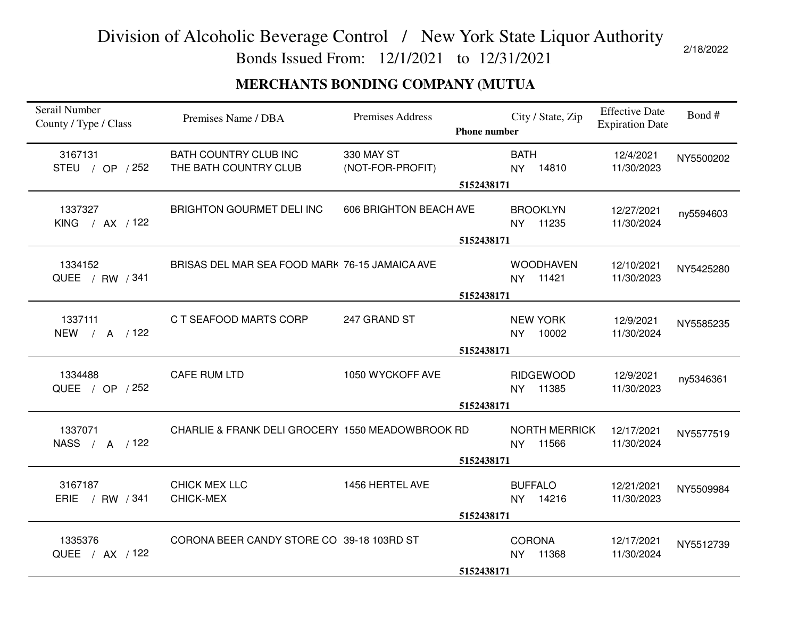Bonds Issued From: 12/1/2021 to 12/31/2021

2/18/2022

| Serail Number<br>County / Type / Class | Premises Name / DBA                                   | <b>Premises Address</b>        | <b>Phone number</b> | City / State, Zip                          | <b>Effective Date</b><br><b>Expiration Date</b> | Bond#     |  |
|----------------------------------------|-------------------------------------------------------|--------------------------------|---------------------|--------------------------------------------|-------------------------------------------------|-----------|--|
| 3167131<br>STEU / OP / 252             | <b>BATH COUNTRY CLUB INC</b><br>THE BATH COUNTRY CLUB | 330 MAY ST<br>(NOT-FOR-PROFIT) |                     | <b>BATH</b><br>14810<br><b>NY</b>          | 12/4/2021<br>11/30/2023                         | NY5500202 |  |
|                                        |                                                       |                                | 5152438171          |                                            |                                                 |           |  |
| 1337327<br>KING / AX / 122             | BRIGHTON GOURMET DELI INC                             | 606 BRIGHTON BEACH AVE         |                     | <b>BROOKLYN</b><br>11235<br><b>NY</b>      | 12/27/2021<br>11/30/2024                        | ny5594603 |  |
|                                        |                                                       |                                | 5152438171          |                                            |                                                 |           |  |
| 1334152<br>QUEE / RW / 341             | BRISAS DEL MAR SEA FOOD MARK 76-15 JAMAICA AVE        |                                |                     | <b>WOODHAVEN</b><br>11421<br><b>NY</b>     | 12/10/2021<br>11/30/2023                        | NY5425280 |  |
|                                        | 5152438171                                            |                                |                     |                                            |                                                 |           |  |
| 1337111<br>NEW / A / 122               | C T SEAFOOD MARTS CORP                                | 247 GRAND ST                   |                     | <b>NEW YORK</b><br>10002<br><b>NY</b>      | 12/9/2021<br>11/30/2024                         | NY5585235 |  |
|                                        |                                                       |                                | 5152438171          |                                            |                                                 |           |  |
| 1334488<br>QUEE / OP / 252             | <b>CAFE RUM LTD</b>                                   | 1050 WYCKOFF AVE               | 5152438171          | <b>RIDGEWOOD</b><br>11385<br><b>NY</b>     | 12/9/2021<br>11/30/2023                         | ny5346361 |  |
|                                        |                                                       |                                |                     |                                            |                                                 |           |  |
| 1337071<br>NASS / A / 122              | CHARLIE & FRANK DELI GROCERY 1550 MEADOWBROOK RD      |                                |                     | <b>NORTH MERRICK</b><br>11566<br><b>NY</b> | 12/17/2021<br>11/30/2024                        | NY5577519 |  |
|                                        |                                                       |                                | 5152438171          |                                            |                                                 |           |  |
| 3167187<br>/ RW / 341<br>ERIE          | CHICK MEX LLC<br>CHICK-MEX                            | 1456 HERTEL AVE                |                     | <b>BUFFALO</b><br>14216<br><b>NY</b>       | 12/21/2021<br>11/30/2023                        | NY5509984 |  |
|                                        |                                                       |                                | 5152438171          |                                            |                                                 |           |  |
| 1335376<br>QUEE / AX / 122             | CORONA BEER CANDY STORE CO 39-18 103RD ST             |                                |                     | <b>CORONA</b><br>11368<br><b>NY</b>        | 12/17/2021<br>11/30/2024                        | NY5512739 |  |
|                                        |                                                       |                                | 5152438171          |                                            |                                                 |           |  |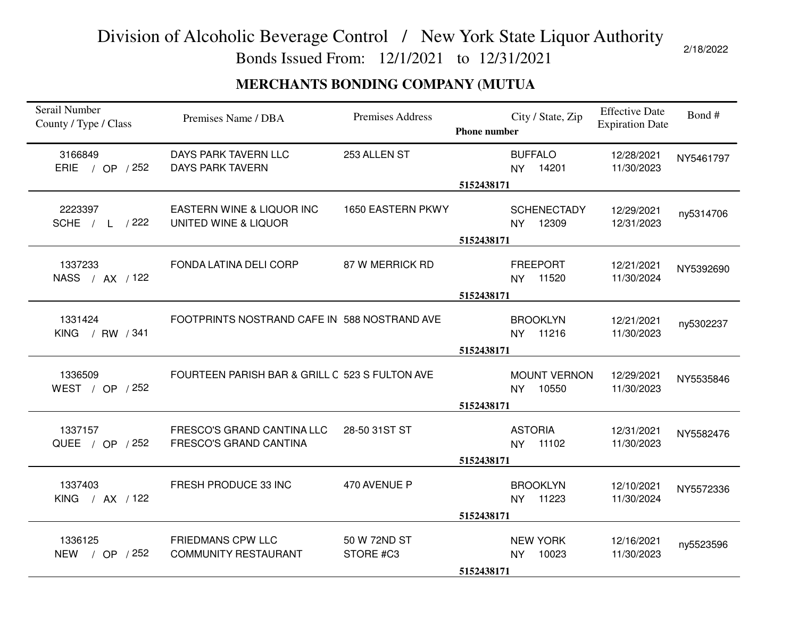Bonds Issued From: 12/1/2021 to 12/31/2021

2/18/2022

| Serail Number<br>County / Type / Class | Premises Name / DBA                                     | <b>Premises Address</b>   | <b>Phone number</b>      | City / State, Zip                         | <b>Effective Date</b><br><b>Expiration Date</b> | Bond#     |
|----------------------------------------|---------------------------------------------------------|---------------------------|--------------------------|-------------------------------------------|-------------------------------------------------|-----------|
| 3166849<br>ERIE / OP / 252             | DAYS PARK TAVERN LLC<br><b>DAYS PARK TAVERN</b>         | 253 ALLEN ST              | 5152438171               | <b>BUFFALO</b><br>NY 14201                | 12/28/2021<br>11/30/2023                        | NY5461797 |
| 2223397<br>SCHE / L / 222              | EASTERN WINE & LIQUOR INC<br>UNITED WINE & LIQUOR       | 1650 EASTERN PKWY         | 5152438171               | <b>SCHENECTADY</b><br>12309<br><b>NY</b>  | 12/29/2021<br>12/31/2023                        | ny5314706 |
| 1337233<br>NASS / AX / 122             | FONDA LATINA DELI CORP                                  | 87 W MERRICK RD           | 5152438171               | <b>FREEPORT</b><br>NY 11520               | 12/21/2021<br>11/30/2024                        | NY5392690 |
| 1331424<br>KING / RW / 341             | FOOTPRINTS NOSTRAND CAFE IN 588 NOSTRAND AVE            |                           |                          | <b>BROOKLYN</b><br>11216<br><b>NY</b>     | 12/21/2021<br>11/30/2023                        | ny5302237 |
| 1336509<br>WEST / OP $/252$            | FOURTEEN PARISH BAR & GRILL C 523 S FULTON AVE          |                           | 5152438171<br>5152438171 | <b>MOUNT VERNON</b><br>10550<br><b>NY</b> | 12/29/2021<br>11/30/2023                        | NY5535846 |
| 1337157<br>QUEE / OP / 252             | FRESCO'S GRAND CANTINA LLC<br>FRESCO'S GRAND CANTINA    | 28-50 31ST ST             | 5152438171               | <b>ASTORIA</b><br>11102<br><b>NY</b>      | 12/31/2021<br>11/30/2023                        | NY5582476 |
| 1337403<br>KING / AX / 122             | FRESH PRODUCE 33 INC                                    | 470 AVENUE P              | 5152438171               | <b>BROOKLYN</b><br>NY 11223               | 12/10/2021<br>11/30/2024                        | NY5572336 |
| 1336125<br>NEW / OP / 252              | <b>FRIEDMANS CPW LLC</b><br><b>COMMUNITY RESTAURANT</b> | 50 W 72ND ST<br>STORE #C3 | 5152438171               | <b>NEW YORK</b><br>10023<br><b>NY</b>     | 12/16/2021<br>11/30/2023                        | ny5523596 |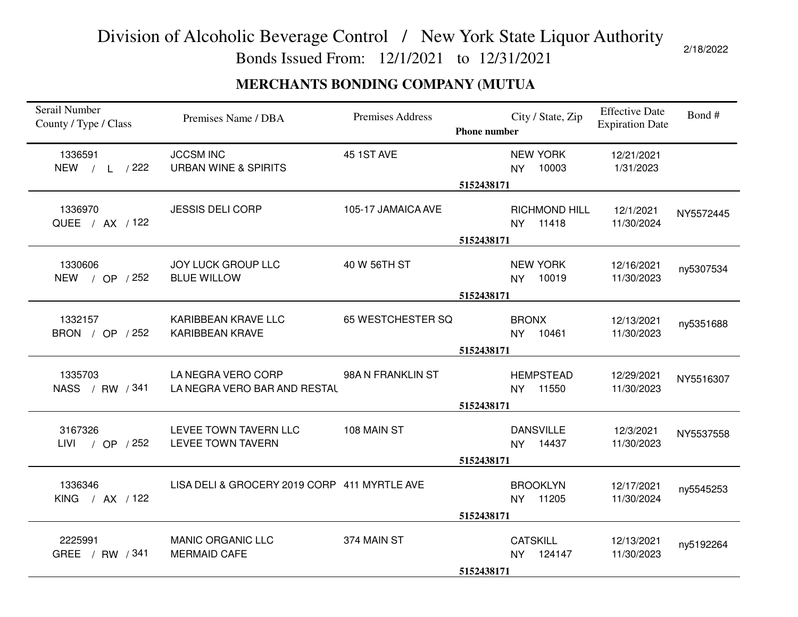Bonds Issued From: 12/1/2021 to 12/31/2021

2/18/2022

| Serail Number<br>County / Type / Class | Premises Name / DBA                                 | <b>Premises Address</b> | <b>Phone number</b> | City / State, Zip                          | <b>Effective Date</b><br><b>Expiration Date</b> | Bond#     |
|----------------------------------------|-----------------------------------------------------|-------------------------|---------------------|--------------------------------------------|-------------------------------------------------|-----------|
| 1336591<br>NEW / L /222                | <b>JCCSM INC</b><br><b>URBAN WINE &amp; SPIRITS</b> | 45 1ST AVE              |                     | <b>NEW YORK</b><br>10003<br><b>NY</b>      | 12/21/2021<br>1/31/2023                         |           |
|                                        |                                                     |                         | 5152438171          |                                            |                                                 |           |
| 1336970<br>QUEE / AX / 122             | <b>JESSIS DELI CORP</b>                             | 105-17 JAMAICA AVE      |                     | <b>RICHMOND HILL</b><br>11418<br><b>NY</b> | 12/1/2021<br>11/30/2024                         | NY5572445 |
|                                        |                                                     |                         | 5152438171          |                                            |                                                 |           |
| 1330606<br>NEW / OP / 252              | <b>JOY LUCK GROUP LLC</b><br><b>BLUE WILLOW</b>     | 40 W 56TH ST            |                     | <b>NEW YORK</b><br>10019<br><b>NY</b>      | 12/16/2021<br>11/30/2023                        | ny5307534 |
|                                        |                                                     |                         | 5152438171          |                                            |                                                 |           |
| 1332157<br>BRON / OP / 252             | KARIBBEAN KRAVE LLC<br><b>KARIBBEAN KRAVE</b>       | 65 WESTCHESTER SQ       |                     | <b>BRONX</b><br>10461<br>NY.               | 12/13/2021<br>11/30/2023                        | ny5351688 |
|                                        |                                                     |                         | 5152438171          |                                            |                                                 |           |
| 1335703<br>NASS / RW / 341             | LA NEGRA VERO CORP<br>LA NEGRA VERO BAR AND RESTAL  | 98A N FRANKLIN ST       |                     | <b>HEMPSTEAD</b><br>11550<br>NY            | 12/29/2021<br>11/30/2023                        | NY5516307 |
|                                        |                                                     |                         | 5152438171          |                                            |                                                 |           |
| 3167326<br>$LIVI$ / OP / 252           | LEVEE TOWN TAVERN LLC<br><b>LEVEE TOWN TAVERN</b>   | 108 MAIN ST             |                     | <b>DANSVILLE</b><br>NY 14437               | 12/3/2021<br>11/30/2023                         | NY5537558 |
|                                        |                                                     |                         | 5152438171          |                                            |                                                 |           |
| 1336346<br>KING / AX / 122             | LISA DELI & GROCERY 2019 CORP 411 MYRTLE AVE        |                         |                     | <b>BROOKLYN</b><br>11205<br><b>NY</b>      | 12/17/2021<br>11/30/2024                        | ny5545253 |
|                                        |                                                     |                         | 5152438171          |                                            |                                                 |           |
| 2225991<br>GREE / RW / 341             | <b>MANIC ORGANIC LLC</b><br><b>MERMAID CAFE</b>     | 374 MAIN ST             |                     | <b>CATSKILL</b><br>NY 124147               | 12/13/2021<br>11/30/2023                        | ny5192264 |
|                                        |                                                     |                         | 5152438171          |                                            |                                                 |           |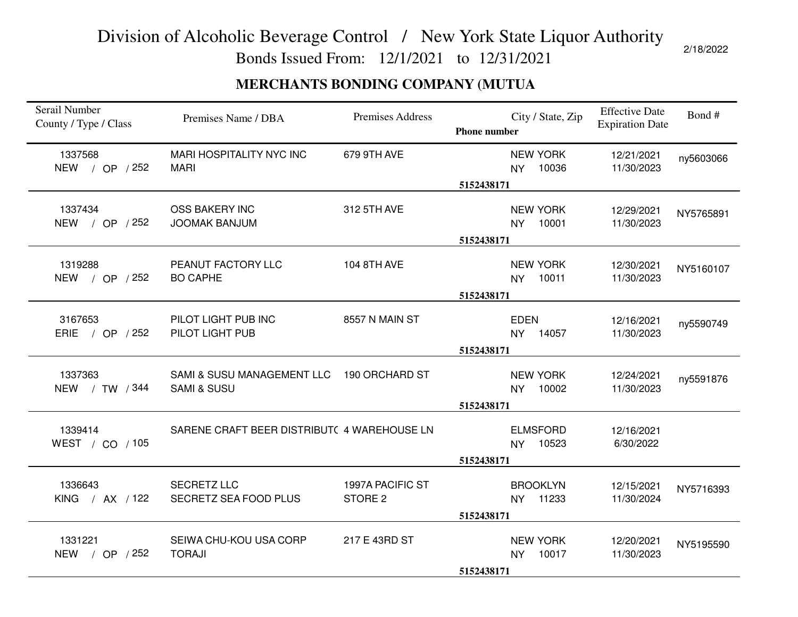Bonds Issued From: 12/1/2021 to 12/31/2021

2/18/2022

| Serail Number<br>County / Type / Class | Premises Name / DBA                                  | Premises Address                       | <b>Phone number</b> | City / State, Zip                     | <b>Effective Date</b><br><b>Expiration Date</b> | Bond#     |
|----------------------------------------|------------------------------------------------------|----------------------------------------|---------------------|---------------------------------------|-------------------------------------------------|-----------|
| 1337568<br>NEW / OP / 252              | MARI HOSPITALITY NYC INC<br><b>MARI</b>              | 679 9TH AVE                            |                     | <b>NEW YORK</b><br>10036<br>NY        | 12/21/2021<br>11/30/2023                        | ny5603066 |
|                                        |                                                      |                                        | 5152438171          |                                       |                                                 |           |
| 1337434<br><b>NEW</b><br>/ OP / 252    | <b>OSS BAKERY INC</b><br><b>JOOMAK BANJUM</b>        | 312 5TH AVE                            |                     | <b>NEW YORK</b><br>10001<br><b>NY</b> | 12/29/2021<br>11/30/2023                        | NY5765891 |
|                                        |                                                      |                                        | 5152438171          |                                       |                                                 |           |
| 1319288<br>NEW / OP / 252              | PEANUT FACTORY LLC<br><b>BO CAPHE</b>                | 104 8TH AVE                            |                     | <b>NEW YORK</b><br>10011<br><b>NY</b> | 12/30/2021<br>11/30/2023                        | NY5160107 |
|                                        |                                                      |                                        | 5152438171          |                                       |                                                 |           |
| 3167653<br>ERIE / OP / 252             | PILOT LIGHT PUB INC<br>PILOT LIGHT PUB               | 8557 N MAIN ST                         |                     | <b>EDEN</b><br>14057<br><b>NY</b>     | 12/16/2021<br>11/30/2023                        | ny5590749 |
|                                        |                                                      |                                        | 5152438171          |                                       |                                                 |           |
| 1337363<br>NEW / TW / 344              | SAMI & SUSU MANAGEMENT LLC<br><b>SAMI &amp; SUSU</b> | 190 ORCHARD ST                         | 5152438171          | <b>NEW YORK</b><br>10002<br><b>NY</b> | 12/24/2021<br>11/30/2023                        | ny5591876 |
|                                        |                                                      |                                        |                     |                                       |                                                 |           |
| 1339414<br>WEST / CO / 105             | SARENE CRAFT BEER DISTRIBUT( 4 WAREHOUSE LN          |                                        |                     | <b>ELMSFORD</b><br>NY 10523           | 12/16/2021<br>6/30/2022                         |           |
|                                        |                                                      |                                        | 5152438171          |                                       |                                                 |           |
| 1336643<br>KING / AX / 122             | <b>SECRETZ LLC</b><br>SECRETZ SEA FOOD PLUS          | 1997A PACIFIC ST<br>STORE <sub>2</sub> | 5152438171          | <b>BROOKLYN</b><br>11233<br>NY.       | 12/15/2021<br>11/30/2024                        | NY5716393 |
| 1331221<br><b>NEW</b><br>/ OP $/252$   | SEIWA CHU-KOU USA CORP<br><b>TORAJI</b>              | 217 E 43RD ST                          | 5152438171          | <b>NEW YORK</b><br>10017<br><b>NY</b> | 12/20/2021<br>11/30/2023                        | NY5195590 |
|                                        |                                                      |                                        |                     |                                       |                                                 |           |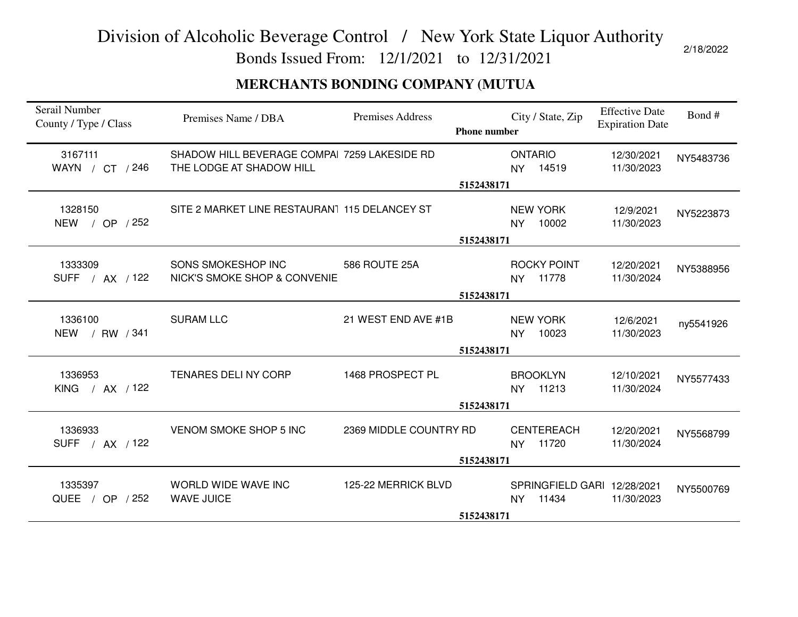Bonds Issued From: 12/1/2021 to 12/31/2021

2/18/2022

| <b>Serail Number</b><br>County / Type / Class | Premises Name / DBA                                                      | <b>Premises Address</b> | <b>Phone number</b> | City / State, Zip                                 | <b>Effective Date</b><br><b>Expiration Date</b> | Bond#     |
|-----------------------------------------------|--------------------------------------------------------------------------|-------------------------|---------------------|---------------------------------------------------|-------------------------------------------------|-----------|
| 3167111<br>WAYN / CT / 246                    | SHADOW HILL BEVERAGE COMPAI 7259 LAKESIDE RD<br>THE LODGE AT SHADOW HILL |                         |                     | <b>ONTARIO</b><br>14519<br><b>NY</b>              | 12/30/2021<br>11/30/2023                        | NY5483736 |
|                                               |                                                                          |                         | 5152438171          |                                                   |                                                 |           |
| 1328150<br>NEW / OP / 252                     | SITE 2 MARKET LINE RESTAURAN1 115 DELANCEY ST                            |                         |                     | <b>NEW YORK</b><br>10002<br><b>NY</b>             | 12/9/2021<br>11/30/2023                         | NY5223873 |
|                                               |                                                                          |                         | 5152438171          |                                                   |                                                 |           |
| 1333309<br>SUFF / AX / 122                    | SONS SMOKESHOP INC<br>NICK'S SMOKE SHOP & CONVENIE                       | <b>586 ROUTE 25A</b>    |                     | <b>ROCKY POINT</b><br>11778<br><b>NY</b>          | 12/20/2021<br>11/30/2024                        | NY5388956 |
|                                               | 5152438171                                                               |                         |                     |                                                   |                                                 |           |
| 1336100<br>/ RW / 341<br><b>NEW</b>           | <b>SURAM LLC</b>                                                         | 21 WEST END AVE #1B     |                     | <b>NEW YORK</b><br>10023<br><b>NY</b>             | 12/6/2021<br>11/30/2023                         | ny5541926 |
|                                               |                                                                          |                         | 5152438171          |                                                   |                                                 |           |
| 1336953<br><b>KING</b><br>$/$ AX $/$ 122      | <b>TENARES DELI NY CORP</b>                                              | 1468 PROSPECT PL        |                     | <b>BROOKLYN</b><br>NY 11213                       | 12/10/2021<br>11/30/2024                        | NY5577433 |
|                                               |                                                                          |                         | 5152438171          |                                                   |                                                 |           |
| 1336933<br>SUFF / AX / 122                    | <b>VENOM SMOKE SHOP 5 INC</b>                                            | 2369 MIDDLE COUNTRY RD  |                     | <b>CENTEREACH</b><br>11720<br><b>NY</b>           | 12/20/2021<br>11/30/2024                        | NY5568799 |
|                                               |                                                                          |                         | 5152438171          |                                                   |                                                 |           |
| 1335397<br>QUEE / OP / 252                    | WORLD WIDE WAVE INC<br><b>WAVE JUICE</b>                                 | 125-22 MERRICK BLVD     |                     | SPRINGFIELD GARI 12/28/2021<br>11434<br><b>NY</b> | 11/30/2023                                      | NY5500769 |
|                                               |                                                                          |                         | 5152438171          |                                                   |                                                 |           |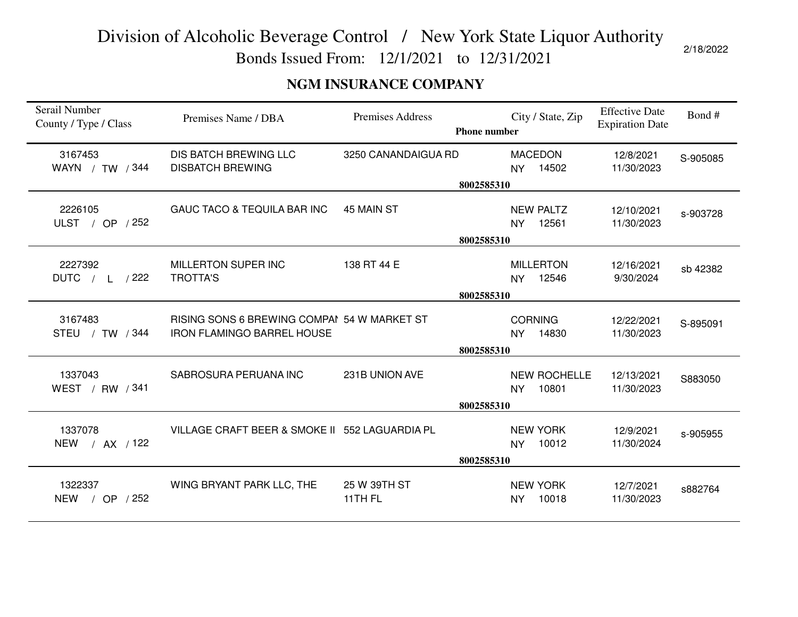Bonds Issued From: 12/1/2021 to 12/31/2021

### **NGM INSURANCE COMPANY**

| Serail Number<br>County / Type / Class  | Premises Name / DBA                                                              | <b>Premises Address</b> | <b>Phone number</b> | City / State, Zip                         | <b>Effective Date</b><br><b>Expiration Date</b> | Bond#    |
|-----------------------------------------|----------------------------------------------------------------------------------|-------------------------|---------------------|-------------------------------------------|-------------------------------------------------|----------|
| 3167453<br>WAYN / TW / 344              | DIS BATCH BREWING LLC<br><b>DISBATCH BREWING</b>                                 | 3250 CANANDAIGUA RD     |                     | <b>MACEDON</b><br>14502<br><b>NY</b>      | 12/8/2021<br>11/30/2023                         | S-905085 |
|                                         |                                                                                  |                         | 8002585310          |                                           |                                                 |          |
| 2226105<br>ULST $/$ OP $/252$           | GAUC TACO & TEQUILA BAR INC                                                      | 45 MAIN ST              |                     | <b>NEW PALTZ</b><br>12561<br>NY           | 12/10/2021<br>11/30/2023                        | s-903728 |
|                                         |                                                                                  |                         | 8002585310          |                                           |                                                 |          |
| 2227392<br>DUTC / L /222                | MILLERTON SUPER INC<br><b>TROTTA'S</b>                                           | 138 RT 44 E             |                     | <b>MILLERTON</b><br>12546<br><b>NY</b>    | 12/16/2021<br>9/30/2024                         | sb 42382 |
|                                         |                                                                                  |                         | 8002585310          |                                           |                                                 |          |
| 3167483<br>STEU / TW / 344              | RISING SONS 6 BREWING COMPAN 54 W MARKET ST<br><b>IRON FLAMINGO BARREL HOUSE</b> |                         |                     | <b>CORNING</b><br>14830<br><b>NY</b>      | 12/22/2021<br>11/30/2023                        | S-895091 |
|                                         |                                                                                  |                         | 8002585310          |                                           |                                                 |          |
| 1337043<br>WEST / RW / 341              | SABROSURA PERUANA INC                                                            | 231B UNION AVE          | 8002585310          | <b>NEW ROCHELLE</b><br>10801<br><b>NY</b> | 12/13/2021<br>11/30/2023                        | S883050  |
|                                         |                                                                                  |                         |                     |                                           |                                                 |          |
| 1337078<br>NEW / AX / 122               | VILLAGE CRAFT BEER & SMOKE II 552 LAGUARDIA PL                                   |                         |                     | <b>NEW YORK</b><br>10012<br>NY            | 12/9/2021<br>11/30/2024                         | s-905955 |
|                                         |                                                                                  |                         | 8002585310          |                                           |                                                 |          |
| 1322337<br>$/$ OP $/$ 252<br><b>NEW</b> | WING BRYANT PARK LLC, THE                                                        | 25 W 39TH ST<br>11TH FL |                     | <b>NEW YORK</b><br>10018<br><b>NY</b>     | 12/7/2021<br>11/30/2023                         | s882764  |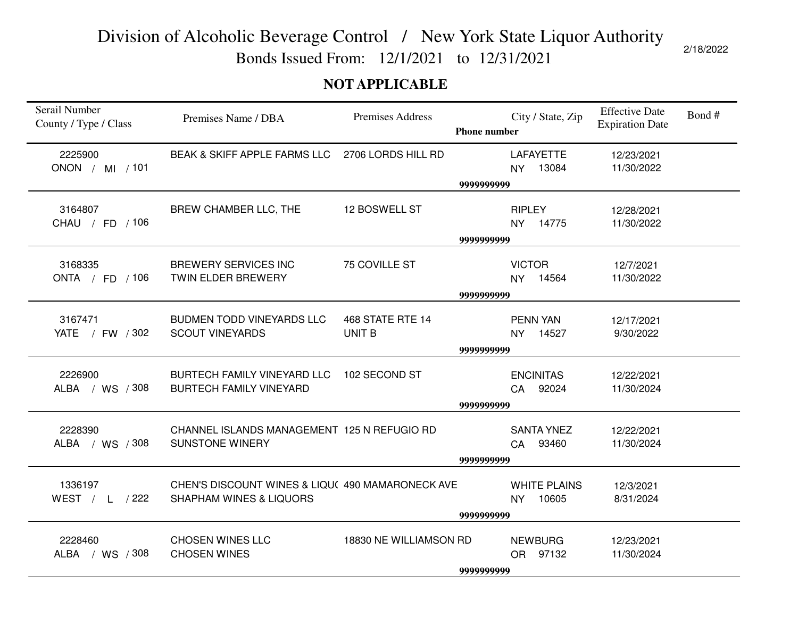Bonds Issued From: 12/1/2021 to 12/31/2021

#### **NOT APPLICABLE**

| Serail Number<br>County / Type / Class | Premises Name / DBA                                 | Premises Address                  | <b>Phone number</b> |                  | City / State, Zip            | <b>Effective Date</b><br><b>Expiration Date</b> | Bond# |
|----------------------------------------|-----------------------------------------------------|-----------------------------------|---------------------|------------------|------------------------------|-------------------------------------------------|-------|
| 2225900<br>ONON / MI / 101             | BEAK & SKIFF APPLE FARMS LLC 2706 LORDS HILL RD     |                                   |                     |                  | <b>LAFAYETTE</b><br>NY 13084 | 12/23/2021<br>11/30/2022                        |       |
|                                        |                                                     |                                   | 9999999999          |                  |                              |                                                 |       |
| 3164807                                | BREW CHAMBER LLC, THE                               | 12 BOSWELL ST                     |                     | <b>RIPLEY</b>    |                              | 12/28/2021                                      |       |
| CHAU / FD / 106                        |                                                     |                                   |                     | <b>NY</b>        | 14775                        | 11/30/2022                                      |       |
|                                        |                                                     |                                   | 9999999999          |                  |                              |                                                 |       |
| 3168335                                | <b>BREWERY SERVICES INC</b>                         | 75 COVILLE ST                     |                     | <b>VICTOR</b>    |                              | 12/7/2021                                       |       |
| ONTA / FD / 106                        | TWIN ELDER BREWERY                                  |                                   |                     |                  | NY 14564                     | 11/30/2022                                      |       |
| 9999999999                             |                                                     |                                   |                     |                  |                              |                                                 |       |
|                                        |                                                     |                                   |                     |                  |                              |                                                 |       |
| 3167471<br>YATE / FW / 302             | BUDMEN TODD VINEYARDS LLC<br><b>SCOUT VINEYARDS</b> | 468 STATE RTE 14<br><b>UNIT B</b> |                     | PENN YAN<br>NY · | 14527                        | 12/17/2021<br>9/30/2022                         |       |
|                                        |                                                     |                                   | 9999999999          |                  |                              |                                                 |       |
|                                        |                                                     |                                   |                     |                  |                              |                                                 |       |
| 2226900                                | BURTECH FAMILY VINEYARD LLC                         | 102 SECOND ST                     |                     |                  | <b>ENCINITAS</b>             | 12/22/2021                                      |       |
| ALBA / WS / 308                        | <b>BURTECH FAMILY VINEYARD</b>                      |                                   |                     |                  | CA 92024                     | 11/30/2024                                      |       |
|                                        |                                                     |                                   | 9999999999          |                  |                              |                                                 |       |
| 2228390                                | CHANNEL ISLANDS MANAGEMENT 125 N REFUGIO RD         |                                   |                     |                  | <b>SANTA YNEZ</b>            | 12/22/2021                                      |       |
| ALBA / WS / 308                        | <b>SUNSTONE WINERY</b>                              |                                   |                     |                  | CA 93460                     | 11/30/2024                                      |       |
|                                        |                                                     |                                   | 9999999999          |                  |                              |                                                 |       |
| 1336197                                | CHEN'S DISCOUNT WINES & LIQU(490 MAMARONECK AVE     |                                   |                     |                  | <b>WHITE PLAINS</b>          | 12/3/2021                                       |       |
| WEST / L /222                          | <b>SHAPHAM WINES &amp; LIQUORS</b>                  |                                   |                     | <b>NY</b>        | 10605                        | 8/31/2024                                       |       |
|                                        |                                                     |                                   | 9999999999          |                  |                              |                                                 |       |
|                                        |                                                     |                                   |                     |                  |                              |                                                 |       |
| 2228460                                | <b>CHOSEN WINES LLC</b>                             | 18830 NE WILLIAMSON RD            |                     |                  | <b>NEWBURG</b>               | 12/23/2021                                      |       |
| ALBA / WS / 308                        | <b>CHOSEN WINES</b>                                 |                                   |                     |                  | OR 97132                     | 11/30/2024                                      |       |
|                                        |                                                     |                                   | 9999999999          |                  |                              |                                                 |       |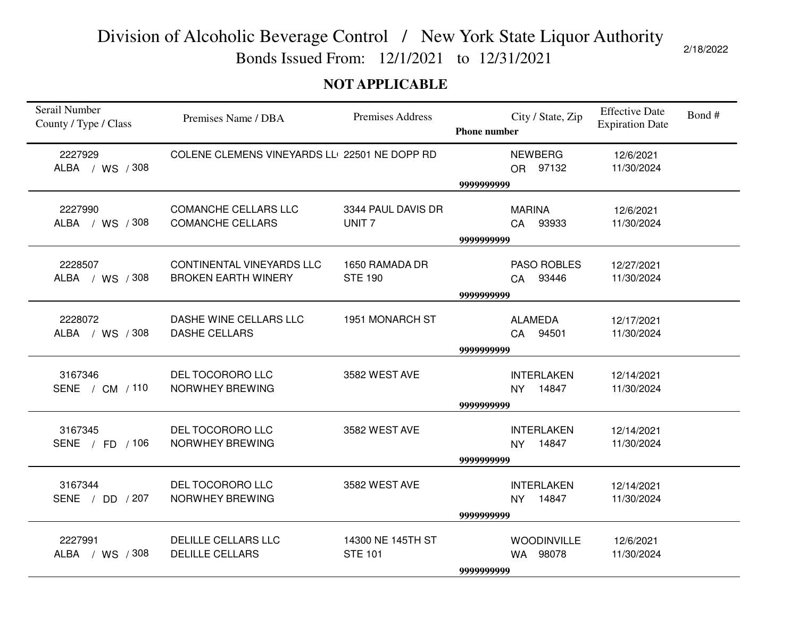Bonds Issued From: 12/1/2021 to 12/31/2021

#### **NOT APPLICABLE**

| Serail Number<br>County / Type / Class | Premises Name / DBA                            | Premises Address   | City / State, Zip<br><b>Phone number</b> | <b>Effective Date</b><br><b>Expiration Date</b> | Bond# |
|----------------------------------------|------------------------------------------------|--------------------|------------------------------------------|-------------------------------------------------|-------|
| 2227929                                | COLENE CLEMENS VINEYARDS LLI 22501 NE DOPP RD  |                    | <b>NEWBERG</b>                           | 12/6/2021                                       |       |
| ALBA / WS / 308                        |                                                |                    | OR 97132                                 | 11/30/2024                                      |       |
|                                        |                                                |                    | 9999999999                               |                                                 |       |
| 2227990                                | <b>COMANCHE CELLARS LLC</b>                    | 3344 PAUL DAVIS DR | <b>MARINA</b>                            | 12/6/2021                                       |       |
| ALBA / WS / 308                        | <b>COMANCHE CELLARS</b>                        | UNIT <sub>7</sub>  | CA 93933                                 | 11/30/2024                                      |       |
|                                        |                                                |                    | 9999999999                               |                                                 |       |
| 2228507                                | CONTINENTAL VINEYARDS LLC                      | 1650 RAMADA DR     | <b>PASO ROBLES</b>                       | 12/27/2021                                      |       |
| ALBA / WS / 308                        | <b>BROKEN EARTH WINERY</b>                     | <b>STE 190</b>     | CA 93446                                 | 11/30/2024                                      |       |
|                                        |                                                |                    | 9999999999                               |                                                 |       |
|                                        |                                                |                    |                                          |                                                 |       |
| 2228072                                | DASHE WINE CELLARS LLC<br><b>DASHE CELLARS</b> | 1951 MONARCH ST    | <b>ALAMEDA</b>                           | 12/17/2021                                      |       |
| ALBA / WS / 308                        |                                                |                    | CA 94501                                 | 11/30/2024                                      |       |
|                                        |                                                |                    | 9999999999                               |                                                 |       |
| 3167346                                | DEL TOCORORO LLC                               | 3582 WEST AVE      | <b>INTERLAKEN</b>                        | 12/14/2021                                      |       |
| SENE / CM / 110                        | NORWHEY BREWING                                |                    | 14847<br><b>NY</b>                       | 11/30/2024                                      |       |
|                                        |                                                |                    | 9999999999                               |                                                 |       |
| 3167345                                | DEL TOCORORO LLC                               | 3582 WEST AVE      | <b>INTERLAKEN</b>                        | 12/14/2021                                      |       |
| SENE / FD / 106                        | <b>NORWHEY BREWING</b>                         |                    | 14847<br><b>NY</b>                       | 11/30/2024                                      |       |
|                                        |                                                |                    | 9999999999                               |                                                 |       |
|                                        |                                                |                    |                                          |                                                 |       |
| 3167344<br>SENE / DD / 207             | DEL TOCORORO LLC<br>NORWHEY BREWING            | 3582 WEST AVE      | <b>INTERLAKEN</b><br>14847<br><b>NY</b>  | 12/14/2021<br>11/30/2024                        |       |
|                                        |                                                |                    | 9999999999                               |                                                 |       |
|                                        |                                                |                    |                                          |                                                 |       |
| 2227991                                | DELILLE CELLARS LLC                            | 14300 NE 145TH ST  | <b>WOODINVILLE</b>                       | 12/6/2021                                       |       |
| ALBA / WS / 308                        | <b>DELILLE CELLARS</b>                         | <b>STE 101</b>     | WA 98078                                 | 11/30/2024                                      |       |
|                                        |                                                |                    | 9999999999                               |                                                 |       |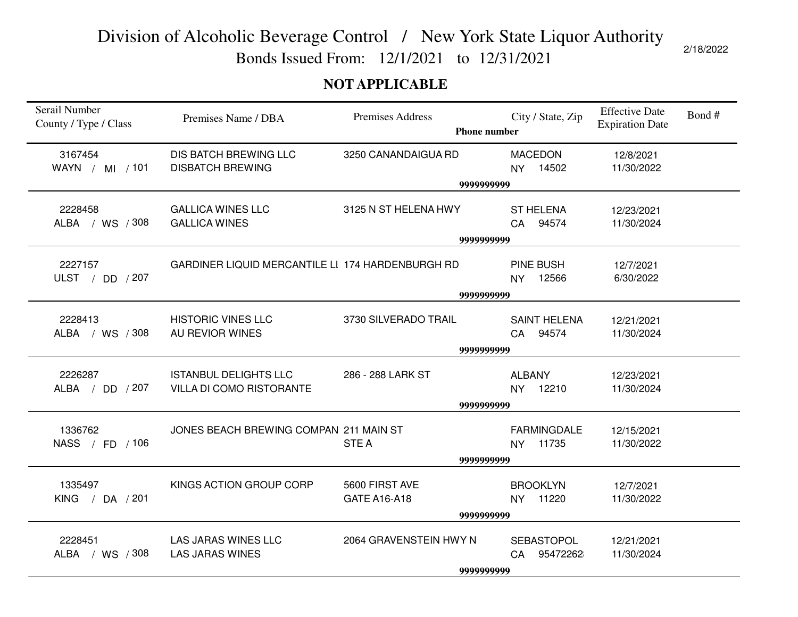Bonds Issued From: 12/1/2021 to 12/31/2021

#### **NOT APPLICABLE**

| Serail Number<br>County / Type / Class | Premises Name / DBA                              | Premises Address       | City / State, Zip<br><b>Phone number</b> | <b>Effective Date</b><br><b>Expiration Date</b> | Bond# |  |  |  |
|----------------------------------------|--------------------------------------------------|------------------------|------------------------------------------|-------------------------------------------------|-------|--|--|--|
| 3167454<br>WAYN / MI / 101             | DIS BATCH BREWING LLC<br><b>DISBATCH BREWING</b> | 3250 CANANDAIGUA RD    | <b>MACEDON</b><br>NY 14502               | 12/8/2021<br>11/30/2022                         |       |  |  |  |
|                                        |                                                  |                        | 9999999999                               |                                                 |       |  |  |  |
| 2228458<br>ALBA / WS / 308             | <b>GALLICA WINES LLC</b><br><b>GALLICA WINES</b> | 3125 N ST HELENA HWY   | <b>ST HELENA</b>                         | 12/23/2021                                      |       |  |  |  |
|                                        |                                                  |                        | CA 94574<br>9999999999                   | 11/30/2024                                      |       |  |  |  |
|                                        |                                                  |                        |                                          |                                                 |       |  |  |  |
| 2227157                                | GARDINER LIQUID MERCANTILE LI 174 HARDENBURGH RD |                        | <b>PINE BUSH</b>                         | 12/7/2021                                       |       |  |  |  |
| ULST $/$ DD $/207$                     |                                                  |                        | 12566<br><b>NY</b>                       | 6/30/2022                                       |       |  |  |  |
|                                        | 9999999999                                       |                        |                                          |                                                 |       |  |  |  |
| 2228413                                | <b>HISTORIC VINES LLC</b>                        | 3730 SILVERADO TRAIL   | <b>SAINT HELENA</b>                      | 12/21/2021                                      |       |  |  |  |
| ALBA / WS / 308                        | AU REVIOR WINES                                  |                        | CA 94574                                 | 11/30/2024                                      |       |  |  |  |
|                                        |                                                  |                        | 9999999999                               |                                                 |       |  |  |  |
|                                        |                                                  |                        |                                          |                                                 |       |  |  |  |
| 2226287                                | <b>ISTANBUL DELIGHTS LLC</b>                     | 286 - 288 LARK ST      | <b>ALBANY</b>                            | 12/23/2021                                      |       |  |  |  |
| ALBA / DD / 207                        | <b>VILLA DI COMO RISTORANTE</b>                  |                        | NY 12210                                 | 11/30/2024                                      |       |  |  |  |
|                                        |                                                  |                        | 9999999999                               |                                                 |       |  |  |  |
| 1336762                                | JONES BEACH BREWING COMPAN 211 MAIN ST           |                        | <b>FARMINGDALE</b>                       | 12/15/2021                                      |       |  |  |  |
| NASS / FD / 106                        |                                                  | <b>STEA</b>            | 11735<br><b>NY</b>                       | 11/30/2022                                      |       |  |  |  |
|                                        |                                                  |                        | 9999999999                               |                                                 |       |  |  |  |
|                                        |                                                  |                        |                                          |                                                 |       |  |  |  |
| 1335497                                | KINGS ACTION GROUP CORP                          | 5600 FIRST AVE         | <b>BROOKLYN</b>                          | 12/7/2021                                       |       |  |  |  |
| KING / DA / 201                        |                                                  | <b>GATE A16-A18</b>    | NY 11220                                 | 11/30/2022                                      |       |  |  |  |
|                                        |                                                  |                        | 9999999999                               |                                                 |       |  |  |  |
| 2228451                                | LAS JARAS WINES LLC                              | 2064 GRAVENSTEIN HWY N | <b>SEBASTOPOL</b>                        | 12/21/2021                                      |       |  |  |  |
| ALBA / WS / 308                        | <b>LAS JARAS WINES</b>                           |                        | 95472262<br>CA                           | 11/30/2024                                      |       |  |  |  |
|                                        |                                                  |                        | 9999999999                               |                                                 |       |  |  |  |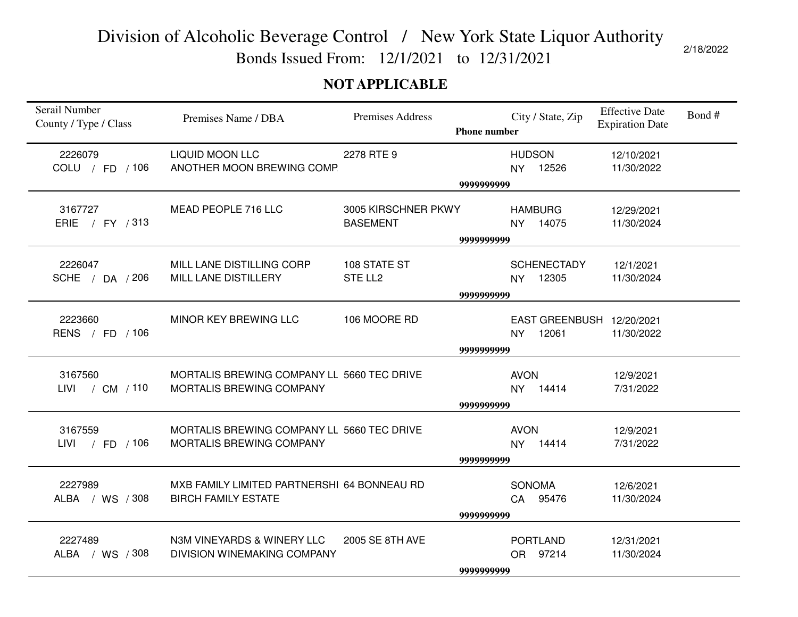Bonds Issued From: 12/1/2021 to 12/31/2021

#### **NOT APPLICABLE**

| Serail Number<br>County / Type / Class | Premises Name / DBA                               | Premises Address                    | <b>Phone number</b> |               | City / State, Zip              | <b>Effective Date</b><br><b>Expiration Date</b> | Bond# |
|----------------------------------------|---------------------------------------------------|-------------------------------------|---------------------|---------------|--------------------------------|-------------------------------------------------|-------|
| 2226079                                | <b>LIQUID MOON LLC</b>                            | 2278 RTE 9                          |                     | <b>HUDSON</b> |                                | 12/10/2021                                      |       |
| COLU / FD / 106                        | ANOTHER MOON BREWING COMP.                        |                                     |                     |               | NY 12526                       | 11/30/2022                                      |       |
|                                        |                                                   |                                     | 9999999999          |               |                                |                                                 |       |
| 3167727                                | MEAD PEOPLE 716 LLC                               | 3005 KIRSCHNER PKWY                 |                     |               | <b>HAMBURG</b>                 | 12/29/2021                                      |       |
| ERIE / FY / 313                        |                                                   | <b>BASEMENT</b>                     |                     |               | NY 14075                       | 11/30/2024                                      |       |
|                                        |                                                   |                                     | 9999999999          |               |                                |                                                 |       |
|                                        |                                                   |                                     |                     |               |                                |                                                 |       |
| 2226047<br>SCHE / DA / 206             | MILL LANE DISTILLING CORP<br>MILL LANE DISTILLERY | 108 STATE ST<br>STE LL <sub>2</sub> |                     |               | <b>SCHENECTADY</b><br>NY 12305 | 12/1/2021<br>11/30/2024                         |       |
|                                        |                                                   |                                     |                     |               |                                |                                                 |       |
|                                        |                                                   |                                     | 9999999999          |               |                                |                                                 |       |
| 2223660                                | MINOR KEY BREWING LLC                             | 106 MOORE RD                        |                     |               | EAST GREENBUSH 12/20/2021      |                                                 |       |
| RENS / FD / 106                        |                                                   |                                     |                     | <b>NY</b>     | 12061                          | 11/30/2022                                      |       |
|                                        |                                                   |                                     | 9999999999          |               |                                |                                                 |       |
| 3167560                                | MORTALIS BREWING COMPANY LL 5660 TEC DRIVE        |                                     |                     | <b>AVON</b>   |                                | 12/9/2021                                       |       |
| $LIVI$ / CM / 110                      | <b>MORTALIS BREWING COMPANY</b>                   |                                     |                     |               | NY 14414                       | 7/31/2022                                       |       |
|                                        |                                                   |                                     | 9999999999          |               |                                |                                                 |       |
|                                        |                                                   |                                     |                     |               |                                |                                                 |       |
| 3167559                                | MORTALIS BREWING COMPANY LL 5660 TEC DRIVE        |                                     |                     | <b>AVON</b>   |                                | 12/9/2021                                       |       |
| LIVI / FD $/$ 106                      | MORTALIS BREWING COMPANY                          |                                     |                     |               | NY 14414                       | 7/31/2022                                       |       |
|                                        |                                                   |                                     | 9999999999          |               |                                |                                                 |       |
| 2227989                                | MXB FAMILY LIMITED PARTNERSHI 64 BONNEAU RD       |                                     |                     | <b>SONOMA</b> |                                | 12/6/2021                                       |       |
| ALBA / WS / 308                        | <b>BIRCH FAMILY ESTATE</b>                        |                                     |                     | CA            | 95476                          | 11/30/2024                                      |       |
|                                        |                                                   |                                     | 9999999999          |               |                                |                                                 |       |
|                                        | N3M VINEYARDS & WINERY LLC                        |                                     |                     |               |                                |                                                 |       |
| 2227489<br>ALBA / WS / 308             | DIVISION WINEMAKING COMPANY                       | 2005 SE 8TH AVE                     |                     |               | <b>PORTLAND</b><br>OR 97214    | 12/31/2021<br>11/30/2024                        |       |
|                                        |                                                   |                                     | 9999999999          |               |                                |                                                 |       |
|                                        |                                                   |                                     |                     |               |                                |                                                 |       |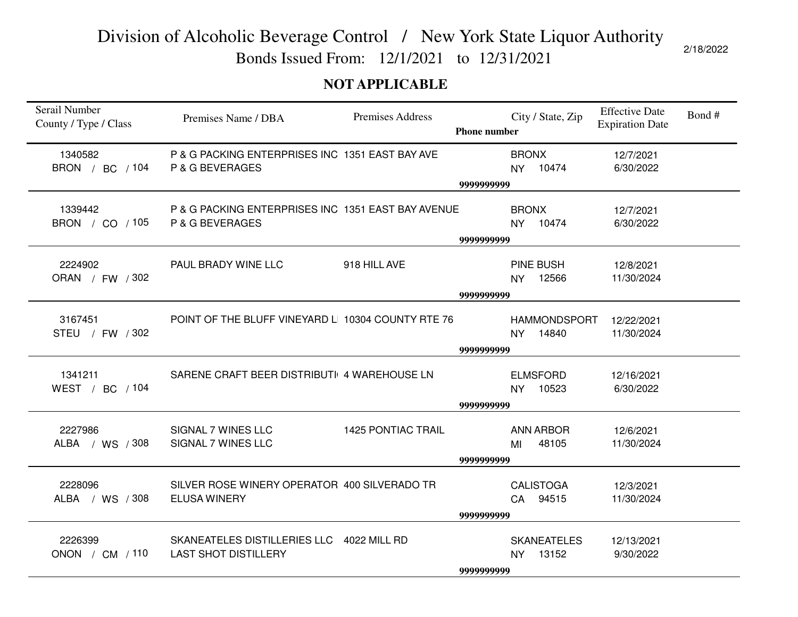Bonds Issued From: 12/1/2021 to 12/31/2021

#### **NOT APPLICABLE**

| Serail Number<br>County / Type / Class | Premises Name / DBA                                                   | <b>Premises Address</b>   | <b>Phone number</b> |                  | City / State, Zip  | <b>Effective Date</b><br><b>Expiration Date</b> | Bond# |
|----------------------------------------|-----------------------------------------------------------------------|---------------------------|---------------------|------------------|--------------------|-------------------------------------------------|-------|
| 1340582<br>BRON / BC / 104             | P & G PACKING ENTERPRISES INC 1351 EAST BAY AVE<br>P & G BEVERAGES    |                           |                     | <b>BRONX</b>     | NY 10474           | 12/7/2021<br>6/30/2022                          |       |
|                                        |                                                                       |                           | 9999999999          |                  |                    |                                                 |       |
| 1339442<br>BRON / CO / 105             | P & G PACKING ENTERPRISES INC 1351 EAST BAY AVENUE<br>P & G BEVERAGES |                           |                     | <b>BRONX</b>     | NY 10474           | 12/7/2021<br>6/30/2022                          |       |
|                                        |                                                                       |                           | 9999999999          |                  |                    |                                                 |       |
| 2224902<br>ORAN / FW / 302             | PAUL BRADY WINE LLC                                                   | 918 HILL AVE              | 9999999999          | <b>PINE BUSH</b> | NY 12566           | 12/8/2021<br>11/30/2024                         |       |
|                                        |                                                                       |                           |                     |                  |                    |                                                 |       |
| 3167451                                | POINT OF THE BLUFF VINEYARD L 10304 COUNTY RTE 76                     |                           |                     |                  | HAMMONDSPORT       | 12/22/2021                                      |       |
| STEU / FW / 302                        |                                                                       |                           |                     | <b>NY</b>        | 14840              | 11/30/2024                                      |       |
|                                        |                                                                       |                           | 9999999999          |                  |                    |                                                 |       |
| 1341211                                | SARENE CRAFT BEER DISTRIBUTI 4 WAREHOUSE LN                           |                           |                     |                  | <b>ELMSFORD</b>    | 12/16/2021                                      |       |
| WEST / BC / 104                        |                                                                       |                           |                     |                  | NY 10523           | 6/30/2022                                       |       |
|                                        |                                                                       |                           | 9999999999          |                  |                    |                                                 |       |
|                                        |                                                                       |                           |                     |                  |                    |                                                 |       |
| 2227986                                | SIGNAL 7 WINES LLC                                                    | <b>1425 PONTIAC TRAIL</b> |                     |                  | <b>ANN ARBOR</b>   | 12/6/2021                                       |       |
| ALBA / WS / 308                        | SIGNAL 7 WINES LLC                                                    |                           |                     | MI               | 48105              | 11/30/2024                                      |       |
|                                        |                                                                       |                           | 9999999999          |                  |                    |                                                 |       |
| 2228096                                | SILVER ROSE WINERY OPERATOR 400 SILVERADO TR                          |                           |                     |                  | <b>CALISTOGA</b>   | 12/3/2021                                       |       |
| ALBA / WS / 308                        | <b>ELUSA WINERY</b>                                                   |                           |                     |                  | CA 94515           | 11/30/2024                                      |       |
|                                        |                                                                       |                           | 9999999999          |                  |                    |                                                 |       |
|                                        |                                                                       |                           |                     |                  |                    |                                                 |       |
| 2226399                                | SKANEATELES DISTILLERIES LLC 4022 MILL RD                             |                           |                     |                  | <b>SKANEATELES</b> | 12/13/2021                                      |       |
| ONON / CM / 110                        | <b>LAST SHOT DISTILLERY</b>                                           |                           |                     |                  | NY 13152           | 9/30/2022                                       |       |
|                                        |                                                                       |                           | 9999999999          |                  |                    |                                                 |       |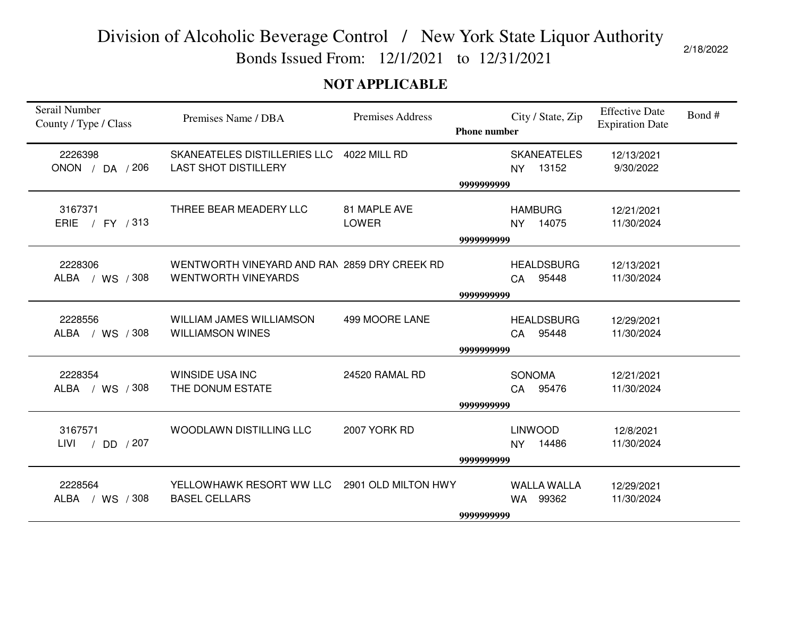Bonds Issued From: 12/1/2021 to 12/31/2021

#### **NOT APPLICABLE**

| Serail Number<br>County / Type / Class | Premises Name / DBA                                                        | Premises Address      | City / State, Zip<br><b>Phone number</b> | <b>Effective Date</b><br><b>Expiration Date</b> | Bond# |
|----------------------------------------|----------------------------------------------------------------------------|-----------------------|------------------------------------------|-------------------------------------------------|-------|
| 2226398<br>ONON / DA / 206             | SKANEATELES DISTILLERIES LLC<br><b>LAST SHOT DISTILLERY</b>                | 4022 MILL RD          | <b>SKANEATELES</b><br>13152<br>NY.       | 12/13/2021<br>9/30/2022                         |       |
|                                        |                                                                            |                       | 9999999999                               |                                                 |       |
| 3167371<br>ERIE / FY / 313             | THREE BEAR MEADERY LLC                                                     | 81 MAPLE AVE<br>LOWER | <b>HAMBURG</b><br>NY 14075               | 12/21/2021<br>11/30/2024                        |       |
|                                        |                                                                            |                       | 9999999999                               |                                                 |       |
| 2228306<br>ALBA / WS / 308             | WENTWORTH VINEYARD AND RAN 2859 DRY CREEK RD<br><b>WENTWORTH VINEYARDS</b> |                       | <b>HEALDSBURG</b><br>95448<br>CA         | 12/13/2021<br>11/30/2024                        |       |
|                                        |                                                                            |                       | 9999999999                               |                                                 |       |
| 2228556<br>ALBA / WS / 308             | <b>WILLIAM JAMES WILLIAMSON</b><br><b>WILLIAMSON WINES</b>                 | 499 MOORE LANE        | <b>HEALDSBURG</b><br>95448<br>CA         | 12/29/2021<br>11/30/2024                        |       |
|                                        |                                                                            |                       | 9999999999                               |                                                 |       |
| 2228354<br>ALBA / WS / 308             | <b>WINSIDE USA INC</b><br>THE DONUM ESTATE                                 | 24520 RAMAL RD        | <b>SONOMA</b><br>CA 95476                | 12/21/2021<br>11/30/2024                        |       |
|                                        |                                                                            |                       | 9999999999                               |                                                 |       |
| 3167571<br>$/$ DD $/$ 207<br>LIVI      | WOODLAWN DISTILLING LLC                                                    | 2007 YORK RD          | <b>LINWOOD</b><br>14486<br><b>NY</b>     | 12/8/2021<br>11/30/2024                         |       |
|                                        |                                                                            |                       | 9999999999                               |                                                 |       |
| 2228564<br>ALBA / WS / 308             | YELLOWHAWK RESORT WW LLC<br><b>BASEL CELLARS</b>                           | 2901 OLD MILTON HWY   | <b>WALLA WALLA</b><br>WA 99362           | 12/29/2021<br>11/30/2024                        |       |
|                                        |                                                                            |                       | 9999999999                               |                                                 |       |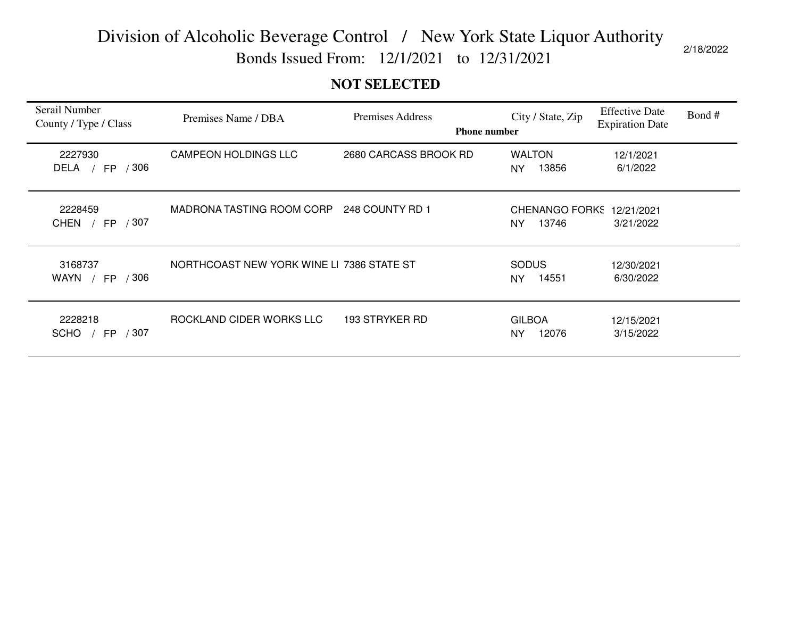Bonds Issued From: 12/1/2021 to 12/31/2021

### **NOT SELECTED**

| Serail Number<br>County / Type / Class       | Premises Name / DBA                       | Premises Address      | <b>Phone number</b> | City / State, Zip                         | <b>Effective Date</b><br><b>Expiration Date</b> | Bond # |
|----------------------------------------------|-------------------------------------------|-----------------------|---------------------|-------------------------------------------|-------------------------------------------------|--------|
| 2227930<br>/ 306<br>DELA / FP                | <b>CAMPEON HOLDINGS LLC</b>               | 2680 CARCASS BROOK RD |                     | <b>WALTON</b><br>13856<br>NY.             | 12/1/2021<br>6/1/2022                           |        |
| 2228459<br>/ 307<br><b>CHEN</b><br>$/$ FP    | MADRONA TASTING ROOM CORP 248 COUNTY RD 1 |                       |                     | CHENANGO FORKS 12/21/2021<br>13746<br>NY. | 3/21/2022                                       |        |
| 3168737<br>/ 306<br>WAYN $/$ FP              | NORTHCOAST NEW YORK WINE LI 7386 STATE ST |                       |                     | <b>SODUS</b><br>14551<br>NY               | 12/30/2021<br>6/30/2022                         |        |
| 2228218<br>/ 307<br><b>SCHO</b><br><b>FP</b> | ROCKLAND CIDER WORKS LLC                  | 193 STRYKER RD        |                     | <b>GILBOA</b><br>12076<br>NY.             | 12/15/2021<br>3/15/2022                         |        |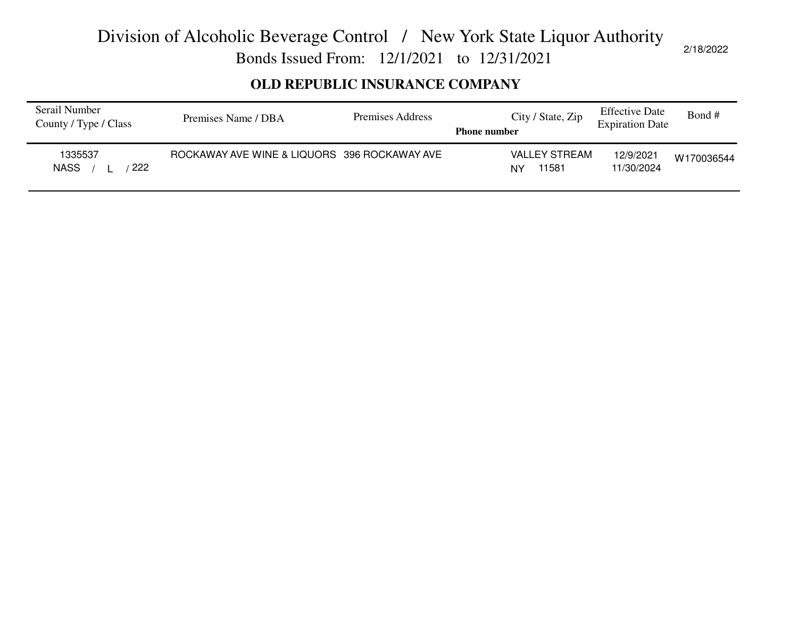Bonds Issued From: 12/1/2021 to 12/31/2021

### **OLD REPUBLIC INSURANCE COMPANY**

| Serail Number<br>County / Type / Class | Premises Name / DBA                          | Premises Address | City / State, Zip<br><b>Phone number</b>   | <b>Effective Date</b><br><b>Expiration Date</b> | Bond #     |
|----------------------------------------|----------------------------------------------|------------------|--------------------------------------------|-------------------------------------------------|------------|
| 1335537<br>222<br><b>NASS</b>          | ROCKAWAY AVE WINE & LIQUORS 396 ROCKAWAY AVE |                  | <b>VALLEY STREAM</b><br>11581<br><b>NY</b> | 12/9/2021<br>11/30/2024                         | W170036544 |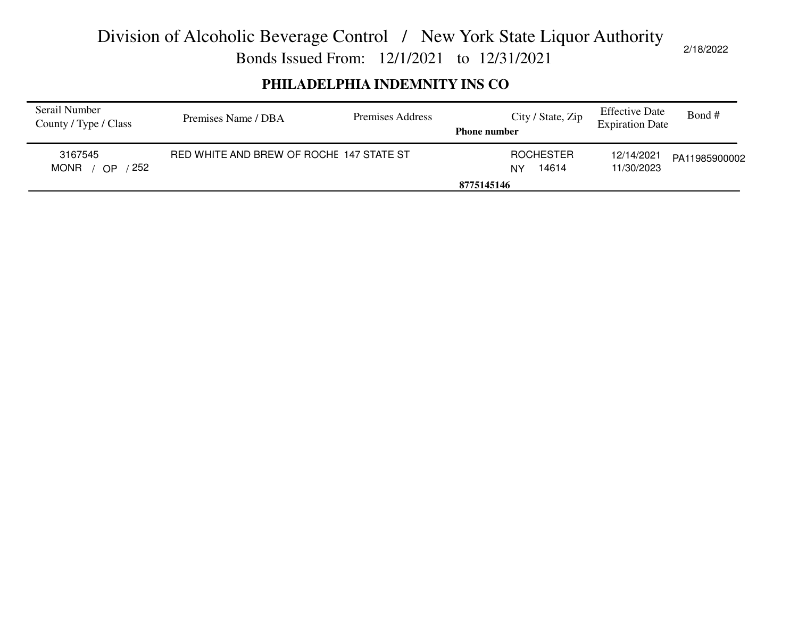Bonds Issued From: 12/1/2021 to 12/31/2021

2/18/2022

### **PHILADELPHIA INDEMNITY INS CO**

| Serail Number<br>County / Type / Class | Premises Name / DBA                      | Premises Address | City / State, Zip<br><b>Phone number</b> | <b>Effective Date</b><br><b>Expiration Date</b> | Bond#         |
|----------------------------------------|------------------------------------------|------------------|------------------------------------------|-------------------------------------------------|---------------|
| 3167545<br>252<br>$MONR$ /<br>OP       | RED WHITE AND BREW OF ROCHE 147 STATE ST |                  | <b>ROCHESTER</b><br>14614<br>NY          | 12/14/2021<br>11/30/2023                        | PA11985900002 |
|                                        |                                          |                  | 8775145146                               |                                                 |               |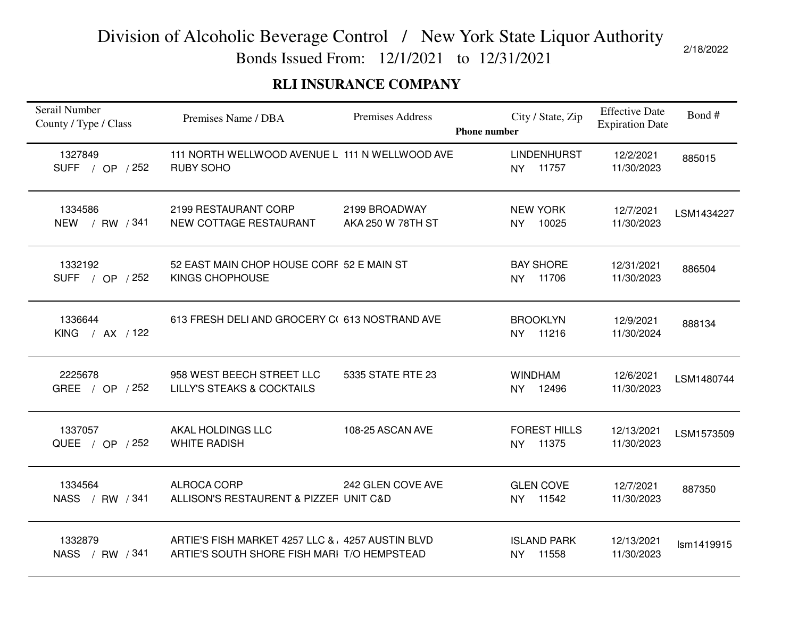Bonds Issued From: 12/1/2021 to 12/31/2021

### **RLI INSURANCE COMPANY**

| Serail Number<br>County / Type / Class | Premises Name / DBA                                                                            | Premises Address                   | <b>Phone number</b> | City / State, Zip                         | <b>Effective Date</b><br><b>Expiration Date</b> | Bond#      |
|----------------------------------------|------------------------------------------------------------------------------------------------|------------------------------------|---------------------|-------------------------------------------|-------------------------------------------------|------------|
| 1327849<br>SUFF / OP / 252             | 111 NORTH WELLWOOD AVENUE L 111 N WELLWOOD AVE<br><b>RUBY SOHO</b>                             |                                    |                     | <b>LINDENHURST</b><br>11757<br>NY.        | 12/2/2021<br>11/30/2023                         | 885015     |
| 1334586<br>NEW / RW / 341              | 2199 RESTAURANT CORP<br>NEW COTTAGE RESTAURANT                                                 | 2199 BROADWAY<br>AKA 250 W 78TH ST |                     | <b>NEW YORK</b><br>10025<br>NY I          | 12/7/2021<br>11/30/2023                         | LSM1434227 |
| 1332192<br>SUFF / OP / 252             | 52 EAST MAIN CHOP HOUSE CORF 52 E MAIN ST<br><b>KINGS CHOPHOUSE</b>                            |                                    |                     | <b>BAY SHORE</b><br>11706<br><b>NY</b>    | 12/31/2021<br>11/30/2023                        | 886504     |
| 1336644<br>KING / AX / 122             | 613 FRESH DELI AND GROCERY C(613 NOSTRAND AVE                                                  |                                    |                     | <b>BROOKLYN</b><br>NY 11216               | 12/9/2021<br>11/30/2024                         | 888134     |
| 2225678<br>GREE / OP / 252             | 958 WEST BEECH STREET LLC<br>LILLY'S STEAKS & COCKTAILS                                        | 5335 STATE RTE 23                  |                     | <b>WINDHAM</b><br>12496<br><b>NY</b>      | 12/6/2021<br>11/30/2023                         | LSM1480744 |
| 1337057<br>QUEE / OP / 252             | AKAL HOLDINGS LLC<br><b>WHITE RADISH</b>                                                       | 108-25 ASCAN AVE                   |                     | <b>FOREST HILLS</b><br>11375<br><b>NY</b> | 12/13/2021<br>11/30/2023                        | LSM1573509 |
| 1334564<br>NASS / RW / 341             | ALROCA CORP<br>ALLISON'S RESTAURENT & PIZZEF UNIT C&D                                          | 242 GLEN COVE AVE                  |                     | <b>GLEN COVE</b><br>11542<br>NY.          | 12/7/2021<br>11/30/2023                         | 887350     |
| 1332879<br>NASS / RW / 341             | ARTIE'S FISH MARKET 4257 LLC & 4257 AUSTIN BLVD<br>ARTIE'S SOUTH SHORE FISH MARI T/O HEMPSTEAD |                                    |                     | <b>ISLAND PARK</b><br>11558<br><b>NY</b>  | 12/13/2021<br>11/30/2023                        | Ism1419915 |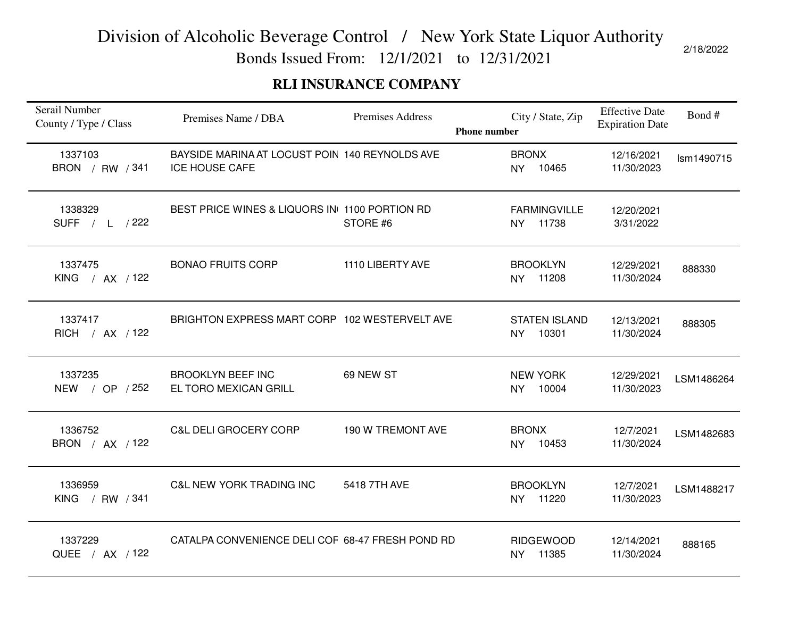Bonds Issued From: 12/1/2021 to 12/31/2021

### **RLI INSURANCE COMPANY**

| Serail Number<br>County / Type / Class | Premises Name / DBA                                                     | Premises Address  | <b>Phone number</b> | City / State, Zip                          | <b>Effective Date</b><br><b>Expiration Date</b> | Bond#      |
|----------------------------------------|-------------------------------------------------------------------------|-------------------|---------------------|--------------------------------------------|-------------------------------------------------|------------|
| 1337103<br>BRON / RW / 341             | BAYSIDE MARINA AT LOCUST POIN 140 REYNOLDS AVE<br><b>ICE HOUSE CAFE</b> |                   |                     | <b>BRONX</b><br>10465<br><b>NY</b>         | 12/16/2021<br>11/30/2023                        | Ism1490715 |
| 1338329<br>SUFF / L / 222              | BEST PRICE WINES & LIQUORS IN 1100 PORTION RD                           | STORE #6          |                     | <b>FARMINGVILLE</b><br>NY 11738            | 12/20/2021<br>3/31/2022                         |            |
| 1337475<br>KING / AX / 122             | <b>BONAO FRUITS CORP</b>                                                | 1110 LIBERTY AVE  |                     | <b>BROOKLYN</b><br>11208<br><b>NY</b>      | 12/29/2021<br>11/30/2024                        | 888330     |
| 1337417<br>RICH / AX / 122             | BRIGHTON EXPRESS MART CORP 102 WESTERVELT AVE                           |                   |                     | <b>STATEN ISLAND</b><br>10301<br><b>NY</b> | 12/13/2021<br>11/30/2024                        | 888305     |
| 1337235<br>NEW / OP / 252              | <b>BROOKLYN BEEF INC</b><br>EL TORO MEXICAN GRILL                       | 69 NEW ST         |                     | <b>NEW YORK</b><br>10004<br>NY             | 12/29/2021<br>11/30/2023                        | LSM1486264 |
| 1336752<br>BRON / AX / 122             | <b>C&amp;L DELI GROCERY CORP</b>                                        | 190 W TREMONT AVE |                     | <b>BRONX</b><br>10453<br><b>NY</b>         | 12/7/2021<br>11/30/2024                         | LSM1482683 |
| 1336959<br>KING / RW $/341$            | C&L NEW YORK TRADING INC                                                | 5418 7TH AVE      |                     | <b>BROOKLYN</b><br>NY 11220                | 12/7/2021<br>11/30/2023                         | LSM1488217 |
| 1337229<br>QUEE / AX / 122             | CATALPA CONVENIENCE DELI COF 68-47 FRESH POND RD                        |                   |                     | <b>RIDGEWOOD</b><br>11385<br><b>NY</b>     | 12/14/2021<br>11/30/2024                        | 888165     |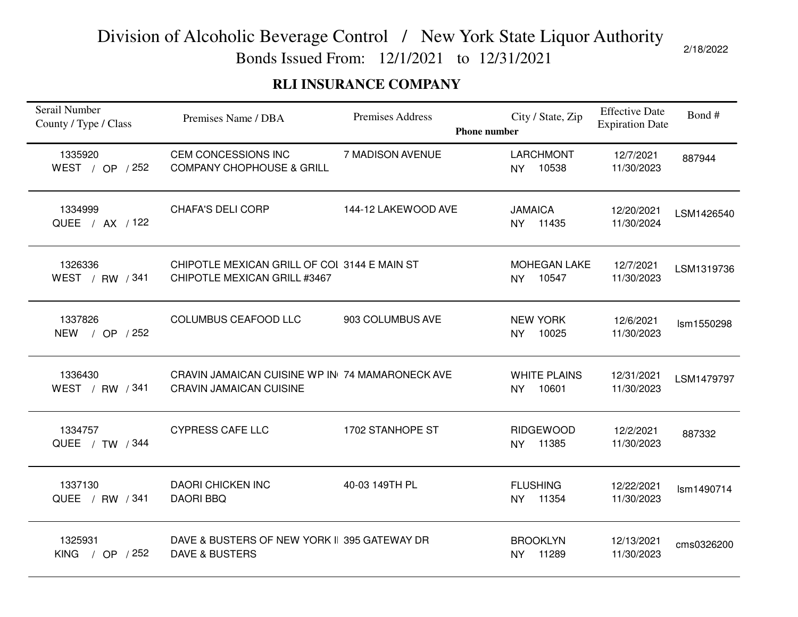Bonds Issued From: 12/1/2021 to 12/31/2021

### **RLI INSURANCE COMPANY**

| Serail Number<br>County / Type / Class | Premises Name / DBA                                                               | Premises Address    | City / State, Zip<br><b>Phone number</b>  | <b>Effective Date</b><br><b>Expiration Date</b> | Bond#      |
|----------------------------------------|-----------------------------------------------------------------------------------|---------------------|-------------------------------------------|-------------------------------------------------|------------|
| 1335920<br>WEST / OP / 252             | CEM CONCESSIONS INC<br><b>COMPANY CHOPHOUSE &amp; GRILL</b>                       | 7 MADISON AVENUE    | <b>LARCHMONT</b><br>10538<br>NY           | 12/7/2021<br>11/30/2023                         | 887944     |
| 1334999<br>QUEE / AX / 122             | <b>CHAFA'S DELI CORP</b>                                                          | 144-12 LAKEWOOD AVE | <b>JAMAICA</b><br>NY 11435                | 12/20/2021<br>11/30/2024                        | LSM1426540 |
| 1326336<br>WEST / RW / 341             | CHIPOTLE MEXICAN GRILL OF COI 3144 E MAIN ST<br>CHIPOTLE MEXICAN GRILL #3467      |                     | <b>MOHEGAN LAKE</b><br>10547<br>NY.       | 12/7/2021<br>11/30/2023                         | LSM1319736 |
| 1337826<br><b>NEW</b><br>/ OP $/252$   | COLUMBUS CEAFOOD LLC                                                              | 903 COLUMBUS AVE    | <b>NEW YORK</b><br>10025<br><b>NY</b>     | 12/6/2021<br>11/30/2023                         | Ism1550298 |
| 1336430<br>WEST / RW / 341             | CRAVIN JAMAICAN CUISINE WP IN 74 MAMARONECK AVE<br><b>CRAVIN JAMAICAN CUISINE</b> |                     | <b>WHITE PLAINS</b><br>10601<br><b>NY</b> | 12/31/2021<br>11/30/2023                        | LSM1479797 |
| 1334757<br>QUEE / TW / 344             | <b>CYPRESS CAFE LLC</b>                                                           | 1702 STANHOPE ST    | <b>RIDGEWOOD</b><br>11385<br><b>NY</b>    | 12/2/2021<br>11/30/2023                         | 887332     |
| 1337130<br>QUEE / RW / 341             | <b>DAORI CHICKEN INC</b><br><b>DAORI BBQ</b>                                      | 40-03 149TH PL      | <b>FLUSHING</b><br>11354<br><b>NY</b>     | 12/22/2021<br>11/30/2023                        | Ism1490714 |
| 1325931<br><b>KING</b><br>/ OP / 252   | DAVE & BUSTERS OF NEW YORK II 395 GATEWAY DR<br><b>DAVE &amp; BUSTERS</b>         |                     | <b>BROOKLYN</b><br>11289<br><b>NY</b>     | 12/13/2021<br>11/30/2023                        | cms0326200 |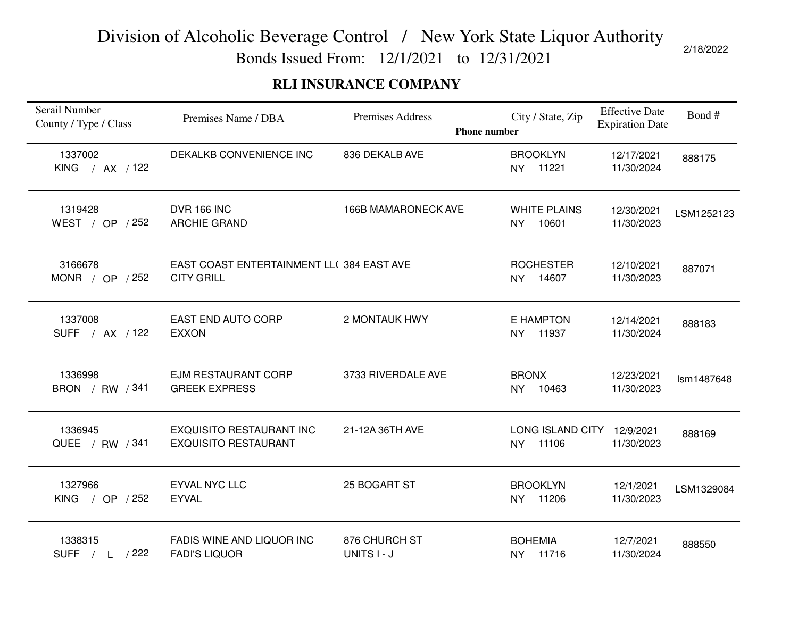Bonds Issued From: 12/1/2021 to 12/31/2021

### **RLI INSURANCE COMPANY**

| Serail Number<br>County / Type / Class | Premises Name / DBA                                            | Premises Address<br><b>Phone number</b> | City / State, Zip                         | <b>Effective Date</b><br><b>Expiration Date</b> | Bond#      |
|----------------------------------------|----------------------------------------------------------------|-----------------------------------------|-------------------------------------------|-------------------------------------------------|------------|
| 1337002<br>KING / AX / 122             | DEKALKB CONVENIENCE INC                                        | 836 DEKALB AVE                          | <b>BROOKLYN</b><br>11221<br><b>NY</b>     | 12/17/2021<br>11/30/2024                        | 888175     |
| 1319428<br>WEST / OP / 252             | <b>DVR 166 INC</b><br><b>ARCHIE GRAND</b>                      | 166B MAMARONECK AVE                     | <b>WHITE PLAINS</b><br>10601<br><b>NY</b> | 12/30/2021<br>11/30/2023                        | LSM1252123 |
| 3166678<br>MONR / OP / 252             | EAST COAST ENTERTAINMENT LL(384 EAST AVE<br><b>CITY GRILL</b>  |                                         | <b>ROCHESTER</b><br>14607<br><b>NY</b>    | 12/10/2021<br>11/30/2023                        | 887071     |
| 1337008<br>SUFF / AX / 122             | <b>EAST END AUTO CORP</b><br><b>EXXON</b>                      | 2 MONTAUK HWY                           | <b>E HAMPTON</b><br>11937<br><b>NY</b>    | 12/14/2021<br>11/30/2024                        | 888183     |
| 1336998<br>BRON / RW / 341             | <b>EJM RESTAURANT CORP</b><br><b>GREEK EXPRESS</b>             | 3733 RIVERDALE AVE                      | <b>BRONX</b><br>10463<br><b>NY</b>        | 12/23/2021<br>11/30/2023                        | Ism1487648 |
| 1336945<br>QUEE / RW / 341             | <b>EXQUISITO RESTAURANT INC</b><br><b>EXQUISITO RESTAURANT</b> | 21-12A 36TH AVE                         | LONG ISLAND CITY 12/9/2021<br>11106<br>NY | 11/30/2023                                      | 888169     |
| 1327966<br><b>KING</b><br>/ OP $/252$  | <b>EYVAL NYC LLC</b><br><b>EYVAL</b>                           | 25 BOGART ST                            | <b>BROOKLYN</b><br>11206<br><b>NY</b>     | 12/1/2021<br>11/30/2023                         | LSM1329084 |
| 1338315<br>SUFF / L /222               | FADIS WINE AND LIQUOR INC<br><b>FADI'S LIQUOR</b>              | 876 CHURCH ST<br>UNITS I - J            | <b>BOHEMIA</b><br>11716<br>NY             | 12/7/2021<br>11/30/2024                         | 888550     |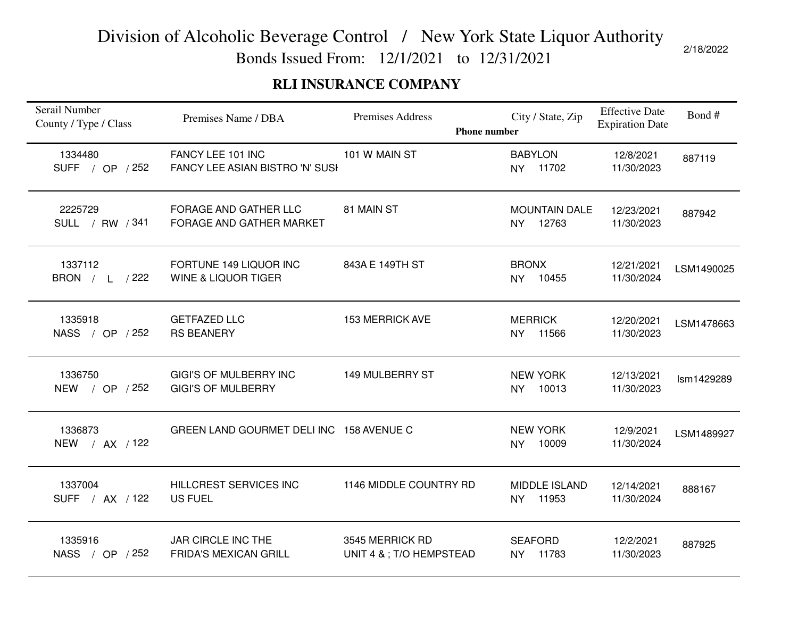Bonds Issued From: 12/1/2021 to 12/31/2021

### **RLI INSURANCE COMPANY**

| Serail Number<br>County / Type / Class | Premises Name / DBA                                        | Premises Address                            | <b>Phone number</b> | City / State, Zip                     | <b>Effective Date</b><br><b>Expiration Date</b> | Bond#      |
|----------------------------------------|------------------------------------------------------------|---------------------------------------------|---------------------|---------------------------------------|-------------------------------------------------|------------|
| 1334480<br>SUFF / OP / 252             | FANCY LEE 101 INC<br>FANCY LEE ASIAN BISTRO 'N' SUSI       | 101 W MAIN ST                               |                     | <b>BABYLON</b><br>NY 11702            | 12/8/2021<br>11/30/2023                         | 887119     |
| 2225729<br>SULL / RW / 341             | FORAGE AND GATHER LLC<br>FORAGE AND GATHER MARKET          | 81 MAIN ST                                  |                     | <b>MOUNTAIN DALE</b><br>NY 12763      | 12/23/2021<br>11/30/2023                        | 887942     |
| 1337112<br>BRON / L / 222              | FORTUNE 149 LIQUOR INC<br><b>WINE &amp; LIQUOR TIGER</b>   | 843A E 149TH ST                             |                     | <b>BRONX</b><br>10455<br><b>NY</b>    | 12/21/2021<br>11/30/2024                        | LSM1490025 |
| 1335918<br>NASS / OP / 252             | <b>GETFAZED LLC</b><br><b>RS BEANERY</b>                   | 153 MERRICK AVE                             |                     | <b>MERRICK</b><br>NY 11566            | 12/20/2021<br>11/30/2023                        | LSM1478663 |
| 1336750<br><b>NEW</b><br>/ OP / 252    | <b>GIGI'S OF MULBERRY INC</b><br><b>GIGI'S OF MULBERRY</b> | 149 MULBERRY ST                             |                     | <b>NEW YORK</b><br>10013<br><b>NY</b> | 12/13/2021<br>11/30/2023                        | Ism1429289 |
| 1336873<br>NEW / AX / 122              | GREEN LAND GOURMET DELI INC 158 AVENUE C                   |                                             |                     | <b>NEW YORK</b><br>10009<br><b>NY</b> | 12/9/2021<br>11/30/2024                         | LSM1489927 |
| 1337004<br>SUFF / AX / 122             | <b>HILLCREST SERVICES INC</b><br><b>US FUEL</b>            | 1146 MIDDLE COUNTRY RD                      |                     | <b>MIDDLE ISLAND</b><br>11953<br>NY   | 12/14/2021<br>11/30/2024                        | 888167     |
| 1335916<br>NASS / OP / 252             | JAR CIRCLE INC THE<br><b>FRIDA'S MEXICAN GRILL</b>         | 3545 MERRICK RD<br>UNIT 4 & ; T/O HEMPSTEAD |                     | <b>SEAFORD</b><br>NY 11783            | 12/2/2021<br>11/30/2023                         | 887925     |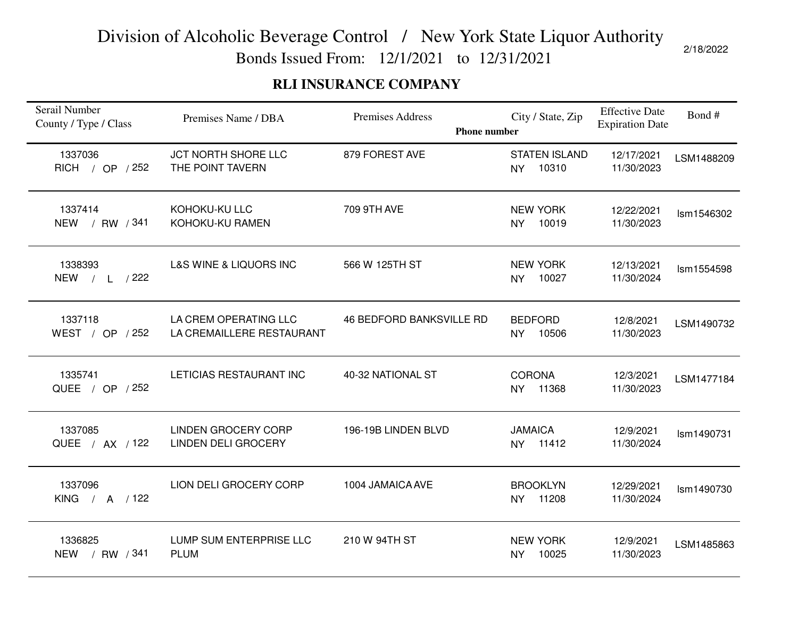Bonds Issued From: 12/1/2021 to 12/31/2021

### **RLI INSURANCE COMPANY**

| Serail Number<br>County / Type / Class | Premises Name / DBA                                      | Premises Address<br><b>Phone number</b> | City / State, Zip                          | <b>Effective Date</b><br><b>Expiration Date</b> | Bond#      |
|----------------------------------------|----------------------------------------------------------|-----------------------------------------|--------------------------------------------|-------------------------------------------------|------------|
| 1337036<br>RICH / OP / 252             | JCT NORTH SHORE LLC<br>THE POINT TAVERN                  | 879 FOREST AVE                          | <b>STATEN ISLAND</b><br>10310<br><b>NY</b> | 12/17/2021<br>11/30/2023                        | LSM1488209 |
| 1337414<br>/ RW / 341<br><b>NEW</b>    | KOHOKU-KU LLC<br>KOHOKU-KU RAMEN                         | 709 9TH AVE                             | <b>NEW YORK</b><br>10019<br><b>NY</b>      | 12/22/2021<br>11/30/2023                        | Ism1546302 |
| 1338393<br><b>NEW</b><br>$/$ L $/$ 222 | <b>L&amp;S WINE &amp; LIQUORS INC</b>                    | 566 W 125TH ST                          | <b>NEW YORK</b><br>10027<br><b>NY</b>      | 12/13/2021<br>11/30/2024                        | Ism1554598 |
| 1337118<br>WEST / OP $/252$            | LA CREM OPERATING LLC<br>LA CREMAILLERE RESTAURANT       | <b>46 BEDFORD BANKSVILLE RD</b>         | <b>BEDFORD</b><br>10506<br><b>NY</b>       | 12/8/2021<br>11/30/2023                         | LSM1490732 |
| 1335741<br>QUEE / OP / 252             | LETICIAS RESTAURANT INC                                  | 40-32 NATIONAL ST                       | <b>CORONA</b><br>11368<br><b>NY</b>        | 12/3/2021<br>11/30/2023                         | LSM1477184 |
| 1337085<br>QUEE / AX / 122             | <b>LINDEN GROCERY CORP</b><br><b>LINDEN DELI GROCERY</b> | 196-19B LINDEN BLVD                     | <b>JAMAICA</b><br>NY 11412                 | 12/9/2021<br>11/30/2024                         | Ism1490731 |
| 1337096<br>KING / A $/122$             | LION DELI GROCERY CORP                                   | 1004 JAMAICA AVE                        | <b>BROOKLYN</b><br>11208<br><b>NY</b>      | 12/29/2021<br>11/30/2024                        | Ism1490730 |
| 1336825<br><b>NEW</b><br>/ RW / 341    | LUMP SUM ENTERPRISE LLC<br><b>PLUM</b>                   | 210 W 94TH ST                           | <b>NEW YORK</b><br>10025<br><b>NY</b>      | 12/9/2021<br>11/30/2023                         | LSM1485863 |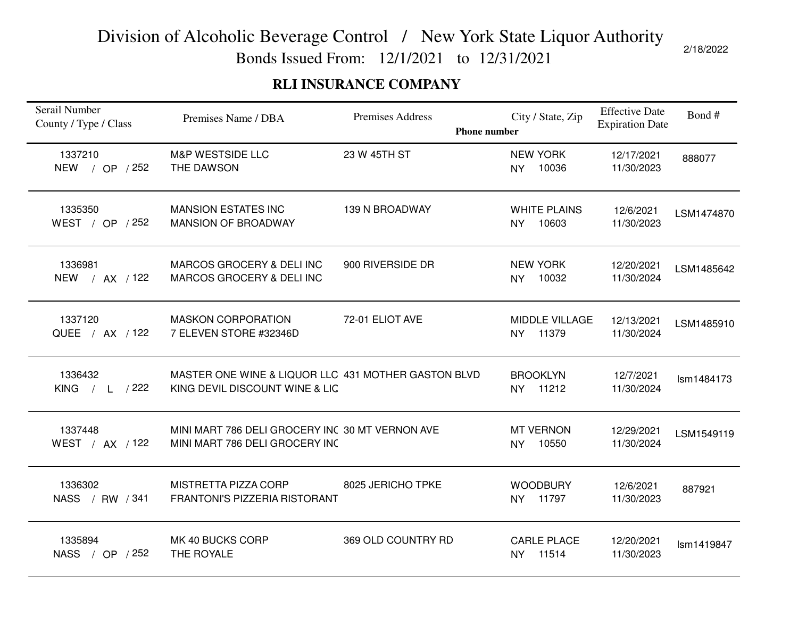Bonds Issued From: 12/1/2021 to 12/31/2021

### **RLI INSURANCE COMPANY**

| Serail Number<br>County / Type / Class  | Premises Name / DBA                                                                   | Premises Address   | <b>Phone number</b> |                              | City / State, Zip              | <b>Effective Date</b><br><b>Expiration Date</b> | Bond#      |
|-----------------------------------------|---------------------------------------------------------------------------------------|--------------------|---------------------|------------------------------|--------------------------------|-------------------------------------------------|------------|
| 1337210<br>NEW / OP / 252               | M&P WESTSIDE LLC<br>THE DAWSON                                                        | 23 W 45TH ST       |                     | <b>NEW YORK</b><br><b>NY</b> | 10036                          | 12/17/2021<br>11/30/2023                        | 888077     |
| 1335350<br>WEST / OP / 252              | <b>MANSION ESTATES INC</b><br><b>MANSION OF BROADWAY</b>                              | 139 N BROADWAY     |                     | <b>NY</b>                    | <b>WHITE PLAINS</b><br>10603   | 12/6/2021<br>11/30/2023                         | LSM1474870 |
| 1336981<br>$/$ AX $/$ 122<br><b>NEW</b> | MARCOS GROCERY & DELI INC<br>MARCOS GROCERY & DELI INC                                | 900 RIVERSIDE DR   |                     | <b>NEW YORK</b><br><b>NY</b> | 10032                          | 12/20/2021<br>11/30/2024                        | LSM1485642 |
| 1337120<br>QUEE / AX / 122              | <b>MASKON CORPORATION</b><br>7 ELEVEN STORE #32346D                                   | 72-01 ELIOT AVE    |                     | <b>NY</b>                    | <b>MIDDLE VILLAGE</b><br>11379 | 12/13/2021<br>11/30/2024                        | LSM1485910 |
| 1336432<br><b>KING</b><br>$/$ L $/$ 222 | MASTER ONE WINE & LIQUOR LLC 431 MOTHER GASTON BLVD<br>KING DEVIL DISCOUNT WINE & LIC |                    |                     | <b>BROOKLYN</b><br><b>NY</b> | 11212                          | 12/7/2021<br>11/30/2024                         | Ism1484173 |
| 1337448<br>WEST / AX / 122              | MINI MART 786 DELI GROCERY INC 30 MT VERNON AVE<br>MINI MART 786 DELI GROCERY INC     |                    |                     | NY                           | <b>MT VERNON</b><br>10550      | 12/29/2021<br>11/30/2024                        | LSM1549119 |
| 1336302<br>NASS / RW / 341              | MISTRETTA PIZZA CORP<br><b>FRANTONI'S PIZZERIA RISTORANT</b>                          | 8025 JERICHO TPKE  |                     | <b>NY</b>                    | <b>WOODBURY</b><br>11797       | 12/6/2021<br>11/30/2023                         | 887921     |
| 1335894<br>NASS / OP / 252              | MK 40 BUCKS CORP<br>THE ROYALE                                                        | 369 OLD COUNTRY RD |                     | <b>NY</b>                    | <b>CARLE PLACE</b><br>11514    | 12/20/2021<br>11/30/2023                        | Ism1419847 |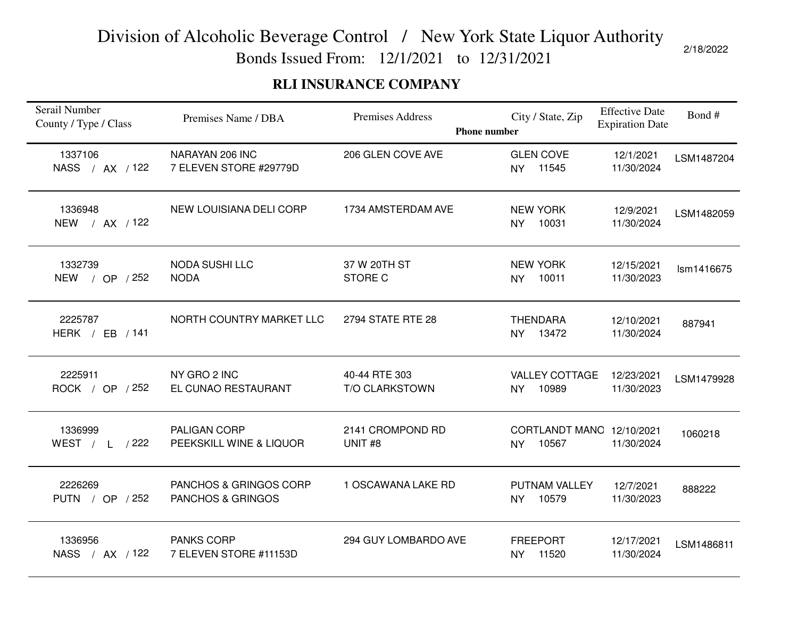Bonds Issued From: 12/1/2021 to 12/31/2021

### **RLI INSURANCE COMPANY**

| Serail Number<br>County / Type / Class             | Premises Name / DBA                         | <b>Premises Address</b><br><b>Phone number</b> | City / State, Zip                               | <b>Effective Date</b><br><b>Expiration Date</b> | Bond#      |
|----------------------------------------------------|---------------------------------------------|------------------------------------------------|-------------------------------------------------|-------------------------------------------------|------------|
| 1337106<br>NASS / AX / 122                         | NARAYAN 206 INC<br>7 ELEVEN STORE #29779D   | 206 GLEN COVE AVE                              | <b>GLEN COVE</b><br>11545<br><b>NY</b>          | 12/1/2021<br>11/30/2024                         | LSM1487204 |
| 1336948<br>NEW / AX / 122                          | <b>NEW LOUISIANA DELI CORP</b>              | 1734 AMSTERDAM AVE                             | <b>NEW YORK</b><br>10031<br>NY                  | 12/9/2021<br>11/30/2024                         | LSM1482059 |
| 1332739<br><b>NEW</b><br>OP / 252<br>$\frac{1}{2}$ | <b>NODA SUSHI LLC</b><br><b>NODA</b>        | 37 W 20TH ST<br><b>STORE C</b>                 | <b>NEW YORK</b><br>10011<br><b>NY</b>           | 12/15/2021<br>11/30/2023                        | Ism1416675 |
| 2225787<br>HERK / EB / 141                         | NORTH COUNTRY MARKET LLC                    | 2794 STATE RTE 28                              | <b>THENDARA</b><br>NY 13472                     | 12/10/2021<br>11/30/2024                        | 887941     |
| 2225911<br>ROCK / OP / 252                         | NY GRO 2 INC<br>EL CUNAO RESTAURANT         | 40-44 RTE 303<br><b>T/O CLARKSTOWN</b>         | <b>VALLEY COTTAGE</b><br>10989<br><b>NY</b>     | 12/23/2021<br>11/30/2023                        | LSM1479928 |
| 1336999<br>WEST / L / 222                          | PALIGAN CORP<br>PEEKSKILL WINE & LIQUOR     | 2141 CROMPOND RD<br>UNIT <sub>#8</sub>         | CORTLANDT MANO 12/10/2021<br>10567<br><b>NY</b> | 11/30/2024                                      | 1060218    |
| 2226269<br>PUTN / OP / 252                         | PANCHOS & GRINGOS CORP<br>PANCHOS & GRINGOS | 1 OSCAWANA LAKE RD                             | PUTNAM VALLEY<br>10579<br><b>NY</b>             | 12/7/2021<br>11/30/2023                         | 888222     |
| 1336956<br>NASS / AX / 122                         | <b>PANKS CORP</b><br>7 ELEVEN STORE #11153D | 294 GUY LOMBARDO AVE                           | <b>FREEPORT</b><br>11520<br><b>NY</b>           | 12/17/2021<br>11/30/2024                        | LSM1486811 |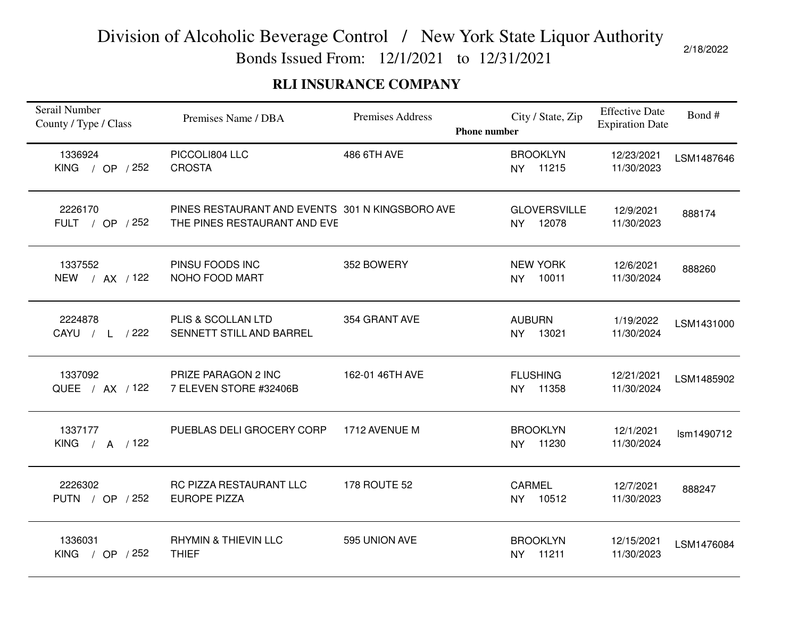Bonds Issued From: 12/1/2021 to 12/31/2021

### **RLI INSURANCE COMPANY**

| Serail Number<br>County / Type / Class  | Premises Name / DBA                                                             | Premises Address<br><b>Phone number</b> | City / State, Zip                         | <b>Effective Date</b><br><b>Expiration Date</b> | Bond#      |
|-----------------------------------------|---------------------------------------------------------------------------------|-----------------------------------------|-------------------------------------------|-------------------------------------------------|------------|
| 1336924<br><b>KING</b><br>/ OP / 252    | PICCOLI804 LLC<br><b>CROSTA</b>                                                 | 486 6TH AVE                             | <b>BROOKLYN</b><br>NY 11215               | 12/23/2021<br>11/30/2023                        | LSM1487646 |
| 2226170<br>FULT / OP / 252              | PINES RESTAURANT AND EVENTS 301 N KINGSBORO AVE<br>THE PINES RESTAURANT AND EVE |                                         | <b>GLOVERSVILLE</b><br>12078<br><b>NY</b> | 12/9/2021<br>11/30/2023                         | 888174     |
| 1337552<br><b>NEW</b><br>$/$ AX $/$ 122 | PINSU FOODS INC<br>NOHO FOOD MART                                               | 352 BOWERY                              | <b>NEW YORK</b><br>10011<br><b>NY</b>     | 12/6/2021<br>11/30/2024                         | 888260     |
| 2224878<br>CAYU / L / 222               | PLIS & SCOLLAN LTD<br>SENNETT STILL AND BARREL                                  | 354 GRANT AVE                           | <b>AUBURN</b><br>NY 13021                 | 1/19/2022<br>11/30/2024                         | LSM1431000 |
| 1337092<br>QUEE / AX / 122              | PRIZE PARAGON 2 INC<br>7 ELEVEN STORE #32406B                                   | 162-01 46TH AVE                         | <b>FLUSHING</b><br>11358<br><b>NY</b>     | 12/21/2021<br>11/30/2024                        | LSM1485902 |
| 1337177<br>KING / A / 122               | PUEBLAS DELI GROCERY CORP                                                       | 1712 AVENUE M                           | <b>BROOKLYN</b><br>NY 11230               | 12/1/2021<br>11/30/2024                         | Ism1490712 |
| 2226302<br>PUTN / OP / 252              | RC PIZZA RESTAURANT LLC<br><b>EUROPE PIZZA</b>                                  | 178 ROUTE 52                            | <b>CARMEL</b><br>10512<br><b>NY</b>       | 12/7/2021<br>11/30/2023                         | 888247     |
| 1336031<br>/ OP / 252<br><b>KING</b>    | RHYMIN & THIEVIN LLC<br><b>THIEF</b>                                            | 595 UNION AVE                           | <b>BROOKLYN</b><br>NY 11211               | 12/15/2021<br>11/30/2023                        | LSM1476084 |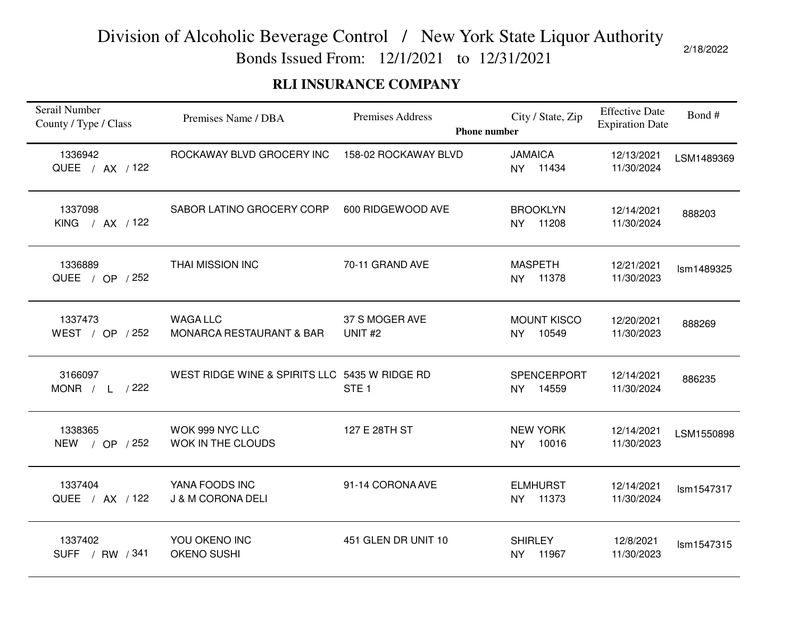Bonds Issued From: 12/1/2021 to 12/31/2021

### **RLI INSURANCE COMPANY**

| Serail Number<br>County / Type / Class | Premises Name / DBA                                    | Premises Address<br><b>Phone number</b> | City / State, Zip                        | <b>Effective Date</b><br><b>Expiration Date</b> | Bond#      |
|----------------------------------------|--------------------------------------------------------|-----------------------------------------|------------------------------------------|-------------------------------------------------|------------|
| 1336942<br>QUEE / AX / 122             | ROCKAWAY BLVD GROCERY INC                              | 158-02 ROCKAWAY BLVD                    | <b>JAMAICA</b><br>11434<br>NY.           | 12/13/2021<br>11/30/2024                        | LSM1489369 |
| 1337098<br>KING / AX / 122             | SABOR LATINO GROCERY CORP                              | 600 RIDGEWOOD AVE                       | <b>BROOKLYN</b><br>NY 11208              | 12/14/2021<br>11/30/2024                        | 888203     |
| 1336889<br>QUEE / OP / 252             | THAI MISSION INC                                       | 70-11 GRAND AVE                         | <b>MASPETH</b><br>11378<br>NY.           | 12/21/2021<br>11/30/2023                        | Ism1489325 |
| 1337473<br>WEST / OP / 252             | <b>WAGA LLC</b><br><b>MONARCA RESTAURANT &amp; BAR</b> | 37 S MOGER AVE<br>UNIT <sub>#2</sub>    | <b>MOUNT KISCO</b><br>10549<br><b>NY</b> | 12/20/2021<br>11/30/2023                        | 888269     |
| 3166097<br>MONR $/$ L $/222$           | WEST RIDGE WINE & SPIRITS LLC 5435 W RIDGE RD          | STE <sub>1</sub>                        | <b>SPENCERPORT</b><br>14559<br>NY        | 12/14/2021<br>11/30/2024                        | 886235     |
| 1338365<br>NEW / OP / 252              | WOK 999 NYC LLC<br>WOK IN THE CLOUDS                   | 127 E 28TH ST                           | <b>NEW YORK</b><br>10016<br><b>NY</b>    | 12/14/2021<br>11/30/2023                        | LSM1550898 |
| 1337404<br>QUEE / AX / 122             | YANA FOODS INC<br><b>J &amp; M CORONA DELI</b>         | 91-14 CORONA AVE                        | <b>ELMHURST</b><br>11373<br><b>NY</b>    | 12/14/2021<br>11/30/2024                        | Ism1547317 |
| 1337402<br>SUFF / RW / 341             | YOU OKENO INC<br>OKENO SUSHI                           | 451 GLEN DR UNIT 10                     | <b>SHIRLEY</b><br>11967<br><b>NY</b>     | 12/8/2021<br>11/30/2023                         | Ism1547315 |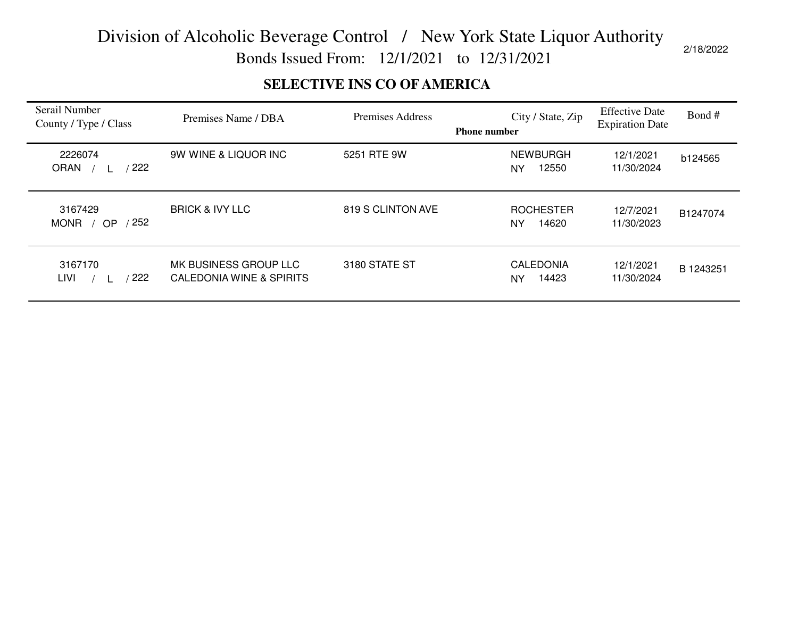Bonds Issued From: 12/1/2021 to 12/31/2021

### **SELECTIVE INS CO OF AMERICA**

| Serail Number<br>County / Type / Class | Premises Name / DBA                               | Premises Address  | City / State, Zip<br><b>Phone number</b> | <b>Effective Date</b><br><b>Expiration Date</b> | Bond#     |
|----------------------------------------|---------------------------------------------------|-------------------|------------------------------------------|-------------------------------------------------|-----------|
| 2226074<br>222<br><b>ORAN</b>          | 9W WINE & LIQUOR INC                              | 5251 RTE 9W       | <b>NEWBURGH</b><br>12550<br>NY           | 12/1/2021<br>11/30/2024                         | b124565   |
| 3167429<br>/ 252<br><b>MONR</b><br>OP  | <b>BRICK &amp; IVY LLC</b>                        | 819 S CLINTON AVE | <b>ROCHESTER</b><br>14620<br><b>NY</b>   | 12/7/2021<br>11/30/2023                         | B1247074  |
| 3167170<br>222<br>LIVI                 | MK BUSINESS GROUP LLC<br>CALEDONIA WINE & SPIRITS | 3180 STATE ST     | <b>CALEDONIA</b><br>14423<br>NY          | 12/1/2021<br>11/30/2024                         | B 1243251 |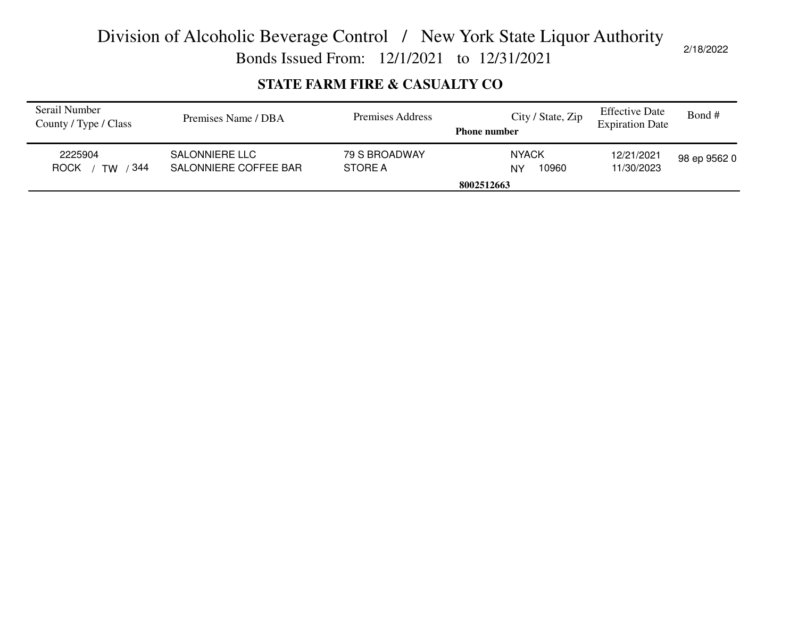Bonds Issued From: 12/1/2021 to 12/31/2021

### **STATE FARM FIRE & CASUALTY CO**

| Serail Number<br>County / Type / Class | Premises Name / DBA                     | Premises Address         | City / State, Zip<br><b>Phone number</b> | <b>Effective Date</b><br><b>Expiration Date</b> | Bond #       |
|----------------------------------------|-----------------------------------------|--------------------------|------------------------------------------|-------------------------------------------------|--------------|
| 2225904<br>344<br>ROCK<br>TW           | SALONNIERE LLC<br>SALONNIERE COFFEE BAR | 79 S BROADWAY<br>STORE A | <b>NYACK</b><br>10960<br>NΥ              | 12/21/2021<br>11/30/2023                        | 98 ep 9562 0 |
|                                        |                                         |                          | 8002512663                               |                                                 |              |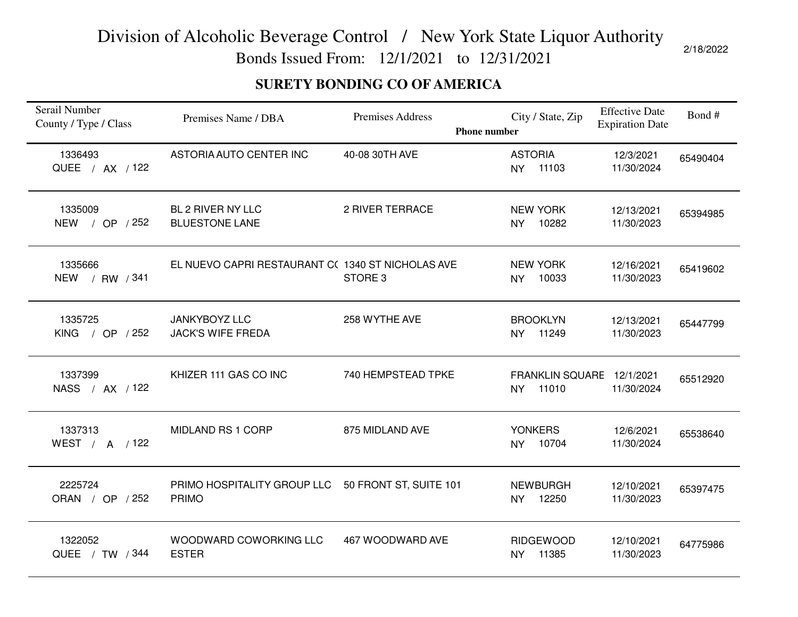Bonds Issued From: 12/1/2021 to 12/31/2021

### **SURETY BONDING CO OF AMERICA**

| Serail Number<br>County / Type / Class | Premises Name / DBA                              | Premises Address       | City / State, Zip<br><b>Phone number</b> | <b>Effective Date</b><br><b>Expiration Date</b> | Bond#    |
|----------------------------------------|--------------------------------------------------|------------------------|------------------------------------------|-------------------------------------------------|----------|
| 1336493<br>QUEE / AX / 122             | ASTORIA AUTO CENTER INC                          | 40-08 30TH AVE         | <b>ASTORIA</b><br>11103<br><b>NY</b>     | 12/3/2021<br>11/30/2024                         | 65490404 |
| 1335009<br>NEW / OP / 252              | BL 2 RIVER NY LLC<br><b>BLUESTONE LANE</b>       | <b>2 RIVER TERRACE</b> | <b>NEW YORK</b><br>NY 10282              | 12/13/2021<br>11/30/2023                        | 65394985 |
| 1335666<br><b>NEW</b><br>/ RW / 341    | EL NUEVO CAPRI RESTAURANT C(1340 ST NICHOLAS AVE | STORE <sub>3</sub>     | <b>NEW YORK</b><br>10033<br><b>NY</b>    | 12/16/2021<br>11/30/2023                        | 65419602 |
| 1335725<br>KING / OP $/252$            | <b>JANKYBOYZ LLC</b><br><b>JACK'S WIFE FREDA</b> | 258 WYTHE AVE          | <b>BROOKLYN</b><br>NY 11249              | 12/13/2021<br>11/30/2023                        | 65447799 |
| 1337399<br>NASS / AX / 122             | KHIZER 111 GAS CO INC                            | 740 HEMPSTEAD TPKE     | FRANKLIN SQUARE 12/1/2021<br>11010<br>NY | 11/30/2024                                      | 65512920 |
| 1337313<br>WEST / A / 122              | <b>MIDLAND RS 1 CORP</b>                         | 875 MIDLAND AVE        | <b>YONKERS</b><br>10704<br><b>NY</b>     | 12/6/2021<br>11/30/2024                         | 65538640 |
| 2225724<br>ORAN / OP / 252             | PRIMO HOSPITALITY GROUP LLC<br><b>PRIMO</b>      | 50 FRONT ST, SUITE 101 | <b>NEWBURGH</b><br>12250<br>NY.          | 12/10/2021<br>11/30/2023                        | 65397475 |
| 1322052<br>QUEE / TW / 344             | WOODWARD COWORKING LLC<br><b>ESTER</b>           | 467 WOODWARD AVE       | <b>RIDGEWOOD</b><br>11385<br><b>NY</b>   | 12/10/2021<br>11/30/2023                        | 64775986 |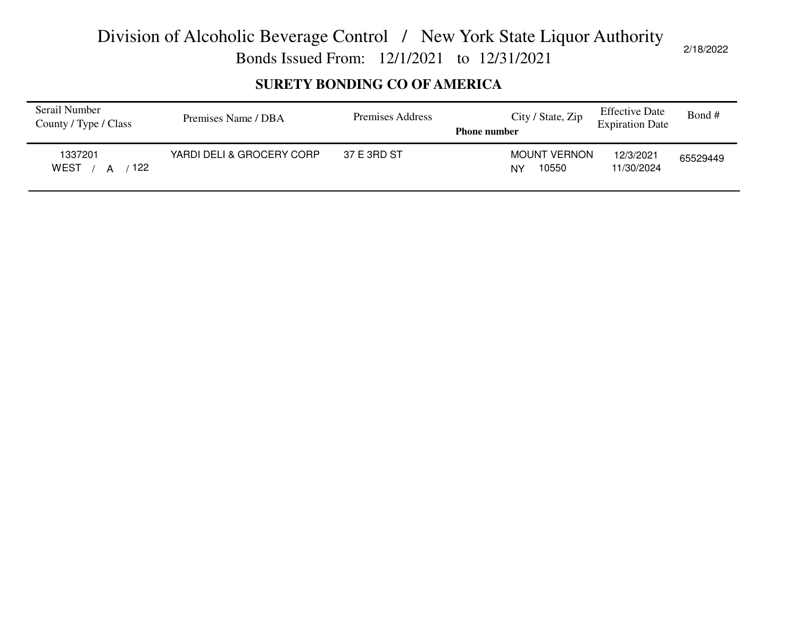Bonds Issued From: 12/1/2021 to 12/31/2021

### **SURETY BONDING CO OF AMERICA**

| Serail Number<br>County / Type / Class | Premises Name / DBA       | Premises Address | City / State, Zip<br><b>Phone number</b> | <b>Effective Date</b><br><b>Expiration Date</b> | Bond#    |
|----------------------------------------|---------------------------|------------------|------------------------------------------|-------------------------------------------------|----------|
| 1337201<br>122<br>WEST                 | YARDI DELI & GROCERY CORP | 37 E 3RD ST      | <b>MOUNT VERNON</b><br>10550<br>NY       | 12/3/2021<br>11/30/2024                         | 65529449 |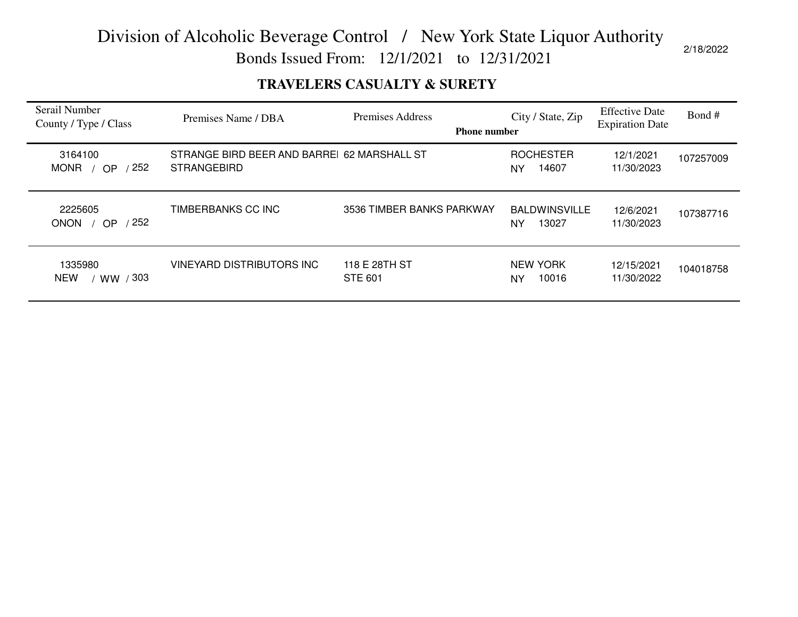Bonds Issued From: 12/1/2021 to 12/31/2021

### **TRAVELERS CASUALTY & SURETY**

| Serail Number<br>County / Type / Class     | Premises Name / DBA                                               | Premises Address<br><b>Phone number</b> | City / State, Zip                   | <b>Effective Date</b><br><b>Expiration Date</b> | Bond#     |
|--------------------------------------------|-------------------------------------------------------------------|-----------------------------------------|-------------------------------------|-------------------------------------------------|-----------|
| 3164100<br>252<br><b>MONR</b><br><b>OP</b> | STRANGE BIRD BEER AND BARREL 62 MARSHALL ST<br><b>STRANGEBIRD</b> |                                         | <b>ROCHESTER</b><br>14607<br>NY     | 12/1/2021<br>11/30/2023                         | 107257009 |
| 2225605<br>/ 252<br><b>ONON</b><br>OP.     | TIMBERBANKS CC INC                                                | 3536 TIMBER BANKS PARKWAY               | <b>BALDWINSVILLE</b><br>13027<br>NY | 12/6/2021<br>11/30/2023                         | 107387716 |
| 1335980<br>WW / 303<br><b>NEW</b>          | VINEYARD DISTRIBUTORS INC                                         | 118 E 28TH ST<br><b>STE 601</b>         | <b>NEW YORK</b><br>10016<br>NY      | 12/15/2021<br>11/30/2022                        | 104018758 |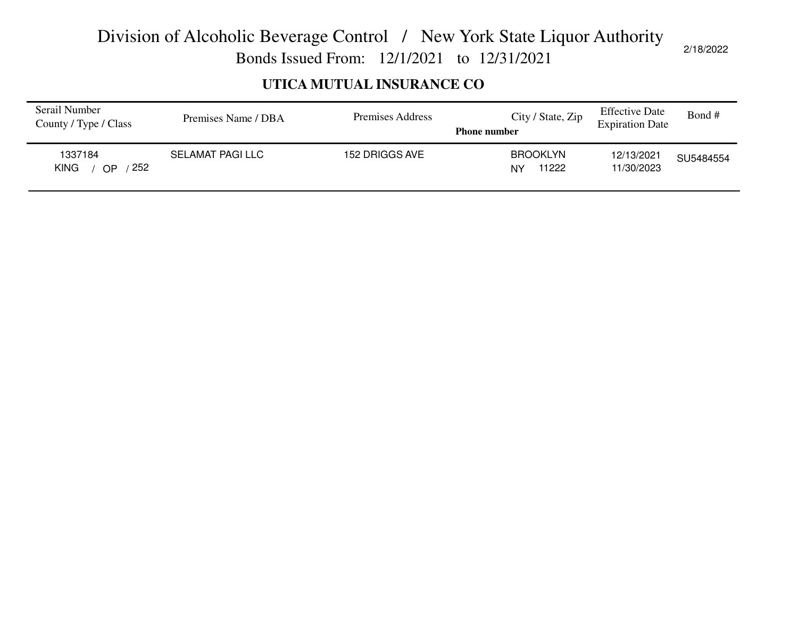Bonds Issued From: 12/1/2021 to 12/31/2021

### **UTICA MUTUAL INSURANCE CO**

| Serail Number<br>County / Type / Class     | Premises Name / DBA    | Premises Address | City / State, Zip<br><b>Phone number</b> | <b>Effective Date</b><br><b>Expiration Date</b> | Bond #    |
|--------------------------------------------|------------------------|------------------|------------------------------------------|-------------------------------------------------|-----------|
| 1337184<br>252<br><b>KING</b><br><b>OP</b> | <b>SELAMAT PAGILLC</b> | 152 DRIGGS AVE   | <b>BROOKLYN</b><br>11222<br>NY           | 12/13/2021<br>11/30/2023                        | SU5484554 |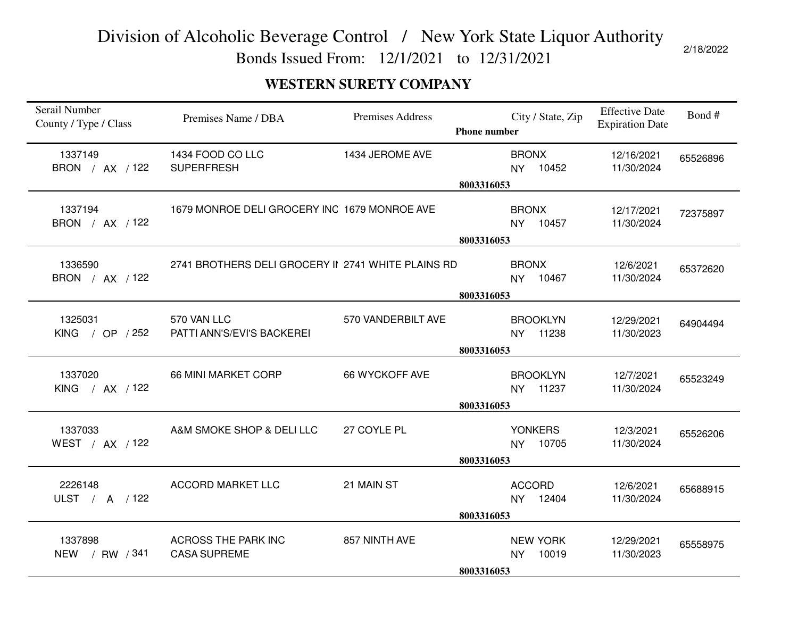Bonds Issued From: 12/1/2021 to 12/31/2021

#### **WESTERN SURETY COMPANY**

| Serail Number<br>County / Type / Class | Premises Name / DBA                                | Premises Address   | <b>Phone number</b> | City / State, Zip                     | <b>Effective Date</b><br><b>Expiration Date</b> | Bond#    |
|----------------------------------------|----------------------------------------------------|--------------------|---------------------|---------------------------------------|-------------------------------------------------|----------|
| 1337149<br>BRON / AX / 122             | 1434 FOOD CO LLC<br><b>SUPERFRESH</b>              | 1434 JEROME AVE    | 8003316053          | <b>BRONX</b><br>10452<br><b>NY</b>    | 12/16/2021<br>11/30/2024                        | 65526896 |
| 1337194<br>BRON / AX / 122             | 1679 MONROE DELI GROCERY INC 1679 MONROE AVE       |                    | 8003316053          | <b>BRONX</b><br>10457<br><b>NY</b>    | 12/17/2021<br>11/30/2024                        | 72375897 |
| 1336590<br>BRON / AX / 122             | 2741 BROTHERS DELI GROCERY II 2741 WHITE PLAINS RD |                    | 8003316053          | <b>BRONX</b><br>10467<br><b>NY</b>    | 12/6/2021<br>11/30/2024                         | 65372620 |
| 1325031<br>KING / OP $/252$            | 570 VAN LLC<br>PATTI ANN'S/EVI'S BACKEREI          | 570 VANDERBILT AVE | 8003316053          | <b>BROOKLYN</b><br>11238<br>NY        | 12/29/2021<br>11/30/2023                        | 64904494 |
| 1337020<br>KING / AX / 122             | 66 MINI MARKET CORP                                | 66 WYCKOFF AVE     | 8003316053          | <b>BROOKLYN</b><br>NY 11237           | 12/7/2021<br>11/30/2024                         | 65523249 |
| 1337033<br>WEST / AX / 122             | A&M SMOKE SHOP & DELI LLC                          | 27 COYLE PL        | 8003316053          | <b>YONKERS</b><br>10705<br><b>NY</b>  | 12/3/2021<br>11/30/2024                         | 65526206 |
| 2226148<br>ULST / A / 122              | <b>ACCORD MARKET LLC</b>                           | 21 MAIN ST         | 8003316053          | <b>ACCORD</b><br>12404<br>NY          | 12/6/2021<br>11/30/2024                         | 65688915 |
| 1337898<br>NEW / RW / 341              | ACROSS THE PARK INC<br><b>CASA SUPREME</b>         | 857 NINTH AVE      | 8003316053          | <b>NEW YORK</b><br>10019<br><b>NY</b> | 12/29/2021<br>11/30/2023                        | 65558975 |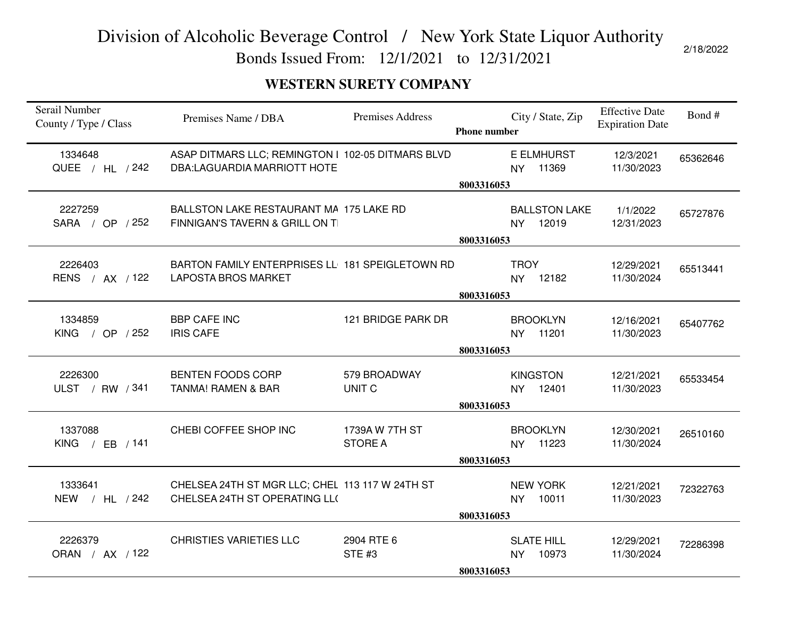Bonds Issued From: 12/1/2021 to 12/31/2021

#### **WESTERN SURETY COMPANY**

| Serail Number<br>County / Type / Class | Premises Name / DBA                                                              | <b>Premises Address</b>          | <b>Phone number</b> | City / State, Zip                       | <b>Effective Date</b><br><b>Expiration Date</b> | Bond#    |
|----------------------------------------|----------------------------------------------------------------------------------|----------------------------------|---------------------|-----------------------------------------|-------------------------------------------------|----------|
| 1334648<br>QUEE / HL / 242             | ASAP DITMARS LLC; REMINGTON I 102-05 DITMARS BLVD<br>DBA:LAGUARDIA MARRIOTT HOTE |                                  | 8003316053          | <b>E ELMHURST</b><br>11369<br>NY.       | 12/3/2021<br>11/30/2023                         | 65362646 |
| 2227259<br>SARA / OP / 252             | BALLSTON LAKE RESTAURANT MA 175 LAKE RD<br>FINNIGAN'S TAVERN & GRILL ON TI       |                                  | 8003316053          | <b>BALLSTON LAKE</b><br>NY 12019        | 1/1/2022<br>12/31/2023                          | 65727876 |
| 2226403<br>RENS / AX / 122             | BARTON FAMILY ENTERPRISES LL 181 SPEIGLETOWN RD<br><b>LAPOSTA BROS MARKET</b>    |                                  | 8003316053          | <b>TROY</b><br><b>NY</b><br>12182       | 12/29/2021<br>11/30/2024                        | 65513441 |
| 1334859<br>KING / OP $/252$            | <b>BBP CAFE INC</b><br><b>IRIS CAFE</b>                                          | 121 BRIDGE PARK DR               | 8003316053          | <b>BROOKLYN</b><br>11201<br><b>NY</b>   | 12/16/2021<br>11/30/2023                        | 65407762 |
| 2226300<br>ULST / RW / 341             | <b>BENTEN FOODS CORP</b><br><b>TANMA! RAMEN &amp; BAR</b>                        | 579 BROADWAY<br>UNIT C           | 8003316053          | <b>KINGSTON</b><br>NY 12401             | 12/21/2021<br>11/30/2023                        | 65533454 |
| 1337088<br>KING / EB / 141             | CHEBI COFFEE SHOP INC                                                            | 1739A W 7TH ST<br><b>STORE A</b> | 8003316053          | <b>BROOKLYN</b><br>11223<br>NY ·        | 12/30/2021<br>11/30/2024                        | 26510160 |
| 1333641<br>NEW / HL / 242              | CHELSEA 24TH ST MGR LLC; CHEL 113 117 W 24TH ST<br>CHELSEA 24TH ST OPERATING LL( |                                  | 8003316053          | <b>NEW YORK</b><br>10011<br>NY          | 12/21/2021<br>11/30/2023                        | 72322763 |
| 2226379<br>ORAN / AX / 122             | <b>CHRISTIES VARIETIES LLC</b>                                                   | 2904 RTE 6<br><b>STE #3</b>      | 8003316053          | <b>SLATE HILL</b><br>10973<br><b>NY</b> | 12/29/2021<br>11/30/2024                        | 72286398 |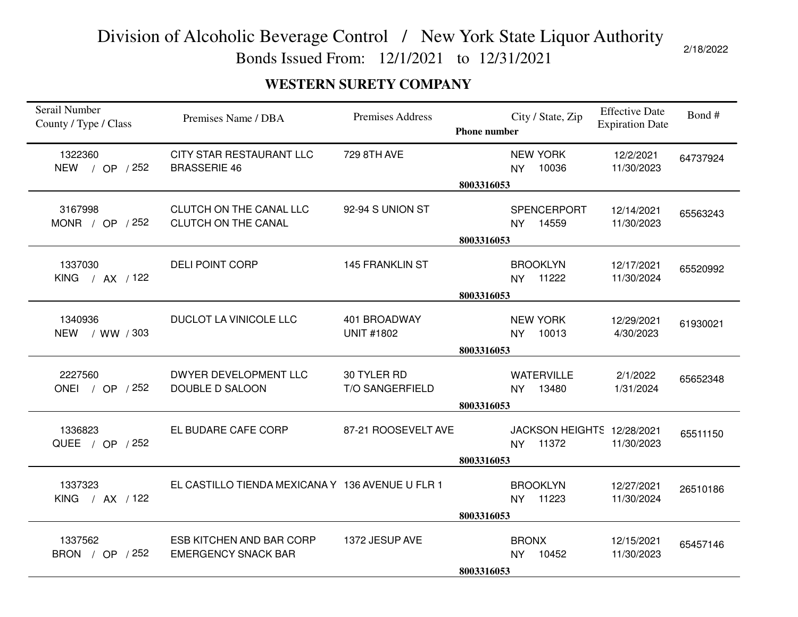Bonds Issued From: 12/1/2021 to 12/31/2021

#### **WESTERN SURETY COMPANY**

| Serail Number<br>County / Type / Class | Premises Name / DBA                                           | <b>Premises Address</b>               | <b>Phone number</b> | City / State, Zip                                | <b>Effective Date</b><br><b>Expiration Date</b> | Bond#    |
|----------------------------------------|---------------------------------------------------------------|---------------------------------------|---------------------|--------------------------------------------------|-------------------------------------------------|----------|
| 1322360<br>NEW / OP / 252              | CITY STAR RESTAURANT LLC<br><b>BRASSERIE 46</b>               | 729 8TH AVE                           |                     | <b>NEW YORK</b><br>10036<br>NY                   | 12/2/2021<br>11/30/2023                         | 64737924 |
|                                        |                                                               |                                       | 8003316053          |                                                  |                                                 |          |
| 3167998<br>MONR / OP / 252             | CLUTCH ON THE CANAL LLC<br><b>CLUTCH ON THE CANAL</b>         | 92-94 S UNION ST                      |                     | <b>SPENCERPORT</b><br>14559<br>NY                | 12/14/2021<br>11/30/2023                        | 65563243 |
|                                        |                                                               |                                       | 8003316053          |                                                  |                                                 |          |
| 1337030<br>KING / AX / 122             | <b>DELI POINT CORP</b>                                        | <b>145 FRANKLIN ST</b>                |                     | <b>BROOKLYN</b><br>NY 11222                      | 12/17/2021<br>11/30/2024                        | 65520992 |
|                                        |                                                               |                                       | 8003316053          |                                                  |                                                 |          |
| 1340936<br>NEW / WW / 303              | DUCLOT LA VINICOLE LLC                                        | 401 BROADWAY<br><b>UNIT #1802</b>     |                     | <b>NEW YORK</b><br>10013<br>NY                   | 12/29/2021<br>4/30/2023                         | 61930021 |
|                                        |                                                               |                                       | 8003316053          |                                                  |                                                 |          |
| 2227560<br>ONEI / OP / 252             | DWYER DEVELOPMENT LLC<br>DOUBLE D SALOON                      | 30 TYLER RD<br><b>T/O SANGERFIELD</b> | 8003316053          | <b>WATERVILLE</b><br>13480<br><b>NY</b>          | 2/1/2022<br>1/31/2024                           | 65652348 |
|                                        |                                                               |                                       |                     |                                                  |                                                 |          |
| 1336823<br>QUEE / OP / 252             | EL BUDARE CAFE CORP                                           | 87-21 ROOSEVELT AVE                   |                     | JACKSON HEIGHTS 12/28/2021<br>11372<br><b>NY</b> | 11/30/2023                                      | 65511150 |
|                                        |                                                               |                                       | 8003316053          |                                                  |                                                 |          |
| 1337323<br>KING / AX / 122             | EL CASTILLO TIENDA MEXICANA Y 136 AVENUE U FLR 1              |                                       |                     | <b>BROOKLYN</b><br>11223<br>NY I                 | 12/27/2021<br>11/30/2024                        | 26510186 |
|                                        |                                                               |                                       | 8003316053          |                                                  |                                                 |          |
| 1337562<br>BRON / OP / 252             | <b>ESB KITCHEN AND BAR CORP</b><br><b>EMERGENCY SNACK BAR</b> | 1372 JESUP AVE                        |                     | <b>BRONX</b><br>10452<br><b>NY</b>               | 12/15/2021<br>11/30/2023                        | 65457146 |
|                                        |                                                               |                                       | 8003316053          |                                                  |                                                 |          |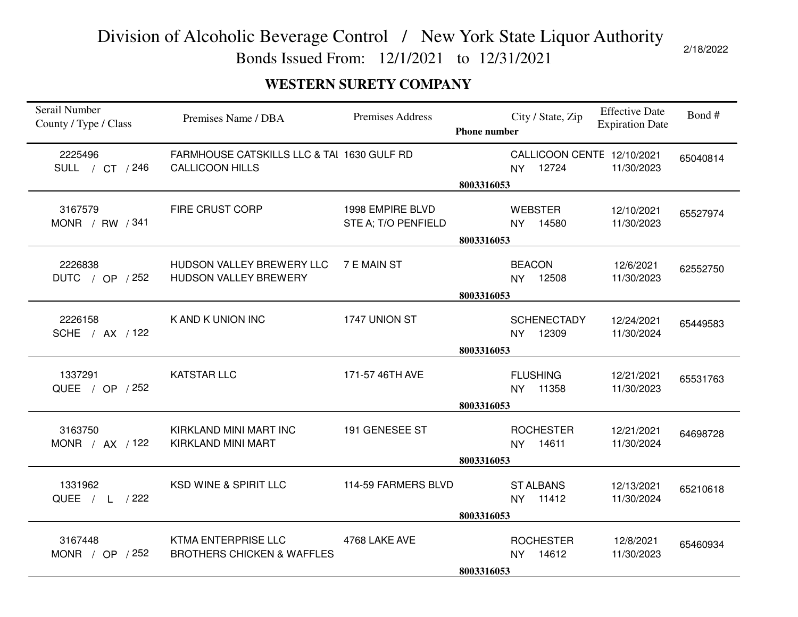Bonds Issued From: 12/1/2021 to 12/31/2021

### **WESTERN SURETY COMPANY**

| Serail Number<br>County / Type / Class | Premises Name / DBA                                                  | <b>Premises Address</b>                 | <b>Phone number</b> | City / State, Zip                          | <b>Effective Date</b><br><b>Expiration Date</b> | Bond#    |
|----------------------------------------|----------------------------------------------------------------------|-----------------------------------------|---------------------|--------------------------------------------|-------------------------------------------------|----------|
| 2225496<br>SULL / CT / 246             | FARMHOUSE CATSKILLS LLC & TAI 1630 GULF RD<br><b>CALLICOON HILLS</b> |                                         | 8003316053          | CALLICOON CENTE 12/10/2021<br>12724<br>NY. | 11/30/2023                                      | 65040814 |
| 3167579<br>MONR / RW / 341             | <b>FIRE CRUST CORP</b>                                               | 1998 EMPIRE BLVD<br>STE A; T/O PENFIELD | 8003316053          | <b>WEBSTER</b><br>14580<br><b>NY</b>       | 12/10/2021<br>11/30/2023                        | 65527974 |
| 2226838<br>DUTC / OP / 252             | HUDSON VALLEY BREWERY LLC<br>HUDSON VALLEY BREWERY                   | 7 E MAIN ST                             | 8003316053          | <b>BEACON</b><br><b>NY</b><br>12508        | 12/6/2021<br>11/30/2023                         | 62552750 |
| 2226158<br>SCHE / AX / 122             | K AND K UNION INC                                                    | 1747 UNION ST                           | 8003316053          | <b>SCHENECTADY</b><br>12309<br><b>NY</b>   | 12/24/2021<br>11/30/2024                        | 65449583 |
| 1337291<br>QUEE / OP / 252             | <b>KATSTAR LLC</b>                                                   | 171-57 46TH AVE                         | 8003316053          | <b>FLUSHING</b><br>11358<br><b>NY</b>      | 12/21/2021<br>11/30/2023                        | 65531763 |
| 3163750<br>MONR / AX / 122             | KIRKLAND MINI MART INC<br><b>KIRKLAND MINI MART</b>                  | 191 GENESEE ST                          | 8003316053          | <b>ROCHESTER</b><br>14611<br><b>NY</b>     | 12/21/2021<br>11/30/2024                        | 64698728 |
| 1331962<br>QUEE / L / 222              | KSD WINE & SPIRIT LLC                                                | 114-59 FARMERS BLVD                     | 8003316053          | <b>ST ALBANS</b><br>11412<br>NY            | 12/13/2021<br>11/30/2024                        | 65210618 |
| 3167448<br>MONR / OP $/252$            | <b>KTMA ENTERPRISE LLC</b><br><b>BROTHERS CHICKEN &amp; WAFFLES</b>  | 4768 LAKE AVE                           | 8003316053          | <b>ROCHESTER</b><br>14612<br>NY            | 12/8/2021<br>11/30/2023                         | 65460934 |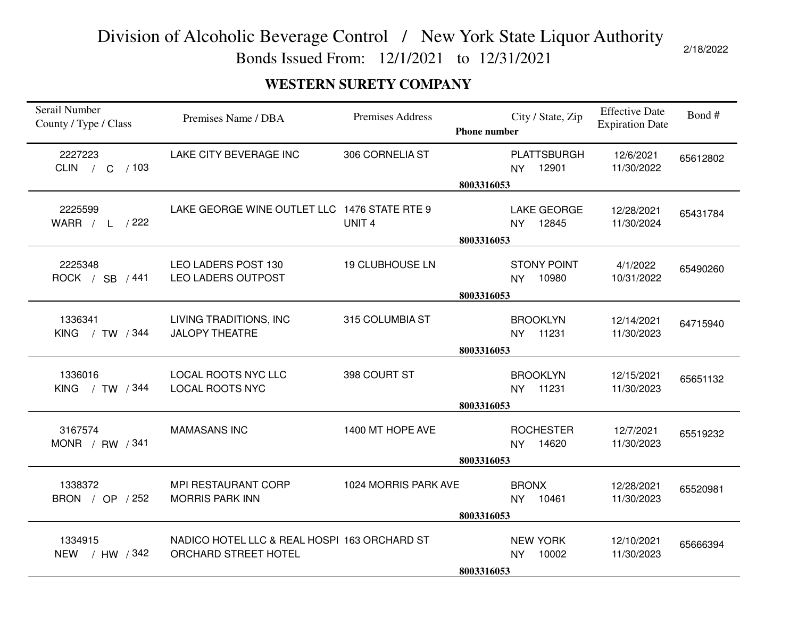Bonds Issued From: 12/1/2021 to 12/31/2021

### **WESTERN SURETY COMPANY**

| Serail Number<br>County / Type / Class | Premises Name / DBA                                                  | <b>Premises Address</b> | <b>Phone number</b> | City / State, Zip                        | <b>Effective Date</b><br><b>Expiration Date</b> | Bond#    |
|----------------------------------------|----------------------------------------------------------------------|-------------------------|---------------------|------------------------------------------|-------------------------------------------------|----------|
| 2227223<br>CLIN / C / 103              | LAKE CITY BEVERAGE INC                                               | 306 CORNELIA ST         | 8003316053          | <b>PLATTSBURGH</b><br>12901<br><b>NY</b> | 12/6/2021<br>11/30/2022                         | 65612802 |
| 2225599<br>WARR / L / 222              | LAKE GEORGE WINE OUTLET LLC 1476 STATE RTE 9                         | UNIT <sub>4</sub>       | 8003316053          | <b>LAKE GEORGE</b><br>12845<br><b>NY</b> | 12/28/2021<br>11/30/2024                        | 65431784 |
| 2225348<br>ROCK / SB / 441             | LEO LADERS POST 130<br><b>LEO LADERS OUTPOST</b>                     | <b>19 CLUBHOUSE LN</b>  | 8003316053          | <b>STONY POINT</b><br>10980<br><b>NY</b> | 4/1/2022<br>10/31/2022                          | 65490260 |
| 1336341<br>KING / TW / 344             | LIVING TRADITIONS, INC<br><b>JALOPY THEATRE</b>                      | 315 COLUMBIA ST         | 8003316053          | <b>BROOKLYN</b><br>11231<br>NY           | 12/14/2021<br>11/30/2023                        | 64715940 |
| 1336016<br>KING / TW / 344             | LOCAL ROOTS NYC LLC<br><b>LOCAL ROOTS NYC</b>                        | 398 COURT ST            | 8003316053          | <b>BROOKLYN</b><br>11231<br>NY.          | 12/15/2021<br>11/30/2023                        | 65651132 |
| 3167574<br>MONR / RW / 341             | <b>MAMASANS INC</b>                                                  | 1400 MT HOPE AVE        | 8003316053          | <b>ROCHESTER</b><br>14620<br><b>NY</b>   | 12/7/2021<br>11/30/2023                         | 65519232 |
| 1338372<br>BRON / OP / 252             | MPI RESTAURANT CORP<br><b>MORRIS PARK INN</b>                        | 1024 MORRIS PARK AVE    | 8003316053          | <b>BRONX</b><br>10461<br><b>NY</b>       | 12/28/2021<br>11/30/2023                        | 65520981 |
| 1334915<br>NEW / HW / 342              | NADICO HOTEL LLC & REAL HOSPI 163 ORCHARD ST<br>ORCHARD STREET HOTEL |                         | 8003316053          | <b>NEW YORK</b><br>10002<br><b>NY</b>    | 12/10/2021<br>11/30/2023                        | 65666394 |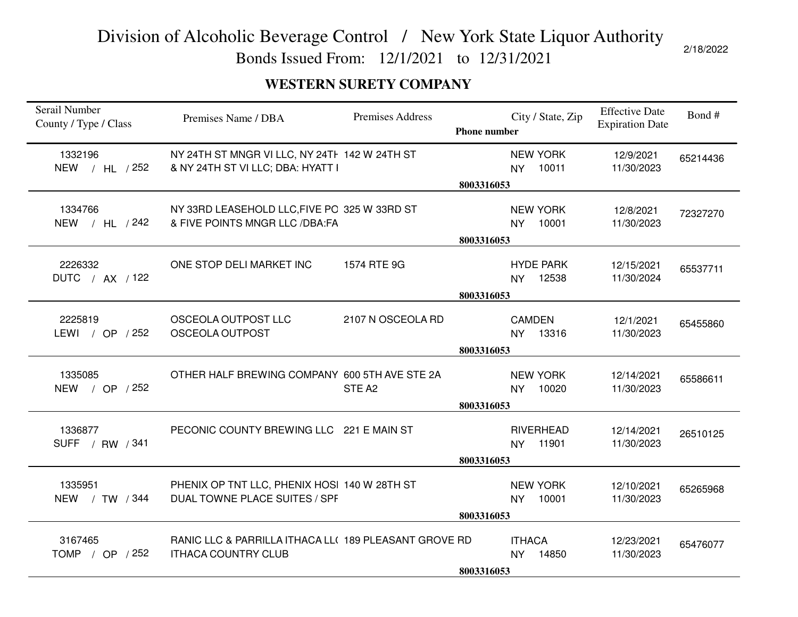Bonds Issued From: 12/1/2021 to 12/31/2021

#### **WESTERN SURETY COMPANY**

| Serail Number<br>County / Type / Class | Premises Name / DBA                                                                | <b>Premises Address</b> | <b>Phone number</b> | City / State, Zip                     | <b>Effective Date</b><br><b>Expiration Date</b> | Bond#    |
|----------------------------------------|------------------------------------------------------------------------------------|-------------------------|---------------------|---------------------------------------|-------------------------------------------------|----------|
| 1332196<br>NEW / HL / 252              | NY 24TH ST MNGR VI LLC, NY 24TH 142 W 24TH ST<br>& NY 24TH ST VI LLC; DBA: HYATT I |                         | 8003316053          | <b>NEW YORK</b><br>10011<br>NY        | 12/9/2021<br>11/30/2023                         | 65214436 |
|                                        |                                                                                    |                         |                     |                                       |                                                 |          |
| 1334766<br>NEW / HL / 242              | NY 33RD LEASEHOLD LLC, FIVE PO 325 W 33RD ST<br>& FIVE POINTS MNGR LLC / DBA: FA   |                         |                     | <b>NEW YORK</b><br>10001<br><b>NY</b> | 12/8/2021<br>11/30/2023                         | 72327270 |
|                                        |                                                                                    |                         | 8003316053          |                                       |                                                 |          |
|                                        |                                                                                    |                         |                     |                                       |                                                 |          |
| 2226332                                | ONE STOP DELI MARKET INC                                                           | 1574 RTE 9G             |                     | <b>HYDE PARK</b>                      | 12/15/2021                                      | 65537711 |
| DUTC / AX / 122                        |                                                                                    |                         |                     | NY 12538                              | 11/30/2024                                      |          |
|                                        |                                                                                    |                         | 8003316053          |                                       |                                                 |          |
| 2225819                                | OSCEOLA OUTPOST LLC                                                                | 2107 N OSCEOLA RD       |                     | <b>CAMDEN</b>                         | 12/1/2021                                       |          |
| LEWI / OP $/252$                       | OSCEOLA OUTPOST                                                                    |                         |                     | NY 13316                              | 11/30/2023                                      | 65455860 |
|                                        |                                                                                    |                         | 8003316053          |                                       |                                                 |          |
|                                        |                                                                                    |                         |                     |                                       |                                                 |          |
| 1335085                                | OTHER HALF BREWING COMPANY 600 5TH AVE STE 2A                                      |                         |                     | <b>NEW YORK</b>                       | 12/14/2021                                      | 65586611 |
| NEW / OP / 252                         |                                                                                    | STE A <sub>2</sub>      |                     | 10020<br><b>NY</b>                    | 11/30/2023                                      |          |
|                                        |                                                                                    |                         | 8003316053          |                                       |                                                 |          |
| 1336877                                | PECONIC COUNTY BREWING LLC 221 E MAIN ST                                           |                         |                     | <b>RIVERHEAD</b>                      | 12/14/2021                                      |          |
| SUFF / RW / 341                        |                                                                                    |                         |                     | NY 11901                              | 11/30/2023                                      | 26510125 |
|                                        |                                                                                    |                         | 8003316053          |                                       |                                                 |          |
|                                        |                                                                                    |                         |                     |                                       |                                                 |          |
| 1335951                                | PHENIX OP TNT LLC, PHENIX HOSI 140 W 28TH ST                                       |                         |                     | <b>NEW YORK</b>                       | 12/10/2021                                      | 65265968 |
| NEW / TW / 344                         | DUAL TOWNE PLACE SUITES / SPF                                                      |                         |                     | 10001<br><b>NY</b>                    | 11/30/2023                                      |          |
|                                        |                                                                                    |                         | 8003316053          |                                       |                                                 |          |
| 3167465                                | RANIC LLC & PARRILLA ITHACA LL( 189 PLEASANT GROVE RD                              |                         |                     | <b>ITHACA</b>                         | 12/23/2021                                      |          |
| TOMP / OP / 252                        | <b>ITHACA COUNTRY CLUB</b>                                                         |                         |                     | 14850<br><b>NY</b>                    | 11/30/2023                                      | 65476077 |
|                                        |                                                                                    |                         | 8003316053          |                                       |                                                 |          |
|                                        |                                                                                    |                         |                     |                                       |                                                 |          |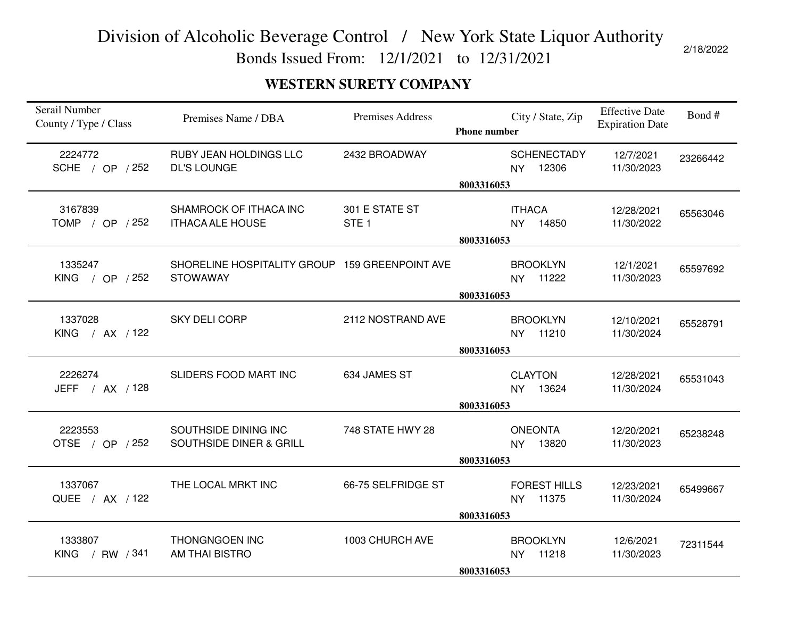Bonds Issued From: 12/1/2021 to 12/31/2021

#### **WESTERN SURETY COMPANY**

| Serail Number<br>County / Type / Class | Premises Name / DBA                                               | <b>Premises Address</b>            | <b>Phone number</b> | City / State, Zip                        | <b>Effective Date</b><br><b>Expiration Date</b> | Bond#    |
|----------------------------------------|-------------------------------------------------------------------|------------------------------------|---------------------|------------------------------------------|-------------------------------------------------|----------|
| 2224772<br>SCHE / OP / 252             | RUBY JEAN HOLDINGS LLC<br><b>DL'S LOUNGE</b>                      | 2432 BROADWAY                      |                     | <b>SCHENECTADY</b><br>12306<br><b>NY</b> | 12/7/2021<br>11/30/2023                         | 23266442 |
|                                        |                                                                   |                                    | 8003316053          |                                          |                                                 |          |
| 3167839<br>TOMP / OP / 252             | SHAMROCK OF ITHACA INC<br><b>ITHACA ALE HOUSE</b>                 | 301 E STATE ST<br>STE <sub>1</sub> |                     | <b>ITHACA</b><br>14850<br>NY             | 12/28/2021<br>11/30/2022                        | 65563046 |
|                                        |                                                                   |                                    | 8003316053          |                                          |                                                 |          |
| 1335247<br>KING / OP $/252$            | SHORELINE HOSPITALITY GROUP 159 GREENPOINT AVE<br><b>STOWAWAY</b> |                                    |                     | <b>BROOKLYN</b><br><b>NY</b><br>11222    | 12/1/2021<br>11/30/2023                         | 65597692 |
|                                        |                                                                   |                                    | 8003316053          |                                          |                                                 |          |
| 1337028<br>KING / AX / 122             | <b>SKY DELI CORP</b>                                              | 2112 NOSTRAND AVE                  |                     | <b>BROOKLYN</b><br>11210<br><b>NY</b>    | 12/10/2021<br>11/30/2024                        | 65528791 |
|                                        |                                                                   |                                    | 8003316053          |                                          |                                                 |          |
| 2226274<br>JEFF / AX / 128             | SLIDERS FOOD MART INC                                             | 634 JAMES ST                       | 8003316053          | <b>CLAYTON</b><br>13624<br><b>NY</b>     | 12/28/2021<br>11/30/2024                        | 65531043 |
| 2223553<br>OTSE / OP / 252             | SOUTHSIDE DINING INC<br><b>SOUTHSIDE DINER &amp; GRILL</b>        | 748 STATE HWY 28                   |                     | <b>ONEONTA</b><br>13820<br><b>NY</b>     | 12/20/2021<br>11/30/2023                        | 65238248 |
|                                        |                                                                   |                                    | 8003316053          |                                          |                                                 |          |
| 1337067<br>QUEE / AX / 122             | THE LOCAL MRKT INC                                                | 66-75 SELFRIDGE ST                 |                     | <b>FOREST HILLS</b><br>11375<br>NY       | 12/23/2021<br>11/30/2024                        | 65499667 |
|                                        |                                                                   |                                    | 8003316053          |                                          |                                                 |          |
| 1333807<br>KING / RW / 341             | <b>THONGNGOEN INC</b><br>AM THAI BISTRO                           | 1003 CHURCH AVE                    | 8003316053          | <b>BROOKLYN</b><br>11218<br>NY.          | 12/6/2021<br>11/30/2023                         | 72311544 |
|                                        |                                                                   |                                    |                     |                                          |                                                 |          |